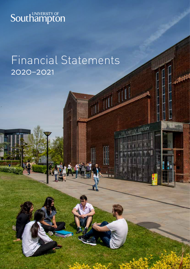

## Financial Statements 2020–2021

ARTLEY LIBRARY

**THUM**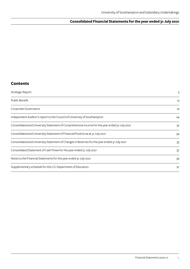## **Consolidated Financial Statements for the year ended 31 July 2021**

## **Contents**

| Strategic Report                                                                              | 3  |
|-----------------------------------------------------------------------------------------------|----|
| Public Benefit                                                                                | 13 |
| Corporate Governance                                                                          | 19 |
| Independent Auditor's report to the Council of University of Southampton                      | 24 |
| Consolidated and University Statement of Comprehensive Income for the year ended 31 July 2021 | 32 |
| Consolidated and University Statement of Financial Position as at 31 July 2021                | 34 |
| Consolidated and University Statement of Changes in Reserves for the year ended 31 July 2021  | 35 |
| Consolidated Statement of Cash Flows for the year ended 31 July 2021                          | 37 |
| Notes to the Financial Statements for the year ended 31 July 2021                             | 39 |
| Supplementary schedule for the U.S. Department of Education                                   | 91 |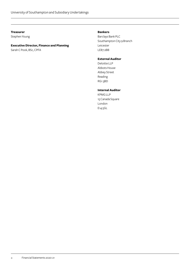#### **Treasurer**

Stephen Young

## **Executive Director, Finance and Planning**

Sarah C Pook, BSc, CPFA

## **Bankers**

Barclays Bank PLC Southampton City 9 Branch Leicester LE87 2BB

## **External Auditor**

Deloitte LLP Abbots House Abbey Street Reading RG1 3BD

## **Internal Auditor**

KPMG LLP 15 Canada Square London E14 5GL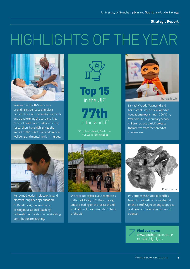**Strategic Report**

# HIGHLIGHTS OF THE YEAR



Research in Health Sciences is providing evidence to stimulate debate about safe nurse staffing levels and transforming the care and lives of people with cancer. Most recently, researchers have highlighted the impact of the COVID-19 pandemic on wellbeing and mental health in nurses.





77th in the world\*\*

\*\*QS World Rankings 2022



Photo: LifeLab

Dr Kath Woods-Townsend and her team at LifeLab developed an education programme – COVID-19 Warriors –to help primary school children across the UK protect themselves from the spread of coronavirus.



Renowned leader in electronics and electrical engineering education,

Dr Basel Halak, was awarded a prestigious National Teaching Fellowship in 2020 for his outstanding contribution to teaching.



We're proud to back Southampton's bid to be UK City of Culture in 2025 and are leading on the research and evaluation of the consultation phase of the bid.



PhD student Chris Barker and his team discovered that bones found on the Isle of Wight belong to species of dinosaur previously unknown to science.

**Find out more:**  www.southampton.ac.uk/ researchhighlights

**3**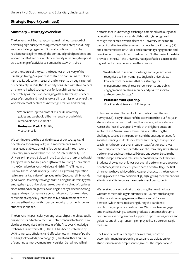## **Strategic Report (continued)**

#### **Summary – strategy overview**

The University of Southampton has maintained its record of delivering high quality teaching, research and enterprise, during another challenging period. Our staff continued to display resilience and agility through the continued global pandemic, and worked hard to keep our whole community safe through support across a range of activities to combat the COVID-19 virus.

Over the course of the year, the focus was on delivery of the 'Bridging Strategy' – a plan that centred on continuing to deliver high quality education, research and enterprise through a period of uncertainty. In 2021, the University consulted with stakeholders on a new, refreshed strategy, due for launch in January 2022. The strategy will focus on leveraging off the University's evident areas of strength and moving forward in our mission as one of the world's foremost centres of knowledge creation and sharing.

"We are now Top 20 across all major UK university guides and we should all be immensely proud of this remarkable achievement."

#### **Professor Mark E. Smith,**

Vice Chancellor

We continue to see the positive impact of our strategic and operational focus on quality, with improvements in all the major league tables, achieving Top 20 across all three major UK university guides and within the Top 100 internationally. The University improved 6 places in the Guardian to a rank of 17th, with 7 subjects in the top 10, placed 15th overall out of 130 universities in the Complete University Guide and 16th in The Times and Sunday Times Good University Guide. Our growing reputation led to a remarkable rise of 13 places in the Quacquarelli Symonds (QS) World University Rankings 2022, placing the University 77th among the 1,300 universities ranked overall – a climb of 25 places since 2018 and our highest QS ranking in nearly a decade. Strong league table performance is a good indicator of future student recruitment, especially internationally, and a testament to the continued hard work within our community to further improve student experience.

The University's particularly strong research partnerships, public engagement and achievements in entrepreneurial activities have also been recognised in the results of the first-ever Knowledge Exchange Framework (KEF). The KEF has been established by UKRI to increase efficiency and effectiveness in the use of public funding for knowledge exchange (KE) and to further a culture of continuous improvement in universities. Our all-round high

performance in knowledge exchange, combined with our global reputation for innovation and collaboration, is recognised through this exercise which places the University in the top 10 per cent of all universities assessed for 'Intellectual Property (IP) and commercialisation', 'Public and community engagement' and 'Working with the public and third sector'. On the basis of the data provided in the KEF, the University has a justifiable claim to be the highest performing university in the exercise.

"I'm delighted to see our knowledge exchange activities recognised so highly amongst England's universities. It's clear from the results that our strategy for engagement through research, enterprise and public engagement is creating genuine and positive societal and economic impact."

#### **Professor Mark Spearing,**

Vice President Research & Enterprise

In July, we received the result of the 2021 National Student Survey (NSS), a key indicator of the experience that our final year students have had with us during their undergraduate studies. Across the Russell Group and whole of the higher education sector, the NSS results were lower this year reflecting the challenges caused by the pandemic and the subsequent need for social-distancing, multiple lockdowns and changes to in-person teaching. Although our overall student satisfaction score was lower this year when compared to last, the University saw a strong performance against the Russell Group and sector. Despite the fall the independent and robust benchmarking by the Office for Students showed not only was our overall performance above our benchmark, it was sufficiently so to earn a positive flag - the first time ever we have achieved this. Against the sector, the University rose 19 places to a rank position of 32, highlighting the tremendous efforts of staff to improve the experience of our students.

We received our second set of data using the new Graduate Outcomes methodology in summer 2021. Our internal analysis of the data shows engagement with our central Careers Services (which remained strong during the pandemic) results in higher positive destinations. We pro-actively engage students in achieving successful graduate outcomes through a comprehensive programme of support, opportunities, advice and guidance and through ensuring employability is a core strategic measure.

The University of Southampton has a strong record of accomplishment in supporting access and participation for students from under-represented groups. The impact of our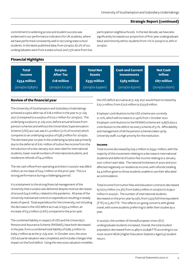## **Strategic Report (continued)**

commitment to widening access and student success was evidenced in our performance indicators for UK students, where we have performed consistently well in recruiting state school students. In the latest published data, from 2019/20, 87.2% of our undergraduates were from a state school, and 7.5% were from low participation neighbourhoods. In the last decade, we have also significantly increased our proportion of first-year undergraduate black and minority ethnic students from 11% in 2009/10 to 26% in 2019/20.

## **Financial Highlights**

| <b>Total</b><br><b>Income</b> | <b>Surplus</b><br><b>After Tax</b> | <b>Total Net</b><br><b>Assets</b> | <b>Cash and Current</b><br><b>Investments</b> | <b>Net Cash</b><br><b>Inflow</b> |
|-------------------------------|------------------------------------|-----------------------------------|-----------------------------------------------|----------------------------------|
| £554 million                  | £18 million                        | £535 million                      | £583 million                                  | £87 million                      |
| (2019/20 f583m)               | $(2019/20 \text{ ft}103m)$         | $(2019/20 \tE499m)$               | (2019/20 f521m)                               | $(2019/20 \text{ E}62m)$         |

## **Review of the financial year**

The University of Southampton and Subsidiary Undertakings achieved a suplus after tax of £18.2 million in the year to 31 July 2021 (compared to a surplus of £102.7 million for 2019/20). The underlying surplus to 31 July 2021, before actuarial losses from pension schemes and without the Universities Superannuation Scheme (USS) accrual, was £11.4 million (2.1% of income) which compares to an underlying surplus of £38.3 million for 2019/20. The decrease year on year in the underlying surplus was primarily due to the deferral of £16.1 million of tuition fee income from the introduction of a new January 2021 start date for international students, lower overall numbers of international students, and residences refunds of £4.4 million.

The net cash inflow from operating activities in 2020/21 was £86.6 million, an increase of £24.7 million on the prior year. This is a strong performance during a challenging period.

It is a testament to the strong financial management of the University that a surplus was delivered despite revenue decreases of around £24.6 million, related to the pandemic. All areas of the University maintained control on expenditure resulting in steady levels of spend. Total expenditure for the University, not including the decrease in the USS deficit accrual, is £552.4 million, an increase of £3.5 million (0.6%) compared to the prior year.

The combined liability in respect of USS and the University's Pension and Assurance Scheme (PASNAS), have both decreased in the year, from a combined total liability of £282.3 million to £269.7 million as at the 31 July 2021. In October 2021, the 2020 USS actuarial valuation was completed, and includes changes that impact on the fund deficit. Using the new 2020 valuation modeller,

the USS deficit accrual as at 31 July 2021 would have increased by £151.2 million, from £72.6 million to £223.8 million.

Employer contributions to the USS scheme are currently 21.10%, which will increase to 21.40% from 1 October 2021. Employer contributions to the PASNAS scheme are 13.85% plus a contribution to the deficit recovery scheme of 5.1%. Affordability and management of all the pension schemes taken up by University staff, is a high priority for the institution.

#### **Income**

Total income decreased by £29.2 million to £554.1 million, with the majority of this movement relating to a decrease in international students and deferral of tuition fee income relating to a January 2021 cohort start date. The national lockdowns in 2020 and 2021 affected negatively on residences income, with refunds totalling £4.4 million given to those students unable to use their allocated accommodation.

Total income from tuition fees and education contracts decreased by £27.5 million (10.3%) from £266.5 million in 2019/20 to £239.0 million in 2020/21. The number of international students decreased on the prior year by 23%, from 7,505 full time equivalent (FTE) to 5,767 FTE. This reflects on-going concerns with global travel, with some students preferring to defer their studies by a year.

In 2020/21, the number of Home/European Union (EU) undergraduate students increased. Overall, the total student population decreased from 21,485 to 20,848 FTE according to our most recent HESA (Higher Education Statistics Agency) student return.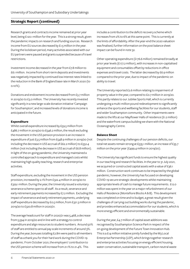## **Strategic Report (c0ntinued)**

Research grants and contracts income remained at prior year level, being £120.1 million for the year. This is a strong result, given the pandemic impacts on research and funding sources. Research income from EU sources decreased by £1.5 million in the year. During the lockdown period, many activities associated with our EU partners were paused and grants suspended because of travel restrictions.

Investment income decreased in the year from £7.8 million to £6.1 million. Income from short-term deposits and investments was negatively impacted by continued low interest rates linked to the reduction in the Bank of England base rate in March 2020 (to 0.10%).

Donations and endowment income decreased from £3.7 million in 2019/20 to £3.0 million. The University has recently invested significantly in a new large-scale donation initiative 'Campaign for Southampton', and increased levels of donations income is anticipated in the future.

#### **Expenditure**

Whilst overall expenditure increased by £59.5 million from £486.7 million in 2019/20 to £546.2 million, the result excluding the movement in the USS pension provision is an increase in expenditure of just £3.5 million from £548.9 million in 2019/20 (not including the decrease in USS accrual of £62.2 million) to £552.4 million (not including the decrease in USS accrual of £6.8 million). In light of the on-going pandemic, the University maintained a controlled approach to expenditure and managed costs whilst maintaining high quality teaching, research and enterprise activities.

Staff expenditure, excluding the movement in the USS pension provision, increased by 2.1% from £322.4 million in 2019/20 to £329.1 million. During the year, the University issued a voluntary severance scheme open to all staff. As a result, severance and early retirement payments increased by £7.2 million. Excluding the impact of severance and early retirement payments, underlying staff expenditure decreased by £0.5 million, from £321.3 million in 2019/20 to £320.8 million in 2020/21.

The average headcount for staff in 2020/21 was 5,468, a decrease from 5,594 in 2019/20 and in line with a strategy to control expenditure and align resources to student numbers. Around 50% of staff are entitled to annual pay scale increments of around 3%. During the year, bonuses totalling £2.8m were paid to all members of staff as a thank you for their hard work during the COVID-19 pandemic. From October 2021, the employers' contribution to the USS pension scheme will increase from 21.1% to 21.4%. This

includes a contribution to the deficit recovery scheme which increases from 2% to 6% at this same point. This is currently at the limits of affordability. After the year-end the 2020 valuation was finalised, further information on the post balance sheet impact can be found in note 32.

Other operating expenditure (£176.6 million) remained broadly at prior year levels (£177.2 million), with increases in non-capitalised equipment and consumables offset by reductions in office expenses and travel costs. The latter decreased by £6.9 million compared to the prior year, due to impact of the pandemic on ability to travel.

The University reported £2.6 million relating to impairment of property value in the year, compared to £0.7 million in 2019/20. This partly relates to our Jubilee Sports Hall, which is currently undergoing a multi-million pound redevelopment to significantly enhance the sports and wellbeing facilities for our students, staff and wider Southampton community. Other impairments were made to the lifts at our Mayflower Halls of residence (£1.2 million) and the waterfront campus building we share with the National Oceanography Centre.

#### **Balance Sheet**

Despite the continuing challenges of our pension deficits, our total net assets remain strong at £535.1 million, an increase of £35.7 million on the prior year (£499.4 million in 2019/20).

The University has significant funds to ensure the highest quality in our teaching and research facilities. In the year to 31 July 2021, we acquired or constructed capital assets with a value of £36.1 million. Construction work continues to be impacted by the global pandemic; however, the University has focused on developing COVID-19 secure strategic developments whilst maintaining appropriate levels of cash to manage future requirements. £12.0 million was spent in the year on a major refurbishment of our Halls of Residence (Montefiore Blocks A & B). This development was completed on time and to budget, a great result given the challenges of carrying out building works during the pandemic, and provides enhanced accommodation for our students, which is more energy efficient and environmentally sustainable.

During the year, £4.7 million of capital asset additions was recognised by Southampton Science Park in respect of the on-going development of the Future Town Innovation Hub. This is a £14 million initiative jointly funded by the M3 Local Enterprise Partnership (LEP), which brings together research and enterprise activities focusing on energy efficient housing, water conservation, sustainable transport, carbon neutral waste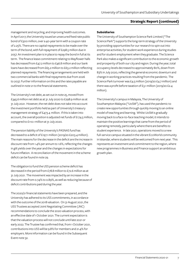## **Strategic Report (continued)**

management and recycling, and improving health outcomes. In April 2017, the University issued an unsecured fixed rate public bond of £300 million, over a 40-year term with a coupon rate of 2.25%. There are no capital repayments to be made over the term of the bond, with full repayment of £298.5 million due in 2057. An investment plan is in place to repay the bond in full at its term. The finance lease commitment relating to Mayflower halls has decreased from £47.2 million to £46.8 million and our bank loans have decreased from £65.2 million to £63.2 million reflecting planned repayments. The financing arrangements are held with two commercial banks with final repayments due from 2026 to 2037. Further information on this and the rates payable are outlined in note 21 to the financial statements.

The University's net debt, as set out in note 25, moved from £345.6 million net debt as at 31 July 2020 to £298.9 million as at 31 July 2021. However, the net debt does not take into account the investment portfolio held as part of University's treasury management strategy of £473.4 million. If this is taken into account, the overall position is adjusted net funds of £174.5 million, compared to £110.1 million at 31 July 2020.

The pension liability of the University's PASNAS fund has decreased to a deficit of £197.1 million (2019/20 £203.4 million). The main reasons for the decrease in the deficit are the increase in discount rate from 1.4% per annum to 1.6%, reflecting the changes in gilt yields over the year and the changes in expectations for future inflation. A reconciliation of the movement in the scheme deficit can be found in note 29.

The obligation to fund the USS pension scheme deficit has decreased in the period from £78.8 million to £72.6 million as at 31 July 2021. The movement was impacted by an increase in the discount rate from 0.74% to 0.89%, as well as reducing because of deficit contributions paid during the year.

The 2020/21 financial statements have been prepared, and the University has adhered to its USS commitments, in accordance with the outcome of the 2018 valuation. On 31 August 2021, the USS Trustees accepted Joint Negotiating Committee (JNC) recommendations to conclude the 2020 valuation process, with an effective date of 1 October 2021. The current expectation is that the valuation process will not conclude until late 2021 or early 2022. The Trustee has confirmed that, from 1 October 2021, contributions into USS will be 9.8% for members and 21.4% for employers. More information can be found in the Subsequent Event note 32.

#### **Subsidiaries**

The University of Southampton Science Park Limited ("The Science Park") supports the long-term strategy of the University by providing opportunities for our research to spin out into enterprise activities, for student work experience during studies and for student employment when they graduate. The Science Park also makes a significant contribution to the economic growth and prosperity of both our city and region. During the year, total occupancy levels decreased to approximately 80%, down from 83% in July 2020, reflecting the general economic downturn and change in working practices resulting from the pandemic. The Science Park turnover was £4.5 million (2019/20 £4.7 million) and there was a profit before taxation of £3.1 million (2019/20 £2.4 million).

The University's campus in Malaysia, The University of Southampton Malaysia ("UoSM"), has used the pandemic to create new opportunities through quickly moving to an online model of teaching and learning. Whilst UoSM is gradually moving back to a face-to-face teaching model, it intends to maintain the positive learnings that came from the period of operating remotely, particularly where there are benefits to student experience. In late 2021, operations moved to a new full-service campus situated in the vibrant EcoWorld community in Iskandar, where students will be welcomed from next year. This represents an investment and commitment to the region, where new programmes in Business and Finance support an ambitious growth plan.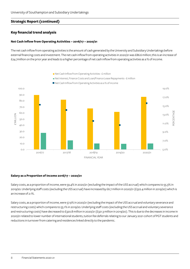## **Strategic Report (c0ntinued)**

## **Key financial trend analysis**

#### **Net Cash Inflow from Operating Activities – 2016/17 – 2020/21**

The net cash inflow from operating activities is the amount of cash generated by the University and Subsidiary Undertakings before external financing costs and investment. The net cash inflow from operating activities in 2020/21 was £86.6 million; this is an increase of £24.7million on the prior year and leads to a higher percentage of net cash inflow from operating activities as a % of income.



#### **Salary as a Proportion of Income 2016/17 – 2020/21**

Salary costs, as a proportion of income, were 59.4% in 2020/21 (excluding the impact of the USS accrual) which compares to 55.3% in 2019/20. Underlying staff costs (excluding the USS accrual) have increased by £6.7 million in 2020/21 (£322.4 million in 2019/20) which is an increase of 2.1%.

Salary costs, as a proportion of income, were 57.9% in 2020/21 (excluding the impact of the USS accrual and voluntary severance and restructuring costs) which compares to 55.1% in 2019/20. Underlying staff costs (excluding the USS accrual and voluntary severance and restructuring costs) have decreased to £320.8 million in 2020/21 (£321.3 million in 2019/20). This is due to the decreases in income in 2020/21 related to lower number of international students, tuition fee deferrals relating to our January 2021 cohort of PGT students and reductions in turnover from catering and residences linked directly to the pandemic.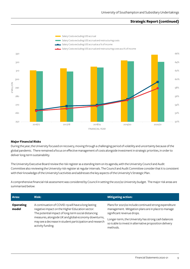## **Strategic Report (continued)**



#### **Major Financial Risks**

During the year, the University focused on recovery, moving through a challenging period of volatility and uncertainty because of the global pandemic. There remained a focus on effective management of costs alongside investment in strategic priorities, in order to deliver long-term sustainability.

The University Executive Board review the risk register as a standing item on its agenda, with the University Council and Audit Committee also reviewing the University risk register at regular intervals. The Council and Audit Committee consider that it is consistent with their knowledge of the University's activities and addresses the key aspects of the University's Strategic Plan.

A comprehensive financial risk assessment was considered by Council in setting the 2021/22 University budget. The major risk areas are summarised below:

| Area:                     | <b>Risk:</b>                                                                                                                                                                                                                                                                                           | <b>Mitigating action:</b>                                                                                                                                                                                                                                                   |
|---------------------------|--------------------------------------------------------------------------------------------------------------------------------------------------------------------------------------------------------------------------------------------------------------------------------------------------------|-----------------------------------------------------------------------------------------------------------------------------------------------------------------------------------------------------------------------------------------------------------------------------|
| <b>Operating</b><br>model | A continuation of COVID-19 will have a long lasting<br>negative impact on the Higher Education sector.<br>The potential impact of long-term social distancing<br>measures, alongside UK and global economy downturns,<br>may see a decrease in student participation and research<br>activity funding. | Plans for 2021/22 include continued strong expenditure<br>management. Mitigation plans are in place to manage<br>significant revenue drops.<br>Longer-term, the University has strong cash balances<br>so is able to invest in alternative proposition delivery<br>methods. |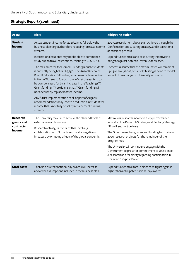## **Strategic Report (continued)**

| Area:                                                | <b>Risk:</b>                                                                                                                                                                                                                                                                                                                                                                                    | <b>Mitigating action:</b>                                                                                                                                                                                                                                                                                                                                                                                                                                    |
|------------------------------------------------------|-------------------------------------------------------------------------------------------------------------------------------------------------------------------------------------------------------------------------------------------------------------------------------------------------------------------------------------------------------------------------------------------------|--------------------------------------------------------------------------------------------------------------------------------------------------------------------------------------------------------------------------------------------------------------------------------------------------------------------------------------------------------------------------------------------------------------------------------------------------------------|
| <b>Student</b><br>income                             | Actual student income for 2021/22 may fall below the<br>business plan target, therefore reducing forecast income<br>streams.                                                                                                                                                                                                                                                                    | 2021/22 recruitment above plan achieved through the<br>Confirmation and Clearing strategy, and international<br>admissions process.                                                                                                                                                                                                                                                                                                                          |
|                                                      | International students may not be able to commence<br>study due to travel restrictions, relating to COVID-19.                                                                                                                                                                                                                                                                                   | Expenditure controls and cost cutting initiatives to<br>mitigate against potential revenue decreases.                                                                                                                                                                                                                                                                                                                                                        |
|                                                      | The maximum fee for Home/EU undergraduate students<br>is currently being held at £9,250. The Augar Review of<br>Post 18 Education & Funding recommended a reduction<br>in Home/EU fees to £7,500 from 21/22 at the earliest, to<br>be compensated for by an increase in the Teaching (T)<br>Grant funding. There is a risk that T Grant funding will<br>not adequately replace lost fee income. | Forecasts assume that the maximum fee will remain at<br>£9,250 throughout; sensitivity testing is done to model<br>impact of fee change on University economy.                                                                                                                                                                                                                                                                                               |
|                                                      | Any future implementation of all or part of Augar's<br>recommendations may lead to a reduction in student fee<br>income that is not fully offset by replacement funding<br>streams.                                                                                                                                                                                                             |                                                                                                                                                                                                                                                                                                                                                                                                                                                              |
| <b>Research</b><br>grants and<br>contracts<br>income | The University may fail to achieve the planned levels of<br>external research funding.<br>Research activity, particularly that involving<br>collaboration with EU partners, may be negatively<br>impacted by on-going effects of the global pandemic.                                                                                                                                           | Maximising research income is a key performance<br>indicator. The Research Strategy and Bridging Strategy<br>KPIs will support delivery.<br>The Government has guaranteed funding for Horizon<br>2020 research projects for the remainder of the<br>programmes.<br>The University will continue to engage with the<br>Government to press for commitment to UK science<br>& research and for clarity regarding participation in<br>Horizon 2020 post Brexit. |
| <b>Staff costs</b>                                   | There is a risk that national pay awards will increase<br>above the assumptions included in the business plan.                                                                                                                                                                                                                                                                                  | Expenditure controls are in place to mitigate against<br>higher than anticipated national pay awards.                                                                                                                                                                                                                                                                                                                                                        |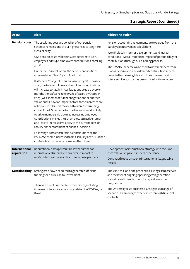## **Strategic Report (c0ntinued)**

| Area:                              | <b>Risk:</b>                                                                                                                                                                                                                                                                                                                                                                                                                                                                                                                                                                                                                                                                                                                                                                                                                                                                                                                                                                                                                                                                                                                                                                                                                             | <b>Mitigating action:</b>                                                                                                                                                                                                                                                                                                                                                                                                                                                                |
|------------------------------------|------------------------------------------------------------------------------------------------------------------------------------------------------------------------------------------------------------------------------------------------------------------------------------------------------------------------------------------------------------------------------------------------------------------------------------------------------------------------------------------------------------------------------------------------------------------------------------------------------------------------------------------------------------------------------------------------------------------------------------------------------------------------------------------------------------------------------------------------------------------------------------------------------------------------------------------------------------------------------------------------------------------------------------------------------------------------------------------------------------------------------------------------------------------------------------------------------------------------------------------|------------------------------------------------------------------------------------------------------------------------------------------------------------------------------------------------------------------------------------------------------------------------------------------------------------------------------------------------------------------------------------------------------------------------------------------------------------------------------------------|
| <b>Pension costs</b>               | The escalating cost and volatility of our pension<br>schemes remains one of our highest risks to long-term<br>sustainability.<br>USS pension costs will rise in October 2021 to 9.8%<br>employee and 21.4% employers contributions, totalling<br>31.2%.<br>Under the 2020 valuation, the deficit contributions<br>increase from 2% to 6.3% in April 2022.<br>If a Benefit Change Deed is not agreed by 28 February<br>2022, the total employee and employer contributions<br>will increase to 34.7% in April 2022 and step up every 6<br>months thereafter reaching 57% of salary by October<br>2025 (we expect that further negotiations or another<br>valuation will have an impact before these increases are<br>rolled out in full). This may lead to increased running<br>costs of the USS scheme for the University and is likely<br>to drive membership down as increasing employee<br>contributions makes the scheme less attractive. It may<br>also lead to increased volatility to the current pension<br>liability on the statement of financial position.<br>Following a 2019 consultation, contributions to the<br>PASNAS scheme increased from 1 January 2020. Further<br>contribution increases are likely in the future. | Pension accounting adjustments are excluded from the<br>Barclays loan covenant calculations.<br>We will closely monitor developments and market<br>conditions. We will model the impact of potential higher<br>contributions through our planning process.<br>The PASNAS scheme was closed to new members from<br>1 January 2020 and a new defined contribution scheme<br>provided for new eligible staff. The increased cost of<br>future service accrual has been shared with members. |
| <b>International</b><br>reputation | Reputational damage results in lower number of<br>international students and an adverse impact to<br>relationships with research and enterprise partners.                                                                                                                                                                                                                                                                                                                                                                                                                                                                                                                                                                                                                                                                                                                                                                                                                                                                                                                                                                                                                                                                                | Development of international strategy with focus on<br>core relationships and student experience.<br>Continued focus on strong international league table<br>results.                                                                                                                                                                                                                                                                                                                    |
| Sustainability                     | Strong cash flow is required to generate sufficient<br>funding for future capital investment.<br>There is a risk of unexpected expenditure, including<br>increased interest rates or costs related to COVID-19 or<br>Brexit.                                                                                                                                                                                                                                                                                                                                                                                                                                                                                                                                                                                                                                                                                                                                                                                                                                                                                                                                                                                                             | The £300 million bond proceeds, existing cash reserves<br>and the level of ongoing operating cash generation<br>should be sufficient to fund the capital investment<br>programme.<br>The University tests business plans against a range of<br>scenarios and manages expenditure through financial<br>controls.                                                                                                                                                                          |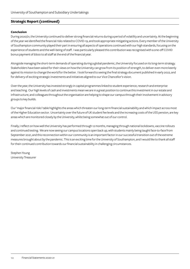## **Strategic Report (c0ntinued)**

#### **Conclusion**

During 2020/21, the University continued to deliver strong financial returns during a period of volatility and uncertainty. At the beginning of the year we identified the financial risks related to COVID-19, and took appropriate mitigating actions. Every member of the University of Southampton community played their part in ensuring all aspects of operations continued with our high standards, focusing on the experience of students and the well-being of staff. I was particularly pleased this contribution was recognised with a one-off COVID bonus payment of £600 to all staff at the end of the financial year.

Alongside managing the short-term demands of operating during a global pandemic, the University focused on its long-term strategy. Stakeholders have been asked for their views on how the University can grow from its position of strength, to deliver even more keenly against its mission to change the world for the better. I look forward to seeing the final strategy document published in early 2022, and for delivery of exciting strategic investments and initiatives aligned to our Vice Chancellor's vision.

Over the year, the University has invested strongly in capital programmes linked to student experience, research and enterprise and teaching. Our high levels of cash and investments mean we are in a great position to continue this investment in our estate and infrastructure, and colleagues throughout the organisation are helping to shape our campus through their involvement in advisory groups to key builds.

Our 'major financial risks' table highlights the areas which threaten our long-term financial sustainability and which impact across most of the Higher Education sector. Uncertainty over the future of UK student fee levels and the increasing costs of the USS pension, are key areas which are monitored closely by the University, whilst being somewhat out of our control.

Finally, I reflect on how well the University has performed through 12 months, managing through national lockdowns, vaccine rollouts and continued testing. We are now seeing our campus locations open back up, with students mainly being taught face-to-face from September 2021, and this reconnection within our community is an important factor in our successful transition out of the extreme measures brought about by the pandemic. This is an exciting time for the University of Southampton, and I would like to thank all staff for their continued contribution towards our financial sustainability in challenging circumstances.

Stephen Young University Treasurer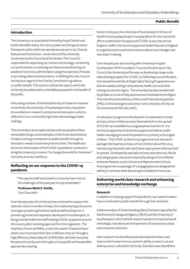#### **Public Benefit**

#### **Introduction**

The University is a corporation formed by Royal Charter and holds charitable status. Our aims, powers and the governance framework within which we operate are set out in our Charter, Statutes and Ordinances. Governance of the University is overseen by the Council and the Senate. The Council is responsible for approving our mission and strategy, monitoring our performance, scrutinising our finances and directing our academic functions, with the latter using the expertise of Senate to provide guidance and assurance. In fulfilling this role, Council has had due regard to the Charity Commission's guidance on public benefit. This section outlines the ways in which the University has delivered its charitable purposes for the benefit of the public.

A founding member of the Russell Group of research-intensive universities, the University of Southampton has a reputation for excellence in research, enterprise and education, which is reflected in our consistently high international league table rankings.

The University is an exceptional place whose people achieve remarkable things, some examples of which are shared below. It makes a strong contribution to public benefit through its education, research and enterprise activities. The health and economic shockwaves of the COVID-19 pandemic continue to bring the University's mission "to change the world for the better" into sharp and very real focus.

#### **Reflecting on our response to the COVID-19 pandemic**

"The way the staff and student community have risen to the challenges of the past year is truly remarkable."

#### **Professor Mark E. Smith,**

Vice Chancellor

Over the past year, the University has continued to support the national crisis in a number of ways, from saliva testing and vaccine training to protecting frontline medical staff and beyond. A pioneering protective respirator, developed in Southampton, is being used by healthcare staff treating COVID-19 patients around the country after receiving approval from the regulators. The respirator, known as PeRSo, covers the wearer's head and has a plastic visor to protect their face. It delivers clean air through a High Efficiency Particulate Air (HEPA) filter with belt-mounted fan pack and can be worn throughout a long shift and reused after appropriate cleaning.

Earlier in the year, the University of Southampton's School of Health Sciences played a part in preparations for the mammoth effort to administer the approved COVID-19 vaccines across England. Staff in the School supported Health Education England to organise trainers and technicians to deliver and manage 'new vaccinator' training.

Over the past year and working with University Hospital Southampton NHS Foundation Trust and Southampton City Council, the University led the way on developing a large-scale saliva testing program for COVID-19. Following a successful pilot, the Hampshire and Isle of Wight Saliva Testing Programme now delivers weekly testing in educational, health care and other settings across the region. The University has also worked with Royal Mail on a trial of fully autonomous scheduled drone flights. The trial will see the delivery of Personal Protective Equipment (PPE), COVID testing kits and other mail to the Isles of Scilly via Uncrewed Aerial Vehicles (UAV).

An education programme developed in Southampton to help primary school children protect themselves from the spread of COVID-19 is available to young people across the UK. It is the first programme of its kind to support and deliver public health messaging around the pandemic to primary school aged children. The COVID-19 Warriors programme is an education package that teaches primary school children about the virus, introducing characters who each have super powers that can limit its spread. Developed by specialist primary educators at LifeLab and using puppet characters inspired by designs from children at Mount Pleasant Junior School and Maytree Infant School, the programme is a package of 12 engaging lessons designed for delivery in schools, while also being accessible for home use.

## **Delivering world class research and enhancing enterprise and knowledge exchange**

#### **Research**

In addition to helping support the pandemic, our research teams have contributed to public benefit through their activities.

A Memorandum of Understanding (MoU) has been signed by the Maritime and Coastguard Agency (MCA) and the University of Southampton, which will link research projects to top-level work with design, manufacturer and operation of autonomous ships and emissions reduction.

New research has identified potential treatment that could improve the human immune system's ability to search out and destroy cancer cells within the body. Scientists have identified a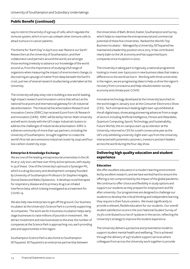way to restrict the activity of a group of cells, which regulate the immune system, which in turn can unleash other immune cells to attack tumours in cancer patients.

The theme for 'Earth Day' in April 2021 was 'Restore our Earth'. Researchers at the University of Southampton, and their collaborators and partners around the world, are amongst those working tirelessly to advance our knowledge of the world around us, from the importance of studying a full range of organisms when measuring the impact of environment change, to discovering an upsurge of matter from deep beneath the Earth's crust, just two of several research studies being undertaken at the University.

The University will play a key role in building a new world-leading, high-impact research and innovation centre that will act as the national focal point and international gateway for UK industrial decarbonisation. The Industrial Decarbonisation Research and Innovation Centre (IDRIC) has received £20m from UK Research and Innovation (UKRI). IDRIC will be led by Heriot-Watt University and will work closely with the UK's major industrial clusters to address the challenges of industrial decarbonisation. IDRIC is a diverse community of more than 140 partners, including the University of Southampton, brought together to create the world's first net-zero emissions industrial cluster by 2040 and four low-carbon clusters by 2030.

#### **Enterprise & Knowledge Exchange**

We are one of the leading entrepreneurial universities in the UK. As at 31 July 2021, we have over thirty active spinouts, with equity in 23 of these. One of the University's spinouts is Synairgen Plc, which is a drug discovery and development company founded by University of Southampton Professors Sir Stephen Holgate, Donna Davies and Ratko Djukanovic. It develops novel therapies for respiratory disease and its primary drug is an inhaled interferon beta, which is being investigated as a treatment for COVID-19.

We also help new enterprises to get off the ground. Our business incubator at the University's Science Park is currently supporting 16 companies. The work we do in business incubation helps earlystage businesses to raise millions of pounds in investment. We attract investment and new businesses to the area: the number of companies at the Science Park is approaching 100, each providing jobs and opportunities in the region.

Southampton Science Park is also home to Southampton SETsquared. SETsquared is an enterprise partnership between the Universities of Bath, Bristol, Exeter, Southampton and Surrey, which helps to maximise the entrepreneurial and commercial potential of these five Universities. Ranked the World's Top Business Incubator – Managed by a University, SETsquared has maintained a leadership position since 2015. It has contributed nearly £9bn to the UK economy and has supported 6,500 companies since inception in 2002.

The University is taking part in Ingenuity, a national programme looking to invest over £400,000 in new business ideas that make a difference to the world we live in. Working with three universities in the region, we are progressing ideas to help us drive the region's recovery from coronavirus and help rebuild a better society, economy and climate post-COVID.

Innovative technology developed at the University launched on the world stage in January 2021 at the Consumer Electronics Show (CES). Tech entrepreneurs leading eight start-ups exhibited at the all-digital expo, showcasing pioneering advances from a range of sectors including Artificial Intelligence, Fitness and Wearables, Quantum Computing, Sports Technology, and Sustainability. Future Worlds, the on-campus start-up accelerator at the University, returned to CES for a sixth consecutive year as the UK's only exhibiting university. Eight start-ups from the University interacted with potential customers, investors and tech leaders across the world during the four-day show.

## **Delivering high quality education and student experience**

#### **Education**

We offer excellent education in a modern learning environment led by excellent research, and we have worked hard to ensure this offering is not compromised by the impact of the global pandemic. We continue to offer choice and flexibility in study options and support our students as they prepare for employment and life after university. Our programmes are designed to challenge our students to develop the critical thinking and independent learning they require in their future careers. We invest significantly to provide a relevant, flexible education for our students. Our overall student satisfaction score in the 2021 National Student Survey of 79.3% contributed to a rise of 19 places in the sector, reflecting the University's strategy to improve the student experience.

The University delivers a proactive and preventative model to support student mental health and wellbeing. This is achieved through the delivery of 24/7 student support services where colleagues from across the University work together to provide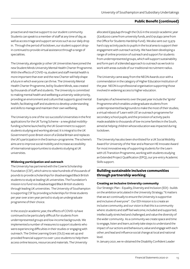proactive and reactive support to our student community. Students can speak to a member of staff at any time of day, as well as access triage and support services such as our daily drop in. Through the period of lockdown, our student support dropin continued to provide virtual assistance through a range of specialities.

The University, alongside 31 other UK Universities have joined the new Student Minds University Mental Health Charter Programme. With the effects of COVID-19, student and staff mental health is more important than ever and the new Charter will help shape a future in which everyone can thrive. The University Mental Health Charter Programme, led by Student Minds, was created by thousands of staff and students. The University is committed to making mental health and wellbeing a university-wide priority, providing an environment and culture that supports good mental health, facilitating staff and students to develop understanding and skills to manage and maintain their own wellbeing.

The University is one of the 120 successful Universities in the first applications for the UK Turing Scheme – a new global mobilityfunding scheme launched by the UK Government to support students studying and working abroad. It is integral to the UK Government's post-Brexit vision of a Global Britain and replaces the UK's participation in the Erasmus+ programme. The scheme's aims are to improve social mobility and increase accessibility of international opportunities to students studying at UK universities.

#### **Widening participation and outreach**

The University has partnered with the Cowrie Scholarship Foundation (CSF), which aims to raise hundreds of thousands of pounds to provide scholarships for disadvantaged Black British students to study at leading UK universities. The Foundation's mission is to fund 100 disadvantaged Black British students through leading UK universities. The University of Southampton is supporting CSF by providing scholarships for three students per year over a ten-year period to study an undergraduate programme of their choice.

In the 2020/21 academic year, the effects of COVID-19 have continued to be particularly difficult for students from underrepresented groups and low-income backgrounds. We implemented a number of measures to support students who were experiencing difficulties in their studies or engaging with outreach. The Online Learning Grant (OLG) was set up and provided financial support to over 1,200 students to help them access online lessons, resources and materials. The University

allocated £399,649 through the OLG in the 2020/21 academic year (£208,000 came from university funds, and £191,649 came from the Office for Students Hardship Fund). We also sent out 15,979 hard copy activity packs to pupils in the local area to support their engagement with outreach activity. We have been developing a range of online provision of outreach and support for students from underrepresented groups, which will support sustainability and form part of a blended approach to outreach as we look to work with areas outside of our traditional recruitment radius.

The University came away from the NEON Awards 2021 with a commendation in the category of Higher Education Institution of the year. NEON is a professional organisation supporting those involved in widening access to higher education.

Examples of achievements over the past year include the 'Ignite' Programme which enables undergraduate students from underrepresented backgrounds to make the most of their studies; a virtual reboot of 'Learn with US' an outreach programme for secondary school pupils; and the provision of activity packs made available to thousands of low-income families in the South, aimed at helping children whose education was impacted during lockdown.

The University has also been shortlisted for a UK Social Mobility Award for University of the Year and a Pearson HE Innovate Award for most innovative way of supporting students for the Learn with US Transition Programme, working with students studying an Extended Project Qualification (EPQ), our pre-entry Academic Skills support.

## **Building sustainable inclusive communities through partnership working**

#### **Creating an inclusive University community**

Our Strategic Plan – Equality, Diversity and Inclusion (EDI) - builds on the ambition articulated in the University Strategy; "It matters that we act continually to ensure the University is supportive and inclusive of everyone". Our EDI mission is to create an inclusive community, and our vision is that this is a community where: students and staff feel welcome; included and supported; intellectually stretched and challenged; and value the diversity of the wider community. As a community we create space and time to engage, listen and learn; actively take steps to understand the impact of our actions and behaviours; value and engage with each other; and lead and influence social change at local and national level.

In January 2021, we re-obtained the Disability Confident Leader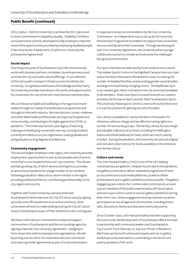(DCL) status – the first University to achieve the DCL status and to show commitment to disability equality. Disability Confident is a Government scheme, developed to help employers make the most of the opportunities provided by employing disabled people. It has three levels of attainment, of which our University has achieved the highest level.

#### **Social impact**

Touching every area of Southampton city's life, the University works with business partners, incubates city entrepreneurs and enriches the city's arts and culture offerings. A core element of the city's public transport infrastructure is funded by the University. As a global powerhouse of knowledge and discovery, the University provides a window to the world, and opportunities for investment, for one of the UK's most famous maritime cities.

We contribute to health and wellbeing in the region and more widely through our research and education programmes and through its links with industry. We train doctors, nurses, midwives and other allied health professionals, serving local hospitals and more recently, contributing to the fight against the COVID-19 pandemic. The University has a 60-year legacy of teaching, training and developing nurses with over 650 nursing students currently enrolled on our pre-registration, undergraduate and postgraduate nursing degrees and diplomas.

#### **Community engagement**

The second largest employer in the region, the University provides employment opportunities to over 6,000 people; and is home to more than 21,000 students from over 130 countries. The vibrant and fast-growing city, of which we are a driving force, provides an attractive proposition for a large number of our students following graduation. Many of our alumni remain in the region providing a skilled workforce, contributing professionally to the city, region and country.

Together with Solent University, we have endorsed Southampton's bid to become UK City of Culture 2025 by signing up to become official partners in an online ceremony. Both universities will work to make bidding to bring UK City of Culture 2025 to Southampton a part of their ambitions in the coming year.

We have confirmed our commitment to help and support communities in Southampton and the surrounding region by signing a national Civic University Agreement – pledging to form closer links with local people and organisations. We will be joining over 60 other UK universities who are committed to producing similar agreements as part of a national initiative in response to a key recommendation by the Civic University Commission - an independent inquiry set up by the University Partnerships Programme Foundation to explore how universities can successfully serve their local areas. Through developing its own Civic University Agreement, the University will encourage collaborative action to combat and overcome the challenges facing local communities.

Our sports facilities are well used by local residents and schools. The Jubilee Sports Centre on the Highfield Campus hosts our main indoor facilities; these were refurbished in 2020, increasing the number of disabled facilities, and providing gender-neutral toilets and large enclosed family changing rooms. The Mayflower Gym is our newest gym, which is located in the city centre and available to all members. Wide Lane Sports Ground hosts all our outdoor activities, Performance Sport and the Team Southampton Sport. The University Watersports Centre is next to the Itchen River and is in a prime position for getting out onto the water.

Our Library is available for use by members of the public for reference, without charge; and we offer borrowing rights to a number of community groups. The Hartley Library houses a large and valuable collection of archives, including the Wellington Papers and the Broadlands Archives, which are much used by scholars. During the pandemic, the University introduced a digital and click and collect service for books available on the shelves at the Hartley Library.

#### **Culture and events**

The John Hansard Gallery (JHG) is one of the UK's leading contemporary art galleries. Despite closure due to the pandemic, the gallery continued to deliver a blended programme of work across online and social media platforms, as well as offsite presentations and in-gallery exhibitions when possible. The gallery engaged 45,900 visitors for 7 online video commissions, around 74,000 members of the public experienced 4 off-site projects and over 6,500 visitors came to see two gallery exhibitions during their short runs. Online engagement activity reached 779 direct participants across all ages and communities, including artists' talks, discussions, family activities and community events.

Since October 2020, John Hansard Gallery has been supporting the community-led development of Southampton Black Archives in partnership with community leaders and Southampton City Council. From February to July 2021 Writer in Residence Ella Frears worked with online participants and ran in-gallery workshops and presentations, culminating in the launch of a poetry pamphlet of her work.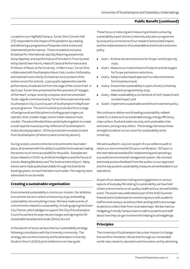Located on our Highfield Campus, Turner Sims Concert Hall (TS) responded to the impact of the pandemic by creating and delivering a programme of bespoke online events and livestreamed performances. These included an exclusive broadcast for International Jazz Day featuring saxophonist Denys Baptiste, and a performance of Schubert's Trout Quintet led by David Owen Norris, Head of Classical Performance and Professor of Music at the University. In March 2021, Turner Sims collaborated with Southampton Music Hub, London Sinfonietta, and national music charity Orchestras Live to present a free online concert for schools. 2,300 pupils registered to see the performance, broadcast live from the stage of the concert hall. In April 2021 Turner Sims presented the film premiere of 'Voyages of the Heart', a major work by composer and instrumentalist Tunde Jegede commissioned by Turner Sims in partnership with Southampton City Council as part of Southampton's Mayflower 400 programme. The work involved 25 musicians from a range of backgrounds and disciplines including gospel singers; an operatic choir, a Gaelic singer, and an Indian classical music vocalist. The piece blended these varied styles together to create a multi-layered musical journey reflective of Southampton's multicultural population. Of the 25 musicians involved 22 were from Southampton (of whom 9 were University alumni).

During 2020/21, several online lectures and events have taken place, all streamed with the ability to subtitle the broadcast making the events much more accessible for the public. Examples are those related to COVID-19; Artificial Intelligence and the future of Cancer; Beating Blindness; and The Science behind Sport. Many events were made public/searchable through the Eventbrite booking system, so reach has been much wider. The majority were advertised on social media.

## **Creating a sustainable organisation**

Environmental sustainability is core to our mission. Our ambition is to achieve net zero carbon emissions by 2030, embedding sustainability into everything it does. We have made a series of commitments related to sustainability, including signing the Green City Charter, which pledges to support the City of Southampton Council to achieve its 2030 net zero target, and signing the UN Sustainable Development Goals (SDGs) Accord.

In the autumn of 2020, we launched our sustainability strategy following consultation with the University community. The strategy sets out the University and Southampton University Student Union's (SUSU) joint ambitions in six clear goals.

These focus on reducing and measuring emissions; ensuring sustainability is part of every University education programme by 2025 and a cornerstone of our research and societal impact; and the implementation of a sustainable and ethnical investment policy.

- Goal 1 Achieve net zero emissions for Scope 1 and Scope 2 by 2030;
- Goal 2 Measure our total emissions footprint and set targets for Scope 3 emissions reductions;
- Goal 3 Adopt a value-based approach to reduce emissions from business travel;
- Goal 4 Ensure that sustainability is a part of every University education programme by 2025;
- Goal 5 Make sustainability a cornerstone of UoS' research and societal impact; and
- Goal 6 Implement a sustainable and ethical investment policy.

We continue to deliver world-leading sustainability-related research, in areas such as sustainable energy, energy efficiency, clean carbon, food and water security, and sustainable cities and towns, among many others. The strategy harnesses these strengths to deliver on our vision for sustainability at the University.

We were audited in July 2021 as part of a surveillance audit to retain our environmental ISO14001 certification. ISO14001 is the international standard for implementing and operating a successful environmental management system. We received extremely positive feedback from the auditor on our approach and the way positive sustainability measures are embedded in our operations.

As part of our awareness-raising and engagement on various aspects of everyday life relating to sustainability, we have held citizen science events on air quality, health and our annual bioblitz event. The event was celebrated as part of the SUSU Summer Festival and included species monitoring tours with academic staff around campus, as well as a litter picking stall to encourage students to collect litter from local waterways. We also had our Hedgehog-Friendly Campus team to talk to students and staff about how they can get involved with helping local hedgehogs.

## **Principles**

The University of Southampton has a clear mission: to change the world for the better. We do that through our remarkable world-class research, education and innovation, and by attracting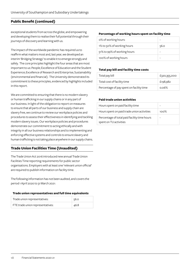exceptional students from across the globe, and empowering and developing them to realise their full potential through their journeys of discovery and learning with us.

The impact of the worldwide pandemic has required us to reaffirm what matters most and, last year, we developed an interim 'Bridging Strategy' to enable it to emerge strongly and safely. The core principles highlight the four areas that are most important to us: People; Excellence of Education and the Student Experience; Excellence of Research and Enterprise; Sustainability (environmental and financial). The University demonstrated its commitment to these principles, evidenced by highlights included in this report.

We are committed to ensuring that there is no modern slavery or human trafficking in our supply chains or in any part of our business. In light of the obligation to report on measures to ensure that all parts of our business and supply chain are slavery free, we continue to review our workplace policies and procedures to assess their effectiveness in identifying and tackling modern slavery issues. Our workplace policies and procedures demonstrate our commitment to acting ethically and with integrity in all our business relationships and to implementing and enforcing effective systems and controls to ensure slavery and human trafficking is not taking place anywhere in our supply chains.

## **Trade Union Facilities Time (Unaudited)**

The Trade Union Act 2016 introduced new annual Trade Union Facilities Time reporting requirements for public sector organisations. Employers with at least one 'relevant union official' are required to publish information on facility time.

The following information has not been audited, and covers the period 1 April 2020 to 31 March 2021:

#### **Trade union representatives and full time equivalents**

| Trade union representatives:     | 56.0 |
|----------------------------------|------|
| FTE trade union representatives: | 46.8 |

#### **Percentage of working hours spent on facility time**

| o% of working hours:        |      |
|-----------------------------|------|
| 1% to 50% of working hours  | 56.0 |
| 51% to 99% of working hours |      |
| 100% of working hours       |      |

#### **Total pay bill and facility time costs**

| Total pay bill                           | £320,355,000 |
|------------------------------------------|--------------|
| Total cost of facility time              | £198,982     |
| Percentage of pay spent on facility time | 0.06%        |

#### **Paid trade union activities**

| Hours spent on paid facility time                                      |          |
|------------------------------------------------------------------------|----------|
| Hours spent on paid trade union activities                             | 100 $\%$ |
| Percentage of total paid facility time hours<br>spent on TU activities |          |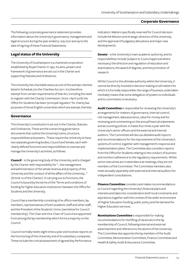#### **Corporate Governance**

The following corporate governance statement provides information about the University's governance, management and legal structure during the year ended 31 July 2021 and up to the date of signing of these Financial Statements.

## **Legal status of the University**

The University of Southampton is a chartered corporation established by Royal Charter in 1952. Its aims, powers and framework of governance are set out in the Charter and supporting Statutes and Ordinances.

The University has charitable status as one of the exempt charities listed in Schedule 3 to the Charities Act 2011. It is therefore exempt from certain requirements of that Act, including the need to register with the Charity Commission. Since 1 April 2018, the Office for Students has been 'principal regulator' for charity law purposes of those English universities which are exempt charities.

#### **Governance**

The University's constitution is set out in the Charter, Statutes and Ordinances. These are the overarching governance documents that outline the University's aims, structure, responsibilities and powers. These require the University to have two separate governing bodies, Council and Senate, each with clearly defined functions and responsibilities to oversee and manage the University's activities, as follows:

*Council* – is the governing body of the University, and is charged by the Charter with responsibility for "…the management and administration of the whole revenue and property of the University and the conduct of all the affairs of the University…" (Article 10 of the Charter). In carrying out its functions, the Council is bound by the terms of the 'Terms and conditions of funding for higher education institutions' between the Office for Students and the University.

Council has a membership consisting of ex officio members, lay members, representatives of both academic staff and other staff, and the President of the Students' Union (see below for Council membership). The Chair and Vice-Chair of Council are appointed from among the lay membership which forms a majority on the Council.

Council normally meets eight times a year and receives reports on the functioning of the University and of its subsidiary companies. These include the critical assessment of agreed Key Performance

Indicators. Matters specifically reserved for Council decision include the Mission and strategic direction of the University, and the approval of budgetary allocations and major new developments.

*Senate* – is the University's main academic authority, and its responsibilities include (subject to Council approval where necessary) the direction and regulation of education and examinations, the award of degrees, and the promotion of research.

Whilst Council is the ultimate authority within the University, it cannot be directly involved in decision making on all matters for which it is formally responsible: the range of business undertaken inevitably means that some delegation of powers to individuals and to committees is necessary.

*Audit Committee* is responsible for reviewing the University's arrangements for matters of governance, internal control, risk management, data assurance, value for money and for reviewing and commenting on the annual financial statements and accounting policies. It meets four times a year with the University's senior officers and the external and internal auditors. The Committee will discuss detailed audit reports and recommendations for the improvement of the University's systems of control, together with management's response and implementation plans. The Committee also considers reports from the Office for Students relating to the conduct of business and monitors adherence to the regulatory requirements. Whilst senior executives are in attendance at meetings, they are not members of the Committee. The Committee members also meet annually separately with external and internal auditors for independent consultations.

*Finance Committee* considers and makes recommendations to Council regarding the University's financial plans and interests and takes into consideration both local constraints and aspirations together with the context of the wider environment of Higher Education funding, public policy and the demand for Higher Education services.

*NominationsCommittee* is responsible for making recommendations for the filling of vacancies in the lay membership of Council, following internal and external advertisement and reference to the alumni of the University. The Committee also appoints the lay members of the Audit Committee, Remuneration Committee, Finance Committee and Health & Safety Audit & Assurance Committee.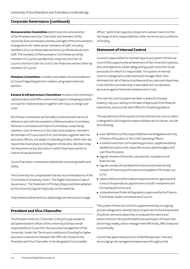*RemunerationCommittee* determines the remuneration of the President and Vice-Chancellor and members of the University Executive Board, and has oversight of the remuneration arrangements for other senior members of staff, including members of our professoriate and senior professional services staff. The members of Remuneration Committee are all lay members of Council; membership comprises the Chair of Council, the Vice-Chair of Council, the Treasurer and two other lay members of Council.

*Pensions Committee* considers and makes recommendations to Council regarding pension matters using expert external advisers.

*Estates & Infrastructure Committee* monitors the University's capital projects and offers advice and support in keeping projects on track for implementation together with input on design and costs.

All of these committees are formally constituted with terms of reference and, with the exception of Remuneration Committee, Pensions Committee and Finance Committee, comprise lay members (one of whom is in the chair) and academic members. All members of Council and of its committees, together with the executive officers, are subject to Standing Orders, which inter alia require the maintenance of a Register of Interests. Members may not be present at any discussion in which they have a direct or indirect financial interest.

Council has other committees tasked with overseeing health and safety.

The University has complied with the key recommendations of the Committee of University Chairs' 'The Higher Education Code of Governance'. The Statement of Primary Responsibilities adopted by the University's governing body can be viewed at:

http://www.southampton.ac.uk/about/governance/council.page

#### **President and Vice-Chancellor**

The President and Vice-Chancellor is the principal academic and administrative officer of the University and has overall responsibility to Council for the executive management of the University. Under the 'Terms and conditions of funding for higher education institutions' between the Office for Students the President and Vice-Chancellor is the designated 'accountable

officer', and in that capacity is required to advise Council on the discharge of all its responsibilities under the terms and conditions of funding.

#### **Statement of Internal Control**

Council is responsible for maintaining a sound system of internal control that supports the achievement of the University's policies, aims and objectives, whilst safeguarding public and other funds and assets for which it is responsible. The system of internal control is designed to understand and manage rather than eliminate the risk of failure to achieve policies, aims and objectives; it can therefore provide only a reasonable, but not absolute, assurance against financial misstatement or loss.

The internal control system has been in place for the year ended 31 July 2021 and up to the date of approval of the financial statements, and accords with Office for Students guidance.

The key elements of the system of internal financial control, which is designed to discharge the responsibilities set out above, include the following:

- clear definitions of the responsibilities and delegated authority of Deans of Faculties or the Chief Operating Officer;
- a medium and short-term planning process, supplemented by detailed annual income, expenditure and capital budgets and cash flow forecasts;
- regular reviews of business, operational, compliance and financial risk;
- regular reviews of overall performance and at least termly reviews of financial performance and updates of forecast outturns;
- clearly defined and formalised requirements for approval and control of expenditure, appointment of staff, investment and borrowing decisions; and
- comprehensive Financial Regulations approved by the Finance Committee, Audit Committee and Council.

The system of internal control is supplemented by an ongoing process designed to identify the principal risks to the achievement of policies, aims and objectives; to evaluate the nature and extent of those risks and the likelihood and impact of those risks becoming a reality; and to manage them efficiently, effectively and economically.

Council has approved a process of identifying major risks and encouraging risk management awareness throughout the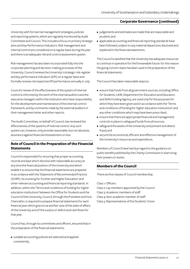University with formal risk management strategies, policies and reporting systems, which are regularly monitored by Audit Committee and Council. This includes a focus on primary strategic aims and Key Performance Indicators. Risk management and internal control are considered on a regular basis during the year and there is an adequate risk and control assessment system.

Risk management has also been incorporated fully into the corporate planning and decision-making processes of the University. Council reviews the University's strategic risk register and key performance indicators (KPI) on a regular basis and formally reviews retrospective KPI performance annually in July.

Council's review of the effectiveness of the system of internal control is informed by the work of the internal auditors and the executive managers within the institution who have responsibility for the development and maintenance of the internal control framework, and by comments made by the external auditors in their management letter and other reports.

The Audit Committee, on behalf of Council, has reviewed the effectiveness of the systems of internal control. Any such system can, however, only provide reasonable, but not absolute, assurance against financial misstatement or loss.

## **Role of Council in the Preparation of the Financial Statements**

Council is responsible for ensuring that proper accounting records are kept which disclose with reasonable accuracy at any time the financial position of the University and which enable it to ensure that the financial statements are prepared in accordance with the 'Statement of Recommended Practice (SORP): Accounting for Further and Higher Education' and other relevant accounting and financial reporting standards. In addition, within the 'Terms and conditions of funding for higher education institutions' between the Office for Students and the Council of the University, Council, through the President and Vice-Chancellor, is required to prepare financial statements for each financial year which give a true and fair view of the state of affairs of the University and of the surplus or deficit and cash flows for that year.

Council has, through its committees and officers, ensured that in the preparation of the financial statements:

• suitable accounting policies are selected and applied consistently;

- judgements and estimates are made that are reasonable and prudent; and
- applicable accounting and financial reporting standards have been followed, subject to any material departures disclosed and explained in the financial statements.

The Council is satisfied that the University has adequate resources to continue in operation for the foreseeable future: for this reason the going concern basis has been used in the preparation of the financial statements.

The Council has taken reasonable steps to:

- ensure that funds from all government sources, including Office for Students, UKRI, Department for Education and Education and Skills Funding Agency, are used only for the purposes for which they have been given and in accordance with the 'Terms and conditions of funding for higher education institutions' and any other conditions which may have been prescribed;
- ensure that there are appropriate financial and management controls in place to safeguard funds from all sources;
- safeguard the assets of the University and prevent and detect fraud; and
- secure the economical, efficient and effective management of the University's resources and expenditure.

Members of Council have had due regard to the guidance on public benefit published by the Charity Commission in exercising their powers or duties.

## **Members of the Council**

There are five classes of Council membership.

Class 1: Officers Class 2: Lay members appointed by the Council Class 3: Academic members of staff Class 4: Non-academic member of staff Class 5: Representatives of the Students' Union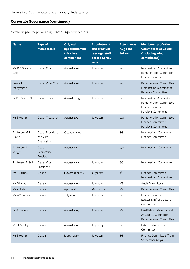Membership for the period 1 August 2020 – 24 November 2021

| <b>Name</b>           | <b>Type of</b><br><b>Membership</b>            | <b>Original</b><br>appointment in<br>this class<br>commenced | <b>Appointment</b><br>end or actual<br>leaving date if<br>before 24 Nov<br>2021 | <b>Attendance</b><br>Aug 2020-<br><b>Jul 2021</b> | <b>Membership of other</b><br><b>Committees of Council</b><br>(including joint<br>committees) |
|-----------------------|------------------------------------------------|--------------------------------------------------------------|---------------------------------------------------------------------------------|---------------------------------------------------|-----------------------------------------------------------------------------------------------|
| Mr PD Greenish<br>CBE | Class 1 Chair                                  | August 2018                                                  | <b>July 2024</b>                                                                | 8/8                                               | Nominations Committee<br>Remuneration Committee<br>Finance Committee                          |
| Dame J<br>Macgregor   | Class 1 Vice-Chair                             | August 2018                                                  | <b>July 2024</b>                                                                | 8/8                                               | Remuneration Committee<br>Nominations Committee<br>Pensions Committee                         |
| Dr D J Price CBE      | Class 1 Treasurer                              | August 2015                                                  | <b>July 2021</b>                                                                | 8/8                                               | Nominations Committee<br>Remuneration Committee<br>Finance Committee<br>Pensions Committee    |
| Mr S Young            | Class 1 Treasurer                              | August 2021                                                  | <b>July 2024</b>                                                                | O/O                                               | <b>Remuneration Committee</b><br><b>Finance Committee</b><br>Pensions Committee               |
| Professor ME<br>Smith | Class 1 President<br>and Vice-<br>Chancellor   | October 2019                                                 |                                                                                 | 8/8                                               | Nominations Committee<br>Finance Committee                                                    |
| Professor P<br>Wright | Class <sub>1</sub><br>Senior Vice<br>President | August 2021                                                  |                                                                                 | O/O                                               | Nominations Committee                                                                         |
| Professor A Neill     | Class 1 Vice<br>President                      | August 2020                                                  | <b>July 2021</b>                                                                | 8/8                                               | Nominations Committee                                                                         |
| <b>Ms F Barnes</b>    | Class <sub>2</sub>                             | November 2016                                                | <b>July 2022</b>                                                                | 7/8                                               | Finance Committee<br>Nominations Committee                                                    |
| Mr G Hobbs            | Class <sub>2</sub>                             | August 2016                                                  | July 2022                                                                       | $7/8$                                             | Audit Committee                                                                               |
| Mr P Hollins          | Class <sub>2</sub>                             | April 2016                                                   | March 2022                                                                      | 7/8                                               | <b>Remuneration Committee</b>                                                                 |
| Mr W Shannon          | Class <sub>2</sub>                             | <b>July 2015</b>                                             | <b>July 2022</b>                                                                | 8/8                                               | Finance Committee<br>Estates & Infrastructure<br>Committee                                    |
| Dr A Vincent          | Class <sub>2</sub>                             | August 2017                                                  | <b>July 2023</b>                                                                | 7/8                                               | Health & Safety Audit and<br>Assurance Committee<br>Remuneration Committee                    |
| Ms H Pawlby           | Class <sub>2</sub>                             | August 2017                                                  | <b>July 2023</b>                                                                | 8/8                                               | Estates & Infrastructure<br>Committee                                                         |
| Mr S Young            | Class <sub>2</sub>                             | <b>March 2019</b>                                            | <b>July 2021</b>                                                                | 8/8                                               | Finance Committee (from<br>September 2019)                                                    |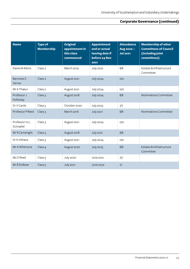| <b>Name</b>                 | <b>Type of</b><br><b>Membership</b> | <b>Original</b><br>appointment in<br>this class<br>commenced | <b>Appointment</b><br>end or actual<br>leaving date if<br>before 24 Nov<br>2021 | <b>Attendance</b><br>Aug 2020-<br><b>Jul 2021</b> | <b>Membership of other</b><br><b>Committees of Council</b><br>(including joint<br>committees) |
|-----------------------------|-------------------------------------|--------------------------------------------------------------|---------------------------------------------------------------------------------|---------------------------------------------------|-----------------------------------------------------------------------------------------------|
| Dame M Atkins               | Class <sub>2</sub>                  | March 2019                                                   | <b>July 2022</b>                                                                | 8/8                                               | Estates & Infrastructure<br>Committee                                                         |
| Baroness S<br>Verma         | Class <sub>2</sub>                  | August 2021                                                  | <b>July 2024</b>                                                                | O/O                                               |                                                                                               |
| Mr A Thakur                 | Class <sub>2</sub>                  | August 2021                                                  | <b>July 2024</b>                                                                | O/O                                               |                                                                                               |
| Professor J<br>Holloway     | Class <sub>3</sub>                  | August 2018                                                  | <b>July 2024</b>                                                                | 8/8                                               | Nominations Committee                                                                         |
| Dr V Cardo                  | Class <sub>3</sub>                  | October 2020                                                 | <b>July 2023</b>                                                                | 7/7                                               |                                                                                               |
| Professor P Reed            | Class <sub>3</sub>                  | March 2016                                                   | <b>July 2021</b>                                                                | 8/8                                               | Nominations Committee                                                                         |
| Professor m.c.<br>Schraefel | Class <sub>3</sub>                  | August 2021                                                  | <b>July 2024</b>                                                                | O/O                                               |                                                                                               |
| Mr R Cartwright             | Class <sub>3</sub>                  | August 2018                                                  | <b>July 2021</b>                                                                | 8/8                                               |                                                                                               |
| Dr K Vithana                | Class <sub>3</sub>                  | August 2021                                                  | <b>July 2024</b>                                                                | O/O                                               |                                                                                               |
| Mr A Whitmore               | Class 4                             | August 2020                                                  | <b>July 2023</b>                                                                | 8/8                                               | Estates & Infrastructure<br>Committee                                                         |
| Ms O Reed                   | Class <sub>5</sub>                  | <b>July 2020</b>                                             | June 2021                                                                       | 7/7                                               |                                                                                               |
| Mr B Dolbear                | Class <sub>5</sub>                  | <b>July 2021</b>                                             | <b>June 2022</b>                                                                | 1/1                                               |                                                                                               |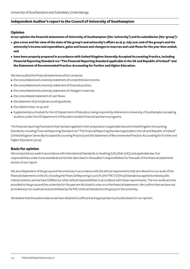#### **Opinion**

**In our opinion the financial statements of University of Southampton (the 'university') and its subsidiaries (the 'group'):**

- **• give a true and fair view of the state of the group's and university's affairs as at 31 July 2021 and of the group's and the university's income and expenditure, gains and losses and changes in reserves and cash flows for the year then ended; and**
- **• have been properly prepared in accordance with United Kingdom Generally Accepted Accounting Practice, including Financial Reporting Standard 102 "The Financial Reporting Standard applicable in the UK and Republic of Ireland" and the Statement of Recommended Practice: Accounting for Further and Higher Education.**

We have audited the financial statements which comprise:

- the consolidated and university statement of comprehensive income;
- the consolidated and university statement of financial position;
- the consolidated and university statement of changes in reserves;
- the consolidated statement of cash flows;
- the statement of principle accounting policies;
- the related notes 1 to 32; and
- Supplementary schedule for the US Department of Education, being required by reference to University of Southampton accepting students under the US Department of Education student financial assistance programs.

The financial reporting framework that has been applied in their preparation is applicable law and United Kingdom Accounting Standards, including Financial Reporting Standard 102 "The Financial Reporting Standard applicable in the UK and Republic of Ireland" (United Kingdom Generally Accepted Accounting Practice) and the Statement of Recommended Practice: Accounting for Further and Higher Education (2019).

## **Basis for opinion**

We conducted our audit in accordance with International Standards on Auditing (UK) (ISAs (UK)) and applicable law. Our responsibilities under those standards are further described in the auditor's responsibilities for the audit of the financial statements section of our report.

We are independent of the group and the university in accordance with the ethical requirements that are relevant to our audit of the financial statements in the UK, including the Financial Reporting Council's (the 'FRC's') Ethical Standard as applied to listed public interest entities, and we have fulfilled our other ethical responsibilities in accordance with these requirements. The non-audit services provided to the group and the university for the year are disclosed in note 10 to the financial statements. We confirm that we have not provided any non-audit services prohibited by the FRC's Ethical Standard to the group or the university.

We believe that the audit evidence we have obtained is sufficient and appropriate to provide a basis for our opinion.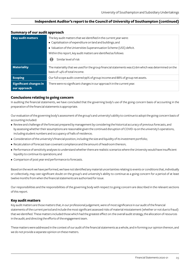| <b>Key audit matters</b>                      | The key audit matters that we identified in the current year were:<br>• Capitalisation of expenditure on land and buildings; and<br>• Valuation of the Universities Superannuation Scheme (USS) deficit. |
|-----------------------------------------------|----------------------------------------------------------------------------------------------------------------------------------------------------------------------------------------------------------|
|                                               | Within this report, key audit matters are identified as follows:                                                                                                                                         |
|                                               | Similar level of risk<br>(<>                                                                                                                                                                             |
| <b>Materiality</b>                            | The materiality that we used for the group financial statements was $£7.6$ m which was determined on the<br>basis of 1.4% of total income.                                                               |
| <b>Scoping</b>                                | Our full scope audit covered 99% of group income and 88% of group net assets.                                                                                                                            |
| <b>Significant changes in</b><br>our approach | There were no significant changes in our approach in the current year.                                                                                                                                   |

## **Summary of our audit approach**

#### **Conclusions relating to going concern**

In auditing the financial statements, we have concluded that the governing body's use of the going concern basis of accounting in the preparation of the financial statements is appropriate.

Our evaluation of the governing body's assessment of the group's and university's ability to continue to adopt the going concern basis of accounting included:

- Review and challenge of the forecast prepared by management by considering the historical accuracy of previous forecasts, and by assessing whether their assumptions are reasonable given the continued disruption of COVID-19 on the university's operations, including student numbers and occupancy of halls of residence;
- Consideration of the university's financial position, including the size and liquidity of its investment portfolio;
- Recalculation of forecast loan covenant compliance and the amount of headroom thereon;
- Performance of sensitivity analyses to understand whether there are realistic scenarios where the University would have insufficient liquidity to continue its operations; and
- Comparison of post year end performance to forecasts.

Based on the work we have performed, we have not identified any material uncertainties relating to events or conditions that, individually or collectively, may cast significant doubt on the group's and university's ability to continue as a going concern for a period of at least twelve months from when the financial statements are authorised for issue.

Our responsibilities and the responsibilities of the governing body with respect to going concern are described in the relevant sections of this report.

#### **Key audit matters**

Key audit matters are those matters that, in our professional judgement, were of most significance in our audit of the financial statements of the current period and include the most significant assessed risks of material misstatement (whether or not due to fraud) that we identified. These matters included those which had the greatest effect on: the overall audit strategy, the allocation of resources in the audit; and directing the efforts of the engagement team.

These matters were addressed in the context of our audit of the financial statements as a whole, and in forming our opinion thereon, and we do not provide a separate opinion on these matters.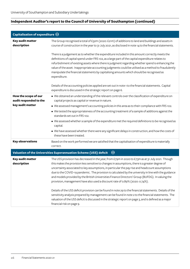| Capitalisation of expenditure $\odot$          |                                                                                                                                                                                                                                                                                                                                                                                                                                                                                                                                                                                                      |
|------------------------------------------------|------------------------------------------------------------------------------------------------------------------------------------------------------------------------------------------------------------------------------------------------------------------------------------------------------------------------------------------------------------------------------------------------------------------------------------------------------------------------------------------------------------------------------------------------------------------------------------------------------|
| Key audit matter<br>description                | The Group recognised a total of £32m (2020: £21m) of additions to land and buildings and assets in<br>course of construction in the year to 31 July 2021, as disclosed in note 14 to the financial statements.                                                                                                                                                                                                                                                                                                                                                                                       |
|                                                | There is a judgement as to whether the expenditure included in this amount correctly meets the<br>definitions of capital spend under FRS 102, as a large part of the capital expenditure relates to<br>refurbishment of existing assets where there is judgment regarding whether spend is enhancing the<br>value of the asset. Inappropriate accounting judgments could be utilised as a method to fraudulently<br>manipulate the financial statements by capitalising amounts which should be recognised as<br>expenditure.                                                                        |
|                                                | Details of the accounting policies applied are set out in note 1 to the financial statements. Capital<br>expenditure is discussed in the strategic report on page 6.                                                                                                                                                                                                                                                                                                                                                                                                                                 |
| How the scope of our<br>audit responded to the | • We obtained an understanding of the relevant controls over the classification of expenditure on<br>capital projects as capital or revenue in nature.                                                                                                                                                                                                                                                                                                                                                                                                                                               |
| key audit matter                               | • We assessed management's accounting policies in this area as to their compliance with FRS 102.                                                                                                                                                                                                                                                                                                                                                                                                                                                                                                     |
|                                                | • We tested the appropriateness of the accounting treatment of a sample of additions against the<br>standards set out in FRS 102.                                                                                                                                                                                                                                                                                                                                                                                                                                                                    |
|                                                | • We assessed whether a sample of the expenditure met the required definitions to be recognised as<br>capital.                                                                                                                                                                                                                                                                                                                                                                                                                                                                                       |
|                                                | . We have assessed whether there were any significant delays in construction, and how the costs of<br>these have been treated.                                                                                                                                                                                                                                                                                                                                                                                                                                                                       |
| <b>Key observations</b>                        | Based on the work performed we are satisfied that the capitalisation of expenditure is materially<br>correct.                                                                                                                                                                                                                                                                                                                                                                                                                                                                                        |
|                                                | Valuation of the Universities Superannuation Scheme (USS) deficit<br>$\odot$                                                                                                                                                                                                                                                                                                                                                                                                                                                                                                                         |
| <b>Key audit matter</b><br>description         | The USS provision has decreased in the year, from £79m in 2020 to £73m as at 31 July 2021. Though<br>this makes the provision less sensitive to changes in assumptions, there is a greater degree of<br>uncertainty associated to key assumptions, in particular the pay rise and headcount assumptions<br>due to the COVID-19 pandemic. The provision is calculated by the university in line with the guidance<br>and models provided by the British Universities Finance Directors' Group (BUFDG). In valuing the<br>provision, management have also used a discount rate of 0.89% (2020: 0.74%). |
|                                                | Details of the USS deficit provision can be found in note 29 to the financial statements. Details of the<br>sensitivity analysis prepared by management can be found in note 2 to the financial statements. The<br>valuation of the USS deficit is discussed in the strategic report on page 3, and is defined as a major<br>financial risk on page 9.                                                                                                                                                                                                                                               |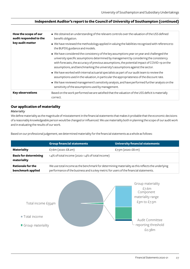| How the scope of our<br>audit responded to the | • We obtained an understanding of the relevant controls over the valuation of the USS defined<br>benefit obligation.                                                                                                                                                                                                                                                      |
|------------------------------------------------|---------------------------------------------------------------------------------------------------------------------------------------------------------------------------------------------------------------------------------------------------------------------------------------------------------------------------------------------------------------------------|
| key audit matter                               | • We have reviewed the methodology applied in valuing the liabilities recognised with reference to<br>the BUFDG guidance and models.                                                                                                                                                                                                                                      |
|                                                | • We have considered the consistency of the key assumptions year on year and challenged the<br>university specific assumptions determined by management by considering the consistency<br>with forecasts, the accuracy of previous assumptions, the potential impact of COVID-19 on the<br>assumptions, and benchmarking the university's assumptions against the sector. |
|                                                | . We have worked with internal actuarial specialists as part of our audit team to review the<br>assumptions used in the valuation, in particular the appropriateness of the discount rate.                                                                                                                                                                                |
|                                                | • We have reviewed management's sensitivity analysis, and have performed further analysis on the<br>sensitivity of the assumptions used by management.                                                                                                                                                                                                                    |
| <b>Key observations</b>                        | Based on the work performed we are satisfied that the valuation of the USS deficit is materially<br>correct.                                                                                                                                                                                                                                                              |

## **Our application of materiality**

#### *Materiality*

We define materiality as the magnitude of misstatement in the financial statements that makes it probable that the economic decisions of a reasonably knowledgeable person would be changed or influenced. We use materiality both in planning the scope of our audit work and in evaluating the results of our work.

Based on our professional judgement, we determined materiality for the financial statements as a whole as follows:

|                                               | <b>Group financial statements</b>                                                                                                                                                          | <b>University financial statements</b> |  |  |  |
|-----------------------------------------------|--------------------------------------------------------------------------------------------------------------------------------------------------------------------------------------------|----------------------------------------|--|--|--|
| <b>Materiality</b>                            | £7.6m (2020: £8.2m)                                                                                                                                                                        | £7.5m $(2020:£8.1m)$                   |  |  |  |
| <b>Basis for determining</b><br>materiality   | 1.4% of total income (2020: 1.4% of total income)                                                                                                                                          |                                        |  |  |  |
| <b>Rationale for the</b><br>benchmark applied | We use total income as the benchmark for determining materiality as this reflects the underlying<br>performance of the business and is a key metric for users of the financial statements. |                                        |  |  |  |

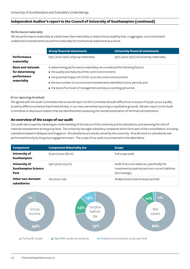#### *Performance materiality*

We set performance materiality at a level lower than materiality to reduce the probability that, in aggregate, uncorrected and undetected misstatements exceed the materiality for the financial statements as a whole

|                                                                             | <b>Group financial statements</b>                                                                                                                                                                                                                                                          | <b>University financial statements</b>    |  |  |  |
|-----------------------------------------------------------------------------|--------------------------------------------------------------------------------------------------------------------------------------------------------------------------------------------------------------------------------------------------------------------------------------------|-------------------------------------------|--|--|--|
| <b>Performance</b><br>materiality                                           | 65% (2020: 65%) of group materiality                                                                                                                                                                                                                                                       | 65% (2020: 65%) of university materiality |  |  |  |
| <b>Basis and rationale</b><br>for determining<br>performance<br>materiality | In determining performance materiality, we considered the following factors:<br>• the quality and maturity of the control environment;<br>• the potential impact of COVID-19 on the control environment;<br>• the low number of uncorrected misstatements identified in prior periods; and |                                           |  |  |  |
|                                                                             | • the level of turnover of management and key accounting personnel.                                                                                                                                                                                                                        |                                           |  |  |  |

#### *Error reporting threshold*

We agreed with the Audit Committee that we would report to the Committee all audit differences in excess of £379k (2020: £408k), as well as differences below that threshold that, in our view, warranted reporting on qualitative grounds. We also report to the Audit Committee on disclosure matters that we identified when assessing the overall presentation of the financial statements.

## **An overview of the scope of our audit**

Our audit was scoped by obtaining an understanding of the nature of the university and its subsidiaries, and assessing the risks of material misstatement at the group level. The university has eight subsidiary companies which form part of the consolidation, including subsidiaries based in Malaysia and Singapore. All subsidiaries are wholly owned by the university. All audit work on subsidiaries was performed directly by the group engagement team. The scope of our audit is summarised in the table below.

| <b>Component</b>                                    | <b>Component Materiality £m</b> | <b>Scope</b>                                                                                                      |
|-----------------------------------------------------|---------------------------------|-------------------------------------------------------------------------------------------------------------------|
| University of<br>Southampton                        | £7.5m (2020: £8.1m)             | Full scope audit.                                                                                                 |
| University of<br><b>Southampton Science</b><br>Park | f3m(2020; f3.2m)                | Audit of account balances, specifically the<br>investment properties and non-current liabilities<br>(borrowings). |
| <b>Other non-dormant</b><br>subsidiaries            | $n/a$ (2020: $n/a$ )            | Analytical procedures at group level.                                                                             |

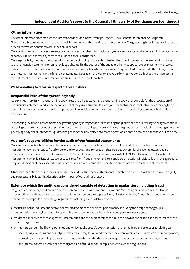#### **Other information**

The other information comprises the information included in the Strategic Report, Public Benefit Statement and Corporate Governance Statement, other than the financial statements and our auditor's report thereon. The governing body is responsible for the other information contained within the annual report.

Our opinion on the financial statements does not cover the other information and, except to the extent otherwise explicitly stated in our report, we do not express any form of assurance conclusion thereon.

Our responsibility is to read the other information and, in doing so, consider whether the other information is materially inconsistent with the financial statements or our knowledge obtained in the course of the audit, or otherwise appears to be materially misstated. If we identify such material inconsistencies or apparent material misstatements, we are required to determine whether this gives rise to a material misstatement in the financial statements. If, based on the work we have performed, we conclude that there is a material misstatement of this other information, we are required to report that fact.

#### **We have nothing to report in respect of these matters.**

#### **Responsibilities of the governing body**

As explained more fully in the governing body's responsibilities statement, the governing body is responsible for the preparation of the financial statements and for being satisfied that they give a true and fair view, and for such internal control as the governing body determines is necessary to enable the preparation of financial statements that are free from material misstatement, whether due to fraud or error.

In preparing the financial statements, the governing body is responsible for assessing the group's and the university's ability to continue as a going concern, disclosing as applicable, matters related to going concern and using the going concern basis of accounting unless the governing body either intends to liquidate the group or the university or to cease operations, or has no realistic alternative but to do so.

#### **Auditor's responsibilities for the audit of the financial statements**

Our objectives are to obtain reasonable assurance about whether the financial statements as a whole are free from material misstatement, whether due to fraud or error, and to issue an auditor's report that includes our opinion. Reasonable assurance is a high level of assurance, but is not a guarantee that an audit conducted in accordance with ISAs (UK) will always detect a material misstatement when it exists. Misstatements can arise from fraud or error and are considered material if, individually or in the aggregate, they could reasonably be expected to influence the economic decisions of users taken on the basis of these financial statements.

A further description of our responsibilities for the audit of the financial statements is located on the FRC's website at: www.frc.org.uk/ auditorsresponsibilities. This description forms part of our auditor's report.

#### **Extent to which the audit was considered capable of detecting irregularities, including fraud**

Irregularities, including fraud, are instances of non-compliance with laws and regulations. We design procedures in line with our responsibilities, outlined above, to detect material misstatements in respect of irregularities, including fraud. The extent to which our procedures are capable of detecting irregularities, including fraud is detailed below.

- the nature of the industry and sector, control environment and business performance including the design of the group's remuneration policies, key drivers for governing body remuneration, bonus levels and performance targets;
- results of our enquiries of management, internal audit and the audit committee about their own identification and assessment of the risks of irregularities;
- any matters we identified having obtained and reviewed the group's documentation of their policies and procedures relating to:
	- − identifying, evaluating and complying with laws and regulations and whether they were aware of any instances of non-compliance;
	- − detecting and responding to the risks of fraud and whether they have knowledge of any actual, suspected or alleged fraud;
	- − the internal controls established to mitigate risks of fraud or non-compliance with laws and regulations;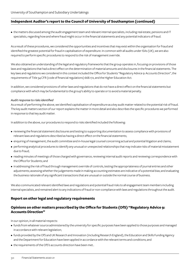• the matters discussed among the audit engagement team and relevant internal specialists, including real estate, pensions and IT specialists, regarding how and where fraud might occur in the financial statements and any potential indicators of fraud.

As a result of these procedures, we considered the opportunities and incentives that may exist within the organisation for fraud and identified the greatest potential for fraud in capitalisation of expenditure. In common with all audits under ISAs (UK), we are also required to perform specific procedures to respond to the risk of management override.

We also obtained an understanding of the legal and regulatory frameworks that the group operates in, focusing on provisions of those laws and regulations that had a direct effect on the determination of material amounts and disclosures in the financial statements. The key laws and regulations we considered in this context included the Office for Students "Regulatory Advice 9: Accounts Direction", the requirements of Title 34 CFR (code of financial regulations) 668.172, and the Higher Education Act.

In addition, we considered provisions of other laws and regulations that do not have a direct effect on the financial statements but compliance with which may be fundamental to the group's ability to operate or to avoid a material penalty.

#### *Audit response to risks identified*

As a result of performing the above, we identified capitalisation of expenditure as a key audit matter related to the potential risk of fraud. The key audit matters section of our report explains the matter in more detail and also describes the specific procedures we performed in response to that key audit matter.

In addition to the above, our procedures to respond to risks identified included the following:

- reviewing the financial statement disclosures and testing to supporting documentation to assess compliance with provisions of relevant laws and regulations described as having a direct effect on the financial statements;
- enquiring of management, the audit committee and in-house legal counsel concerning actual and potential litigation and claims;
- performing analytical procedures to identify any unusual or unexpected relationships that may indicate risks of material misstatement due to fraud;
- reading minutes of meetings of those charged with governance, reviewing internal audit reports and reviewing correspondence with the Office for Students; and
- in addressing the risk of fraud through management override of controls, testing the appropriateness of journal entries and other adjustments; assessing whether the judgements made in making accounting estimates are indicative of a potential bias; and evaluating the business rationale of any significant transactions that are unusual or outside the normal course of business.

We also communicated relevant identified laws and regulations and potential fraud risks to all engagement team members including internal specialists, and remained alert to any indications of fraud or non-compliance with laws and regulations throughout the audit.

## **Report on other legal and regulatory requirements**

## **Opinions on other matters prescribed by the Office for Students (OfS) "Regulatory Advice 9: Accounts Direction"**

In our opinion, in all material respects:

- funds from whatever source administered by the university for specific purposes have been applied to those purposes and managed in accordance with relevant legislation;
- funds provided by the OfS and UK Research and Innovation (including Research England), the Education and Skills Funding Agency and the Department for Education have been applied in accordance with the relevant terms and conditions; and
- the requirements of the OfS's accounts direction have been met..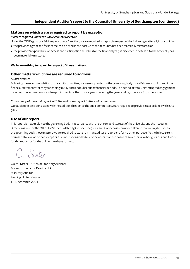#### **Matters on which we are required to report by exception**

*Matters required under the OfS Accounts Direction*

Under the OfS Regulatory Advice 9: Accounts Direction, we are required to report in respect of the following matters if, in our opinion:

- the provider's grant and fee income, as disclosed in the note 4b to the accounts, has been materially misstated; or
- the provider's expenditure on access and participation activities for the financial year, as disclosed in note 12b to the accounts, has been materially misstated.

#### **We have nothing to report in respect of these matters.**

#### **Other matters which we are required to address**

#### *Auditor tenure*

Following the recommendation of the audit committee, we were appointed by the governing body on 20 February 2018 to audit the financial statements for the year ending 31 July 2018 and subsequent financial periods. The period of total uninterrupted engagement including previous renewals and reappointments of the firm is 4 years, covering the years ending 31 July 2018 to 31 July 2021.

#### *Consistency of the audit report with the additional report to the audit committee*

Our audit opinion is consistent with the additional report to the audit committee we are required to provide in accordance with ISAs (UK).

#### **Use of our report**

This report is made solely to the governing body in accordance with the charter and statutes of the university and the Accounts Direction issued by the Office for Students dated 25 October 2019. Our audit work has been undertaken so that we might state to the governing body those matters we are required to state to it in an auditor's report and for no other purpose. To the fullest extent permitted by law, we do not accept or assume responsibility to anyone other than the board of governors as a body, for our audit work, for this report, or for the opinions we have formed.

C. Siviter

Claire Siviter FCA (Senior Statutory Auditor) For and on behalf of Deloitte LLP Statutory Auditor Reading, United Kingdom 10 December 2021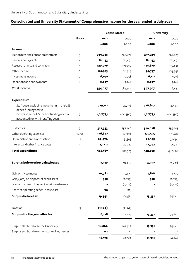## **Consolidated and University Statement of Comprehensive Income for the year ended 31 July 2021**

|                                                                                    |              |          | <b>Consolidated</b> | <b>University</b> |           |
|------------------------------------------------------------------------------------|--------------|----------|---------------------|-------------------|-----------|
|                                                                                    | <b>Notes</b> | 2021     | 2020                | 2021              | 2020      |
|                                                                                    |              | £000     | £000                | £000              | £000      |
| Income                                                                             |              |          |                     |                   |           |
| Tuition fees and education contracts                                               | 3            | 239,028  | 266,472             | 237,029           | 264,825   |
| Funding body grants                                                                | 4            | 84,153   | 78,491              | 84,153            | 78,491    |
| Research grants and contracts                                                      | 5            | 120,076  | 119,950             | 119,670           | 119,434   |
| Other income                                                                       | 6            | 101,703  | 106,929             | 97,757            | 103,942   |
| Investment income                                                                  | 7            | 6,140    | 7,758               | 6,121             | 7,996     |
| Donations and endowments                                                           | 8            | 2,977    | 3,744               | 2,977             | 3,744     |
| <b>Total income</b>                                                                |              | 554,077  | 583,344             | 547,707           | 578,432   |
| <b>Expenditure</b>                                                                 |              |          |                     |                   |           |
| Staff costs excluding movements in the USS<br>deficit funding accrual              | 9            | 329,112  | 322,396             | 326,807           | 320,355   |
| Decrease in the USS deficit funding accrual<br>accounted for within staffing costs | 9            | (6,779)  | (64, 450)           | (6,779)           | (64, 450) |
| Staff costs                                                                        | 9            | 322,333  | 257,946             | 320,028           | 255,905   |
| Other operating expenses                                                           | 10/12        | 176,627  | 177,194             | 175,555           | 175,728   |
| Depreciation and amortisation                                                      | 12           | 29,476   | 31,363              | 29,195            | 31,098    |
| Interest and other finance costs                                                   | 11           | 17,731   | 20,222              | 17,972            | 20,133    |
| <b>Total expenditure</b>                                                           |              | 546,167  | 486,725             | 542,750           | 482,864   |
| <b>Surplus before other gains/losses</b>                                           |              | 7,910    | 96,619              | 4,957             | 95,568    |
| Gain on investments                                                                |              | 10,782   | 10,473              | 7,816             | 1,790     |
| Gain/(loss) on disposal of fixed assets                                            |              | 558      | (1,035)             | 558               | (1,035)   |
| Loss on disposal of current asset investments                                      |              |          | (1,475)             |                   | (1,475)   |
| Share of operating deficit in associate                                            |              | 92       | (11)                |                   |           |
| <b>Surplus before tax</b>                                                          |              | 19,342   | 104,571             | 13,331            | 94,848    |
| Taxation                                                                           | 13           | (1, 164) | (1, 867)            |                   |           |
| Surplus for the year after tax                                                     |              | 18,178   | 102,704             | 13,331            | 94,848    |
| Surplus attributable to the University                                             |              | 18,066   | 101,429             | 13,331            | 94,848    |
| Surplus attributable to non-controlling interest                                   |              | 112      | 1,275               |                   |           |
|                                                                                    |              | 18,178   | 102,704             | 13,331            | 94,848    |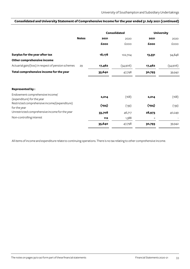## **Consolidated and University Statement of Comprehensive Income for the year ended 31 July 2021 (continued)**

|                                                               | <b>Notes</b> |        | <b>Consolidated</b> | <b>University</b> |          |
|---------------------------------------------------------------|--------------|--------|---------------------|-------------------|----------|
|                                                               |              | 2021   | 2020                | 2021              | 2020     |
|                                                               |              | £000   | £000                | £000              | £000     |
| Surplus for the year after tax                                |              | 18,178 | 102,704             | 13,331            | 94,848   |
| Other comprehensive income                                    |              |        |                     |                   |          |
| Actuarial gain/(loss) in respect of pension schemes           | 29           | 17,462 | (54,906)            | 17,462            | (54,906) |
| Total comprehensive income for the year                       |              | 35,640 | 47,798              | 30,793            | 39,942   |
| <b>Represented by:</b>                                        |              |        |                     |                   |          |
| Endowment comprehensive income/<br>(expenditure) for the year |              | 2,014  | (168)               | 2,014             | (168)    |
| Restricted comprehensive income/(expenditure)<br>for the year |              | (194)  | (139)               | (194)             | (139)    |
| Unrestricted comprehensive income for the year                |              | 33,708 | 46,717              | 28,973            | 40,249   |
| Non-controlling interest                                      |              | 112    | 1,388               |                   |          |
|                                                               |              | 35,640 | 47,798              | 30,793            | 39,942   |

All items of income and expenditure relate to continuing operations. There is no tax relating to other comprehensive income.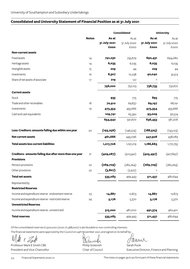## **Consolidated and University Statement of Financial Position as at 31 July 2021**

|                                                         | <b>Notes</b> | <b>Consolidated</b> |              | <b>University</b> |              |
|---------------------------------------------------------|--------------|---------------------|--------------|-------------------|--------------|
|                                                         |              | As at               | As at        | As at             | As at        |
|                                                         |              | 31 July 2021        | 31 July 2020 | 31 July 2021      | 31 July 2020 |
|                                                         |              | £000                | £000         | £000              | £000         |
| <b>Non-current assets</b>                               |              |                     |              |                   |              |
| <b>Fixed assets</b>                                     | 14           | 741,230             | 735,679      | 692,431           | 694,080      |
| Heritage assets                                         | 14           | 6,035               | 6,035        | 6,035             | 6,035        |
| Intangible assets                                       | 15           | 229                 | 44           | 229               | 44           |
| Investments                                             | 16           | 8,307               | 10,238       | 40,040            | 32,513       |
| Share of net assets of associate                        | 17           | 219                 | 127          |                   |              |
|                                                         |              | 756,020             | 752,123      | 738,735           | 732,672      |
| <b>Current assets</b>                                   |              |                     |              |                   |              |
| Stock                                                   |              | 935                 | 775          | 893               | 775          |
| Trade and other receivables                             | 18           | 70,912              | 69,837       | 69,197            | 68,191       |
| Investments                                             | 19           | 473,354             | 455,666      | 473,354           | 455,666      |
| Cash and cash equivalents                               |              | 109,741             | 65,392       | 93,009            | 56,574       |
|                                                         |              | 654,942             | 591,670      | 636,453           | 581,206      |
| Less: Creditors: amounts falling due within one year    | 20           | (193, 256)          | (146, 574)   | (188, 525)        | (143, 123)   |
| <b>Net current assets</b>                               |              | 461,686             | 445,096      | 447,928           | 438,083      |
| <b>Total assets less current liabilities</b>            |              | 1,217,706           | 1,197,219    | 1,186,663         | 1,170,755    |
| Creditors: amounts falling due after more than one year | 21           | (409, 087)          | (412,540)    | (405, 497)        | (407, 847)   |
| <b>Provisions</b>                                       |              |                     |              |                   |              |
| Pension provisions                                      | 22           | (269,729)           | (282, 264)   | (269,729)         | (282, 264)   |
| Other provisions                                        | 22           | (3,807)             | (2,972)      |                   |              |
| <b>Total net assets</b>                                 |              | 535,083             | 499,443      | 511,437           | 480,644      |
| Represented by:                                         |              |                     |              |                   |              |
| <b>Restricted Reserves</b>                              |              |                     |              |                   |              |
| Income and expenditure reserve - endowment reserve      | 23           | 14,887              | 12,873       | 14,887            | 12,873       |
| Income and expenditure reserve - restricted reserve     | 24           | 5,176               | 5,370        | 5,176             | 5,370        |
| <b>Unrestricted Reserves</b>                            |              |                     |              |                   |              |
| Income and expenditure reserve - unrestricted           |              | 515,020             | 481,200      | 491,374           | 462,401      |
| <b>Total reserves</b>                                   |              | 535,083             | 499,443      | 511,437           | 480,644      |

Of the consolidated reserves £1,500,000 (2020: £1,388,000) is attributable to non-controlling interests.

The financial statements were approved by the Council on 24th November 2021, and signed on its behalf by:

 $\sqrt{2}$  $E \gg 1$ ol/l

Professor Mark E Smith CBE Philip Greenish Sarah Pook

Denumber

Traw

President and Vice-Chancellor Chair of Council Executive Director, Finance and Planning

Financial Statements 2020-21 The notes on pages 39 to 90 form part of these financial statements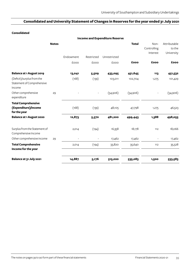## **Consolidated and University Statement of Changes in Reserves for the year ended 31 July 2021**

### **Consolidated**

|                                                                    |              |           |            | <b>Income and Expenditure Reserve</b> |              |                                 |                                      |
|--------------------------------------------------------------------|--------------|-----------|------------|---------------------------------------|--------------|---------------------------------|--------------------------------------|
|                                                                    | <b>Notes</b> |           |            |                                       | <b>Total</b> | Non-<br>Controlling<br>Interest | Attributable<br>to the<br>University |
|                                                                    |              | Endowment | Restricted | Unrestricted                          |              |                                 |                                      |
|                                                                    |              | £000      | £000       | £000                                  | £000         | £000                            | £000                                 |
| <b>Balance at 1 August 2019</b>                                    |              | 13,041    | 5,509      | 433,095                               | 451,645      | 113                             | 451,532                              |
| (Deficit)/surplus from the<br>Statement of Comprehensive<br>Income |              | (168)     | (139)      | 103,011                               | 102,704      | 1,275                           | 101,429                              |
| Other comprehensive<br>expenditure                                 | 29           |           |            | (54,906)                              | (54,906)     |                                 | (54,906)                             |
| <b>Total Comprehensive</b><br>(Expenditure)/income<br>for the year |              | (168)     | (139)      | 48,105                                | 47,798       | 1,275                           | 46,523                               |
| <b>Balance at 1 August 2020</b>                                    |              | 12,873    | 5,370      | 481,200                               | 499,443      | 1,388                           | 498,055                              |
| Surplus from the Statement of<br>Comprehensive Income              |              | 2,014     | (194)      | 16,358                                | 18,178       | 112                             | 18,066                               |
| Other comprehensive income                                         | 29           |           |            | 17,462                                | 17,462       |                                 | 17,462                               |
| <b>Total Comprehensive</b><br>Income for the year                  |              | 2,014     | (194)      | 33,820                                | 35,640       | 112                             | 35,528                               |
| Balance at 31 July 2021                                            |              | 14,887    | 5,176      | 515,020                               | 535,083      | 1,500                           | 533,583                              |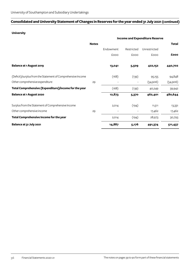## **Consolidated and University Statement of Changes in Reserves for the year ended 31 July 2021 (continued)**

### **University**

|                                                              |              |                          |                          | <b>Income and Expenditure Reserve</b> |              |
|--------------------------------------------------------------|--------------|--------------------------|--------------------------|---------------------------------------|--------------|
|                                                              | <b>Notes</b> |                          |                          |                                       | <b>Total</b> |
|                                                              |              | Endowment                | Restricted               | Unrestricted                          |              |
|                                                              |              | £000                     | £000                     | £000                                  | £000         |
| <b>Balance at 1 August 2019</b>                              |              | 13,041                   | 5,509                    | 422,152                               | 440,702      |
| (Deficit)/surplus from the Statement of Comprehensive Income |              | (168)                    | (139)                    | 95,155                                | 94,848       |
| Other comprehensive expenditure                              | 29           | $\overline{\phantom{a}}$ | $\overline{\phantom{a}}$ | (54,906)                              | (54,906)     |
| Total Comprehensive (Expenditure)/income for the year        |              | (168)                    | (139)                    | 40,249                                | 39,942       |
| <b>Balance at 1 August 2020</b>                              |              | 12,873                   | 5,370                    | 462,401                               | 480,644      |
| Surplus from the Statement of Comprehensive Income           |              | 2,014                    | (194)                    | 11,511                                | 13,331       |
| Other comprehensive income                                   | 29           | $\overline{\phantom{a}}$ |                          | 17,462                                | 17,462       |
| Total Comprehensive Income for the year                      |              | 2,014                    | (194)                    | 28,973                                | 30,793       |
| Balance at 31 July 2021                                      |              | 14,887                   | 5,176                    | 491,374                               | 511,437      |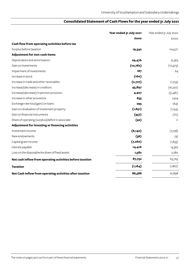## **Consolidated Statement of Cash Flows for the year ended 31 July 2021**

|                                                           | Year ended 31 July 2021 | Year ended 31 July 2020 |
|-----------------------------------------------------------|-------------------------|-------------------------|
|                                                           | £000                    | <b>EOOO</b>             |
| Cash flow from operating activities before tax            |                         |                         |
| Surplus before taxation                                   | 19,342                  | 104,571                 |
| Adjustment for non-cash items                             |                         |                         |
| Depreciation and amortisation                             | 29,476                  | 31,363                  |
| Gain on investments                                       | (10,782)                | (10, 473)               |
| Impairment of investments                                 | 187                     | 64                      |
| Increase in stock                                         | (160)                   |                         |
| Increase in trade and other receivables                   | (2,727)                 | (1,753)                 |
| Increase/(decrease) in creditors                          | 45,897                  | (16, 220)               |
| Increase/(decrease) in pension provision                  | 4,927                   | (51, 481)               |
| Increase in other provisions                              | 835                     | 1,924                   |
| Exchange rate loss/(gain) on loans                        | 295                     | (64)                    |
| Gain on revaluation of investment property                | (1,651)                 | (1, 154)                |
| Gain on financial instruments                             | (357)                   | (70)                    |
| Share of operating (surplus)/deficit in associate         | (92)                    | 11                      |
| Adjustment for investing or financing activities          |                         |                         |
| Investment income                                         | (6, 140)                | (7,758)                 |
| New endowments                                            | (36)                    | (4)                     |
| Capital grant income                                      | (7, 260)                | (1, 833)                |
| Interest payable                                          | 14,416                  | 14,362                  |
| Loss on the disposal/write down of fixed assets           | 1,582                   | 2,280                   |
| Net cash inflow from operating activities before taxation | 87,752                  | 63,765                  |
| <b>Taxation</b>                                           | (1, 164)                | (1, 867)                |
| Net Cash Inflow from operating activities after taxation  | 86,588                  | 61,898                  |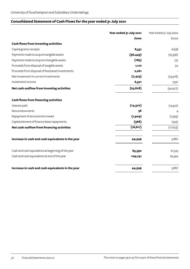## **Consolidated Statement of Cash Flows for the year ended 31 July 2021**

|                                                    | Year ended 31 July 2021 | Year ended 31 July 2020 |
|----------------------------------------------------|-------------------------|-------------------------|
|                                                    | £000                    | £000                    |
| <b>Cash flows from investing activities</b>        |                         |                         |
| Capital grants receipts                            | 8,531                   | 6,638                   |
| Payments made to acquire tangible assets           | (36, 443)               | (25,336)                |
| Payments made to acquire intangible assets         | (185)                   | (2)                     |
| Proceeds from disposal of tangible assets          | 1,110                   | 50                      |
| Proceeds from disposal of fixed asset investments  | 2,261                   |                         |
| Net investment in current investments              | (7, 423)                | (29, 918)               |
| Investment income                                  | 6,521                   | 7,591                   |
| Net cash outflow from investing activities         | (25, 628)               | (40, 977)               |
| <b>Cash flows from financing activities</b>        |                         |                         |
| Interest paid                                      | (14, 370)               | (14, 322)               |
| New endowments                                     | 36                      | 4                       |
| Repayment of amounts borrowed                      | (1,909)                 | (2,393)                 |
| Capital element of finance lease repayments        | (368)                   | (343)                   |
| Net cash outflow from financing activities         | (16, 611)               | (17,054)                |
| Increase in cash and cash equivalents in the year  | 44,349                  | 3,867                   |
| Cash and cash equivalents at beginning of the year | 65,392                  | 61,525                  |
| Cash and cash equivalents at end of the year       | 109,741                 | 65,392                  |
| Increase in cash and cash equivalents in the year  | 44,349                  | 3,867                   |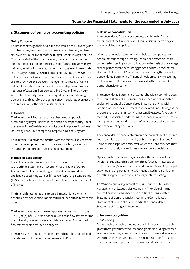## **1. Statement of principal accounting policies**

### **Going Concern**

The impact of the global COVID-19 pandemic on the University and its subsidiaries, along with downside scenario planning, has been reviewed by Council as part of the Budget Report in July 2021. The Council is satisfied that the University has adequate resources to continue in operation for the foreseeable future. The University's net debt, as set out in note 25, moved from £345.6 million net debt as at 31 July 2020 to £298.9 million as at 31 July 2021. However, the net debt does not take into account the investment portfolio held as part of University's treasury management strategy of £473.4 million. If this is taken into account, the overall position is adjusted net funds of £174.5 million, compared to £110.1 million at 31 July 2020. The University has sufficient liquidity for its continuing operations and therefore the going concern basis has been used in the preparation of the financial statements.

### **a. General**

The University of Southampton is a chartered corporation established by Royal Charter in 1952, and an exempt charity under the terms of the Charities Act 2011. Its principal place of business is University Road, Southampton, Hampshire, United Kingdom.

The University's activities, together with the factors likely to affect its future development, performance and position, are set out in the Strategic Report and Public Benefit Statement.

### **b. Basis of accounting**

These financial statements have been prepared in accordance with both the Statement of Recommended Practice (SORP): Accounting for Further and Higher Education 2019 and the applicable accounting standard Financial Reporting Standard 102 (FRS 102). The financial statements comply with the requirements of FRS 102.

The financial statements are prepared in accordance with the historical cost convention, modified to include certain items at fair value.

The University has taken the exemption under section 3.3 of the SORP (1.12(b) of FRS 102) to not produce a cash flow statement for the University in its separate financial statements. A group cash flow statement in provided on page 37.

The University is a public benefit entity and therefore has applied the relevant public benefit requirements of FRS 102.

### **c. Basis of consolidation**

The consolidated financial statements combine the financial statements of the University and its subsidiary undertakings for the financial year to 31 July.

Where the financial statements of subsidiary companies are denominated in foreign currency, income and expenditure are converted to sterling for consolidation on the basis of the average exchange rate for the accounting period and the Consolidated Statement of Financial Position is converted using the rate at the Consolidated Statement of Financial Position date. Any resulting exchange rate differences are recognised in the Statement of Comprehensive Income.

The consolidated Statement of Comprehensive Income includes the Group's share of the comprehensive income of associated undertakings and the Consolidated Statement of Financial Position includes the investment in associated undertakings at the Group's share of their underlying net tangible assets (the 'equity method'). Associated undertakings are those in which the Group has significant, but not dominant, influence over their commercial and financial policy decisions.

The consolidated financial statements do not include the income and expenditure of the University of Southampton Students' Union as it is a separate entity over which the University does not exert control or significant influence over policy decisions.

Operational decision making is based on the activities of the whole institution, and this, along with the fact that materially all of the University's income and expenditure relates to its principal activities and originates in the UK, means that there is only one operating segment, and there is no segmental reporting.

A 20% non-controlling interest exists in Southampton Asset Management Ltd, a subsidiary company. The value of the noncontrolling interest has been disclosed in the Consolidated Statement of Comprehensive Income, the Consolidated Statement of Financial Position and in the Consolidated Statement of Changes in Reserves.

### **d. Income recognition**

### *Grant funding*

Grant funding including funding council block grants, research grants from government sources and grants (including research grants) from non-government sources are recognised as income when the University is entitled to the income and performance related conditions specified in the agreement have been met. In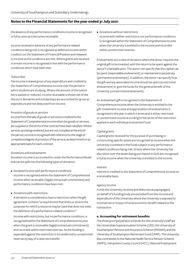the absence of any performance conditions income is recognised in full as soon as it becomes receivable.

Income received in advance of any performance related conditions being met is recognised as deferred income within creditors on the Statement of Financial Position and released to income as the conditions are met. Where grants are received in arrears income is recognised in line with the performance conditions which have been met.

### *Tuition fees*

Fee income is stated gross of any expenditure and credited to the Statement of Comprehensive Income over the period in which students are studying. Where the amount of the tuition fee is waived or reduced, income receivable is shown net of the discount. Bursaries and scholarships are accounted for gross as expenditure and not deducted from income.

### *Provision of goods or services*

Income from the sale of goods or services is credited to the Statement of Comprehensive Income when the goods or services are supplied or the terms of the contract have been satisfied. Where services are being rendered, but are not complete at the end of the period, income is recognised with reference to the stage of completion/degree of provision of the service, as determined on an appropriate basis for each contract.

### *Donations and endowments*

Donation income is accounted for under the Performance Model and can be split into the following types of donation:

- *• Donated income with performance conditions* Income is recognised within the Statement of Comprehensive Income when receivable (legal/contractual commitment) and performance conditions have been met.
- *• Donations with restrictions*

A donation is considered to have a restriction when the gift agreement contains "a requirement that limits or directs the purposes for which a resource may be used that does not meet the definition of a performance-related condition."

Income with restrictions, but no performance conditions, is recognised within the Statement of Comprehensive Income when the grant is receivable (legal/contractual commitment) and recorded within restricted reserves. As the funding is expended against the restriction it is transferred to unrestricted reserves by way of a reserves transfer.

### *• Donations without restrictions*

Income with neither restrictions nor performance conditions is recognised within the Statement of Comprehensive Income when the University is entitled to the income and recorded within unrestricted reserves.

Endowments are a class of donation where the donor requires the original gift to be invested, with the return to be spent against the donor's charitable aims. The donor can specify that the capital can be spent (expendable endowment) or maintained in perpetuity (permanent endowment). In addition, the donor can specify how the gift and any associated income should be spent (a restricted endowment) or give the funds for the general benefit of the University (unrestricted endowment).

An endowment gift is recognised in the Statement of Comprehensive Income when the University is entitled to the gift. Investment income and appreciation of endowments is recognised in the year in which it arises and is either restricted or unrestricted income according to the terms of the restriction applied to each individual endowment fund.

### *Capital grants*

Capital grants received for the purpose of purchasing or constructing specific assets are recognised as income when the University is entitled to the funds subject to any performance related conditions being met. Grants where the University has discretion over the assets being purchased or built are recognised in full as income when the University is entitled to the income.

### *Interest*

Interest is credited to the Statement of Comprehensive Income on a receivable basis.

### *Agency income*

Funds the University receives and disburses as paying agent on behalf of a funding body are excluded from the income and expenditure of the University where the University is exposed to minimal risk or enjoys minimal economic benefit related to the transaction.

### **e. Accounting for retirement benefits**

The three principal pension schemes for the University's staff are the Universities Superannuation Scheme (USS), the University of Southampton Pension and Assurance Scheme (PASNAS) and the University of Southampton Retirement Fund (USRF). The University also contributes to the National Health Service Pension Scheme (NHPS), Hampshire County Council (HCC), National Employment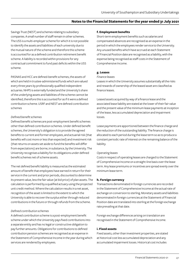Savings Trust (NEST) and schemes relating to subsidiary companies. A small number of staff remain in other schemes. The USS is a multi-employer scheme for which it is not possible to identify the assets and liabilities of each university due to the mutual nature of the scheme and therefore this scheme is accounted for as a defined contribution retirement benefit scheme. A liability is recorded within provisions for any contractual commitment to fund past deficits within the USS scheme.

PASNAS and HCC are defined-benefit schemes, the assets of which are held in trustee-administered funds which are valued every three years by professionally qualified independent actuaries. NHPS is externally funded and the University's share of the underlying assets and liabilities of the scheme cannot be identified, therefore this is accounted for as if it were a defined contribution scheme. USRF and NEST are defined contribution schemes

### *Defined benefit schemes*

Defined benefit schemes are post-employment benefit schemes other than defined contribution schemes. Under defined benefit schemes, the University's obligation is to provide the agreed benefits to current and former employees, and actuarial risk (that benefits will cost more or less than expected) and investment risk (that returns on assets set aside to fund the benefits will differ from expectations) are borne, in substance, by the University. The University recognises a liability for its obligations under defined benefit schemes net of scheme assets.

The net defined benefit liability is measured as the estimated amount of benefit that employees have earned in return for their service in the current and prior periods, discounted to determine its present value, less the fair value (at bid price) of plan assets. The calculation is performed by a qualified actuary using the projected unit credit method. Where the calculation results in a net asset, recognition of the asset is limited to the extent to which the University is able to recover the surplus either through reduced contributions in the future or through refunds from the scheme.

### *Defined contribution schemes*

A defined contribution scheme is a post-employment benefit scheme under which the University pays fixed contributions into a separate entity and has no legal or constructive obligation to pay further amounts. Obligations for contributions to defined contribution pension schemes are recognised as an expense in the Statement of Comprehensive Income in the year during which services are rendered by employees.

### **f. Employment benefits**

Short-term employment benefits such as salaries and compensated absences are recognised as an expense in the period in which the employees render service to the University. Any unused benefits which have accrued at each Statement of Financial Position date are recognised as a liability, with the expense being recognised as staff costs in the Statement of Comprehensive Income.

### **g. Leases**

#### *Finance leases*

Leases in which the University assumes substantially all the risks and rewards of ownership of the leased asset are classified as finance leases.

Leased assets acquired by way of a finance lease and the associated lease liability are stated at the lower of their fair value and the present value of the minimum lease payments at inception of the lease, less accumulated depreciation and impairment losses.

Lease payments are apportioned between the finance charge and the reduction of the outstanding liability. The finance charge is allocated to each period during the lease term so as to produce a constant periodic rate of interest on the remaining balance of the liability.

### *Operating leases*

Costs in respect of operating leases are charged to the Statement of Comprehensive Income on a straight-line basis over the lease term. Any lease premiums or incentives are spread evenly over the minimum lease term.

### **h. Foreign currency**

Transactions denominated in foreign currencies are recorded in the Statement of Comprehensive Income at the actual rate of exchange on conversion to sterling. Monetary assets and liabilities denominated in foreign currencies at the Statement of Financial Position date are translated into sterling at the foreign exchange rate prevailing at that date.

Foreign exchange differences arising on translation are recognised in the Statement of Comprehensive Income.

### **i. Fixed assets**

Fixed assets, other than investment properties, are stated at historical cost less accumulated depreciation and any accumulated impairment losses. Historical cost includes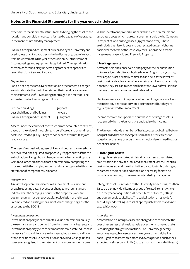expenditure that is directly attributable to bringing the asset to the location and condition necessary for it to be capable of operating in the manner intended by management.

Fixtures, fittings and equipment purchased by the University and costing less than £25,000 per individual items or group of related items is written off in the year of acquisition. All other items of fixtures, fittings and equipment is capitalised. The capitalisation thresholds for subsidiary undertakings are set at appropriate levels that do not exceed £25,000.

### *Depreciation*

Land is not depreciated. Depreciation on other assets is charged so as to allocate the cost of assets less their residual value over their estimated useful lives, using the straight-line method. The estimated useful lives range as follows:

| Freehold buildings:               | 50 years       |
|-----------------------------------|----------------|
| Leasehold land and buildings:     | 50 years       |
| Fixtures, fittings and equipment: | $3 - 10$ years |

Assets under the course of construction are accounted for at cost, based on the value of the architects' certificates and other direct costs incurred to 31 July. They are not depreciated until they are ready for use.

The assets' residual values, useful lives and depreciation methods are reviewed, and adjusted prospectively if appropriate, if there is an indication of a significant change since the last reporting date. Gains and losses on disposals are determined by comparing the proceeds with the carrying amount and are recognised within the statement of comprehensive income.

### *Impairment*

A review for potential indicators of impairment is carried out at each reporting date. If events or changes in circumstances indicate that the carrying amount of the property, plant and equipment may not be recoverable, a calculation of the impact is completed and arising impairment values charged against the asset and to the SOCIE.

### *Investment properties*

Investment property is carried at fair value determined annually by external valuers and derived from the current market rents and investment property yields for comparable real estate, adjusted if necessary for any difference in the nature, location or condition of the specific asset. No depreciation is provided. Changes in fair value are recognised in the statement of comprehensive income.

Within investment properties is capitalised lease premiums and associated costs which represent premiums paid by the Company in respect of land on long leases (99 years and over). These are included at historic cost and depreciated on a straight-line basis over the term of the lease. Any revaluation is held within Investment Leasehold and Freehold Property.

### **j. Heritage assets**

Artefacts held and conserved principally for their contribution to knowledge and culture, obtained since 1 August 2010, costing over £25,000, are normally capitalised and held at the lower of cost or net realisable value. Where assets are fully or substantially donated, they are capitalised and held at the lower of valuation at the time of acquisition or net realisable value.

Heritage assets are not depreciated as their long economic lives mean that any depreciation would be immaterial but they are regularly reviewed for impairment.

Income received to support the purchase of heritage assets is recognised when the University is entitled to the income.

The University holds a number of heritage assets obtained before 1 August 2010 that are not capitalised as the historical cost or valuation at the time of acquisition cannot be determined in a cost beneficial manner.

### **k. Intangible assets**

Intangible assets are stated at historical cost less accumulated amortisation and any accumulated impairment losses. Historical cost includes expenditure that is directly attributable to bringing the asset to the location and condition necessary for it to be capable of operating in the manner intended by management.

Intangible assets purchased by the University and costing less than £25,000 per individual items or group of related items is written off in the year of acquisition. All other items of fixtures, fittings and equipment is capitalised. The capitalisation thresholds for subsidiary undertakings are set at appropriate levels that do not exceed £25,000.

### *Amortisation*

Amortisation on intangible assets is charged so as to allocate the cost of assets less their residual value over their estimated useful lives, using the straight-line method. The University generally amortises intangible assets over three years on a straight line basis. Significant assets are amortised over a period equal to their expected useful economic life (up to a maximum period of 8 years).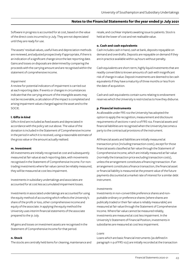Software in progress is accounted for at cost, based on the value of the direct costs incurred to 31 July. They are not depreciated until they are ready for use.

The assets' residual values, useful lives and depreciation methods are reviewed, and adjusted prospectively if appropriate, if there is an indication of a significant change since the last reporting date. Gains and losses on disposals are determined by comparing the proceeds with the carrying amount and are recognised within the statement of comprehensive income.

#### *Impairment*

A review for potential indicators of impairment is carried out at each reporting date. If events or changes in circumstances indicate that the carrying amount of the intangible assets may not be recoverable, a calculation of the impact is completed and arising impairment values charged against the asset and to the SOCIE.

### **l. Gifts in kind**

Gifts in kind are included as fixed assets and depreciated in accordance with the policy set out above. The value of the donation is included in the Statement of Comprehensive Income in the period in which it is received, using a reasonable estimate of the gross value or the amount actually realised.

### **m. Investment**

All investments are initially recognised at cost and subsequently measured at fair value at each reporting date, with movements recognised in the Statement of Comprehensive Income. For nontrading investments where fair value cannot be reliably measured, they will be measured at cost less impairment.

Investments in subsidiary undertakings and associates are accounted for at cost less accumulated impairment losses.

Investments in associated undertakings are accounted for using the equity method of accounting which reflects the University's share of the profit or loss, other comprehensive income and equity of the associate. In applying the equity method the University uses interim financial statements of the associate prepared to the 31 July.

All gains and losses on investment assets are recognised in the Statement of Comprehensive Income for that period.

### **n. Stock**

The stocks are centrally held items for cleaning, maintenance and

resale, and cochlear implants awaiting issue to patients. Stock is held at the lower of cost and net realisable value.

#### **o. Cash and cash equivalents**

Cash includes cash in hand, cash at bank, deposits repayable on demand and overdrafts. Deposits are repayable on demand if they are in practice available within 24 hours without penalty.

Cash equivalents are short-term, highly liquid investments that are readily convertible to known amounts of cash with insignificant risk of change in value. Deposit investments are deemed to be cash equivalents if they have a maturity of three months or less from the date of acquisition.

Cash and cash equivalents contain sums relating to endowment reserves which the University is restricted as to how they disburse.

### **p. Financial instruments**

As allowable under FRS 102 the University has adopted the option to apply the recognition, measurement and disclosure requirements of sections 11 and 12 of FRS 102. Financial assets and financial liabilities are recognised when the University becomes a party to the contractual provisions of the instrument.

All financial assets and liabilities are initially measured at transaction price (including transaction costs), except for those financial assets classified at fair value through the Statement of Comprehensive Income, which are initially measured at fair value (normally the transaction price excluding transaction costs), unless the arrangement constitutes a financing transaction. If an arrangement constitutes a finance transaction, the financial asset or financial liability is measured at the present value of the future payments discounted at a market rate of interest for a similar debt instrument.

### *Investments*

Investments in non-convertible preference shares and nonputtable ordinary or preference shares (where shares are publically traded or their fair value is reliably measurable) are measured at fair value through the Statement of Comprehensive Income. Where fair value cannot be measured reliably, investments are measured at cost less impairment. In the University's Statement of Financial Position, investments in subsidiaries are measured at cost less impairment.

### *Loans*

Loans which are basic financial instruments (as defined in paragraph 11.9 of FRS 102) are initially recorded at the transaction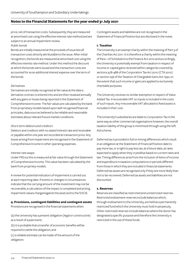price, net of transaction costs. Subsequently, they are measured at amortised cost using the effective interest rate method and are subject to an annual impairment review.

### *Public bonds*

Bonds are initially measured at the proceeds of issue less all transaction costs directly attributable to the issue. After initial recognition, the bonds are measured at amortised cost using the effective interest rate method. Under this method the discount at which the bonds were issued and the transaction costs are accounted for as an additional interest expense over the term of the bonds.

### *Derivatives*

Derivatives are initially recognised at fair value at the date a derivative contract is entered into and are then revalued annually with any gains or losses being reported in the Statement of Comprehensive Income. The fair values are calculated by the bank from proprietary models based upon well recognised financial principles, data sources believed to be reliable and reasonable estimates about relevant future market conditions.

#### *Short-term debtors and creditors*

Debtors and creditors with no stated interest rate and receivable or payable within one year are recorded at transaction price. Any losses arising from impairment are recognised in the Statement of Comprehensive Income in other operating expenses.

#### *Interest rate swaps*

Under FRS102 this is measured at fair value through the Statement of Comprehensive Income. This value has been calculated by the bank from propriety models.

A review for potential indicators of impairment is carried out at each reporting date. If events or changes in circumstances indicate that the carrying amount of the investment may not be recoverable, a calculation of the impact is completed and arising impairment values charged against the asset and to the SOCIE.

### **q. Provisions, contingent liabilities and contingent assets**

Provisions are recognised in the financial statements when:

(a) the University has a present obligation (legal or constructive) as a result of a past event;

(b) it is probable that a transfer of economic benefits will be required to settle the obligation; and

(c) a reliable estimate can be made of the amount of the obligation.

Contingent assets and liabilities are not recognised in the Statement of Financial Position but are disclosed in the notes.

### **r. Taxation**

The University is an exempt charity within the meaning of Part 3 of the Charities Act 2011. It is therefore a charity within the meaning of Para. 1 of Schedule 6 to the Finance Act 2010 and accordingly, the University is potentially exempt from taxation in respect of income or capital gains received within categories covered by sections 478-488 of the Corporation Tax Act 2010 (CTA 2010) or section 256 of the Taxation of Chargeable Gains Act 1992, to the extent that such income or gains are applied to exclusively charitable purposes.

The University receives no similar exemption in respect of Value Added Tax. Irrecoverable VAT on inputs is included in the costs of such inputs. Any irrecoverable VAT allocated to fixed assets is included in their cost.

The University's subsidiaries are liable to Corporation Tax in the same way as other commercial organisations however, the overall taxation liability of the group is minimised through using the Gift Aid scheme.

Deferred tax is provided in full on timing differences which result in an obligation at the Statement of Financial Position date to pay more tax, or a right to pay less tax, at a future date, at rates expected to apply when they crystallise based on current rates and law. Timing differences arise from the inclusion of items of income and expenditure in taxation computations in periods different from those in which they are included in financial statements. Deferred tax assets are recognised only if they are more likely than not to be recovered. Deferred tax assets and liabilities are not discounted.

### **s. Reserves**

Reserves are classified as restricted and unrestricted reserves. Restricted endowment reserves include balances which, through endowment to the University, are held as a permanently restricted fund which the University must hold in perpetuity. Other restricted reserves include balances where the donor has designated a specific purpose and therefore the University is restricted in the use of these funds.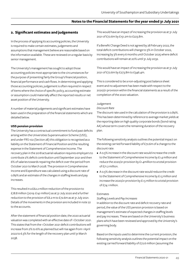## **2. Significant estimates and judgements**

In the process of applying its accounting policies, the University is required to make certain estimates, judgements and assumptions that management believe are reasonable based on the information available. These are reviewed on a regular basis by senior management.

The University's management has sought to adopt those accounting policies most appropriate to the circumstances for the purpose of presenting fairly the Group's financial position, financial performance and cash flows. In determining and applying those accounting policies, judgement is often required in respect of items where the choice of specific policy, accounting estimate or assumption could materially affect the reported results or net asset position of the University.

A number of material judgements and significant estimates have been used in the preparation of the financial statements which are detailed below.

### **USS pension provision**

The University has a contractual commitment to fund past deficits arising within the Universities Superannuation Scheme (USS), and under FRS 102 (Section 28) this obligation is recognised as a liability on the Statement of Financial Position and the resulting expense in the Statement of Comprehensive Income. The recovery plan in the 2018 actuarial valuation requires employers to contribute 2% deficit contribution until September 2021 and then 6% of salaries towards repairing the deficit over the period from October 2021 to March 2028. The provision in Comprehensive Income and Expenditure was calculated using a discount rate of 0.89% and an estimate of the changes in staffing levels and pay increases.

This resulted in a £62.2 million reduction of the provision to £78.8 million (2019: £141 million) as at 31 July 2020 and a further reduction to the provision of £6.2 m to £72.6m as at 31 July 2021. Details of the movements in the provision are included in note 22 to the accounts.

After the statement of financial position date, the 2020 actuarial valuation was completed with an effective date of 1 October 2021. This states that from the 1 October 2021 deficit contributions will increase from 2% to 6% as planned but will rise again from 1 April 2022 to 6.3% for the length of the recovery plan until 31 March 2038.

This would have an impact of increasing the provision as at 31 July 2021 of £72.6m by £151.2m to £223.8m.

If a Benefit Change Deed is not agreed by 28 February 2022, the total deficit contributions will change to 3% in October 2022, increasing by 3% every 6 months until October 2025 where deficit contributions will remain at 20% until 31 July 2032.

This would have an impact of increasing the provision as at 31 July 2021 of £72.6m by £273.8m to £346.4m.

This is considered to be a non-adjusting post balance sheet event and no adjustment has been made with respect to the 2020/21 provision within the financial statements as a result of the completion of the 2020 valuation.

### Judgement

#### *Discount Rate*

The discount rate used in the calculation of the provision is 0.89%. This has been determined by reference to average market yields at the reporting date on high quality corporate bonds (bond rating AA) whose term covers the remaining duration of the recovery plan.

The following sensitivity analysis outlines the potential impact on the existing carried forward liability of £72.6m of a change to the discount rate:

- A 0.5% increase in the discount rate would increase the credit to the Statement of Comprehensive Income by £1.4 million and reduce the 2020/21 provision by £1.4million to a total provision of £71.2 million.
- A 0.5% decrease in the discount rate would reduce the credit to the Statement of Comprehensive Income by £1.5 million and increase the 2020/21 provision by £1.5 million to a total provision of £74.1 million.

### Estimates

### *Staffing Levels and Pay Increases*

In addition to the discount rate and deficit recovery rate and period, the value of the USS pension provision is based on management's estimate of expected changes in staffing levels and pay increases. These are based on the University's business plans which have been reviewed and approved by the University's governing body.

Based on the inputs used to determine the current provision, the following sensitivity analysis outlines the potential impact on the existing carried forward liability of £72.6 million (assuming the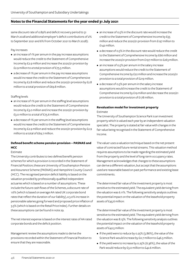same discount rate of 0.89% and deficit recovery period to 31 March 2028 and additional employer's deficit contributions of 2% to September 2021 and 6% from October 2021 to March 2028):

### Pay increases

- an increase of 1% per annum in the pay increase assumptions would reduce the credit to the Statement of Comprehensive Income by £2.9 million and increase the 2020/21 provision by £2.9 million to a total provision of £75.5 million.
- a decrease of 1% per annum in the pay increase assumptions would increase the credit to the Statement of Comprehensive Income by £2.8 million and reduce the 2020/21 provision by £2.8 million to a total provision of £69.8 million.

### Staffing levels

- an increase of 1% per annum in the staffing level assumptions would reduce the credit to the Statement of Comprehensive Income by £3.0 million and increase the 2020/21 provision by £3.0 million to a total of £75.6 million.
- a decrease of 1% per annum in the staffing level assumptions would increase the credit to the Statement of Comprehensive Income by £2.9 million and reduce the 2020/21 provision by £2.9 million to a total of £69.7 million.

## **Defined benefit scheme pension provision – PASNAS and HCC**

### Estimate

The University contributes to two defined benefit pension schemes for which a provision is recorded in the Statement of Financial Position; these are University of Southampton Pension and Assurance Scheme (PASNAS) and Hampshire County Council (HCC). The recognised pension deficit liability is based on the valuation provided by professionally qualified independent actuaries which is based on a number of assumptions. These include the future cash flows of the Schemes, a discount rate of 1.6% (which is based on average AA rated UK corporate bond rates that reflect the duration of our liability), a 3.0% increase in pensionable salaries going forward and proposed price inflation of 3.5% (which is based on the Retail Price Index). Further details on these assumptions can be found in note 29.

The net interest expense is based on the interest rates of AA rated corporate bonds and the deficit position.

Management review the assumptions made to derive the provisions recorded within the Statement of Financial Position to ensure that they are reasonable.

- an increase of 0.5% in the discount rate would increase the credit to the Statement of Comprehensive Income by £55 million and reduce the 2020/21 provision from £197 million to £142 million.
- a decrease of 0.5% in the discount rate would reduce the credit to the Statement of Comprehensive Income by £66 million and increase the 2020/21 provision from £197 million to £263 million.
- an increase of 0.5% per annum in the salary increase assumptions would reduce the credit to the Statement of Comprehensive Income by £22 million and increase the 2020/21 provision to a total provision of £219 million.
- a decrease of 0.5% per annum in the salary increase assumptions would increase the credit to the Statement of Comprehensive Income by £19 million and decrease the 2020/21 provision to a total provision of £178 million.

### **Revaluation model for investment property** Estimate

The University of Southampton Science Park is an investment property which is valued each year by an independent valuation specialist. The property is stated at fair value with changes in the fair value being recognised in the Statement of Comprehensive Income.

The valuer uses a valuation technique based on the net present value of contracted future rental streams. This valuation method requires assumptions to be made regarding the estimated yield from the property and the level of long-term occupancy rates. Management acknowledges that changes to these assumptions can derive a different valuation, but accept that the assumptions used are reasonable based on past performance and existing lease commitments.

The determined fair value of the investment property is most sensitive to the estimated yield. The equivalent yield deriving from the valuation was 6.11%. The following sensitivity analysis outlines the potential impact on the valuation of the leasehold property assets of £45.6 million:

The determined fair value of the investment property is most sensitive to the estimated yield. The equivalent yield deriving from the valuation was 8.13%. The following sensitivity analysis outlines the potential impact on the valuation of the leasehold property assets of £42.5 million:

- If the yield were to reduce by 0.25% (5.86%), the value of the Science Park would increase by £0.7 million to £46.3 million.
- If the yield were to increase by 0.25% (6.36%), the value of the Park would reduce by £3.0 million to £42.6 million.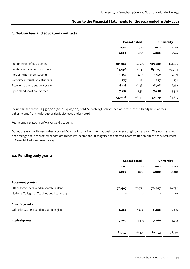### **3. Tuition fees and education contracts**

|                                  |         | <b>Consolidated</b> | <b>University</b> |             |
|----------------------------------|---------|---------------------|-------------------|-------------|
|                                  | 2021    | 2020                | 2021              | 2020        |
|                                  | £000    | £000                | £000              | <b>COOO</b> |
|                                  |         |                     |                   |             |
| Full-time home/EU students       | 125,020 | 124,595             | 125,020           | 124,595     |
| Full-time international students | 85,496  | 110,951             | 83,497            | 109,304     |
| Part-time home/EU students       | 2,459   | 2,971               | 2,459             | 2,971       |
| Part-time international students | 277     | 272                 | 277               | 272         |
| Research training support grants | 18,118  | 18,362              | 18,118            | 18,362      |
| Special and short course fees    | 7,658   | 9,321               | 7,658             | 9,321       |
|                                  | 239,028 | 266,472             | 237,029           | 264,825     |

Included in the above is £3,370,000 (2020: £4,197,000) of NHS Teaching Contract income in respect of full and part-time fees. Other income from health authorities is disclosed under note 6.

Fee income is stated net of waivers and discounts.

During the year the University has received £16.1m of income from international students starting in January 2021. The income has not been recognised in the Statement of Comprehensive Income and is recognised as deferred income within creditors on the Statement of Financial Position (see note 20).

## **4a. Funding body grants**

|                                              | <b>Consolidated</b> |                 |        | <b>University</b> |  |
|----------------------------------------------|---------------------|-----------------|--------|-------------------|--|
|                                              | 2021                | 2020            | 2021   | 2020              |  |
|                                              | £000                | £000            | £000   | £000              |  |
| <b>Recurrent grants:</b>                     |                     |                 |        |                   |  |
| Office for Students and Research England     | 70,407              | 70,792          | 70,407 | 70,792            |  |
| National College for Teaching and Leadership |                     | 10 <sup>°</sup> | ۰      | 10 <sup>°</sup>   |  |
| <b>Specific grants:</b>                      |                     |                 |        |                   |  |
| Office for Students and Research England     | 6,486               | 5,856           | 6,486  | 5,856             |  |
| <b>Capital grants</b>                        | 7,260               | 1,833           | 7,260  | 1,833             |  |
|                                              | 84,153              | 78,491          | 84,153 | 78,491            |  |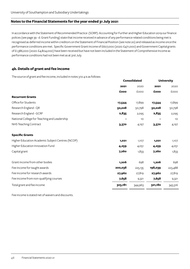In accordance with the Statement of Recommended Practice (SORP): Accounting for Further and Higher Education 2019 our finance polices (see page 39 - d. Grant Funding) state that income received in advance of any performance related conditions being met is recognised as deferred income within creditors on the Statement of Financial Position (see note 20) and released as income once the performance conditions are met. Specific Government Grant income of £607,000 (2020: £471,000) and Government Capital grants of £1,386,000 (2020: £4,804,000) have been received but have not been included in the Statement of Comprehensive Income as performance conditions had not been met as at 31st July.

## **4b. Details of grant and fee income**

The source of grant and fee income, included in notes 3 to 4 is as follows:

|                                                  |         | <b>Consolidated</b> |         | <b>University</b> |  |
|--------------------------------------------------|---------|---------------------|---------|-------------------|--|
|                                                  | 2021    | 2020                | 2021    | 2020              |  |
|                                                  | £000    | £000                | £000    | £000              |  |
| <b>Recurrent Grants</b>                          |         |                     |         |                   |  |
| Office for Students                              | 17,544  | 17,899              | 17,544  | 17,899            |  |
| Research England - QR                            | 50,028  | 50,798              | 50,028  | 50,798            |  |
| Research England - GCRF                          | 2,835   | 2,095               | 2,835   | 2,095             |  |
| National College for Teaching and Leadership     |         | 10                  |         | 10                |  |
| NHS Teaching Contract                            | 3,370   | 4,197               | 3,370   | 4,197             |  |
| <b>Specific Grants</b>                           |         |                     |         |                   |  |
| Higher Education Academic Subject Centres (NCOP) | 1,021   | 1,107               | 1,021   | 1,107             |  |
| Higher Education Innovation Fund                 | 4,259   | 4,051               | 4,259   | 4,051             |  |
| Capital grant                                    | 7,260   | 1,833               | 7,260   | 1,833             |  |
| Grant income from other bodies                   | 1,206   | 698                 | 1,206   | 698               |  |
| Fee income for taught awards                     | 200,038 | 225,135             | 198,039 | 223,488           |  |
| Fee income for research awards                   | 27,962  | 27,819              | 27,962  | 27,819            |  |
| Fee income from non-qualifying courses           | 7,658   | 9,321               | 7,658   | 9,321             |  |
| Total grant and fee income                       | 323,181 | 344,963             | 321,182 | 343,316           |  |

Fee income is stated net of waivers and discounts.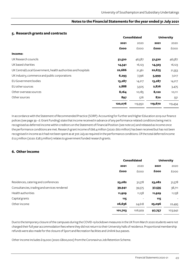### **5. Research grants and contracts**

|                                                               |         | <b>Consolidated</b> |         | <b>University</b> |  |
|---------------------------------------------------------------|---------|---------------------|---------|-------------------|--|
|                                                               | 2021    | 2020                | 2021    | 2020              |  |
|                                                               | £000    | £000                | £000    | <b>EOOO</b>       |  |
| Income:                                                       |         |                     |         |                   |  |
| UK Research councils                                          | 51,520  | 46,587              | 51,520  | 46,587            |  |
| UK based charities                                            | 14,341  | 16,123              | 14,323  | 16,123            |  |
| UK Central/Local Government, health authorities and hospitals | 22,686  | 21,361              | 22,675  | 21,353            |  |
| UK industry, commerce and public corporations                 | 6,293   | 7,396               | 5,999   | 7,017             |  |
| EU Government bodies                                          | 13,287  | 14,217              | 13,287  | 14,217            |  |
| EU other sources                                              | 2,888   | 3,505               | 2,876   | 3,475             |  |
| Other overseas sources                                        | 8,164   | 10,185              | 8,120   | 10,111            |  |
| Other sources                                                 | 897     | 576                 | 870     | 551               |  |
|                                                               | 120,076 | 119,950             | 119,670 | 119,434           |  |

In accordance with the Statement of Recommended Practice (SORP): Accounting for Further and Higher Education 2019 our finance polices (see page 39 - d. Grant Funding) state that income received in advance of any performance related conditions being met is recognised as deferred income within creditors on the Statement of Financial Position (see note 20) and released as income once the performance conditions are met. Research grant income of £66.4 million (2020: £60 million) has been received but has not been recognised in income as it had not been spent as at 31st July as required in the performance conditions. Of the total deferred income £12.5 million (2020: £28.3 million) relates to government funded research grants.

## **6. Other income**

|                                              |         | <b>Consolidated</b> |        | <b>University</b>        |  |
|----------------------------------------------|---------|---------------------|--------|--------------------------|--|
|                                              | 2021    | 2020                | 2021   | 2020                     |  |
|                                              | £000    | £000                | £000   | <b>COOO</b>              |  |
| Residences, catering and conferences         | 23,082  | 31,578              | 23,082 | 31,578                   |  |
| Consultancies, trading and services rendered | 39,941  | 39,575              | 37,535 | 38,711                   |  |
| Health authorities                           | 11,929  | 11,158              | 11,929 | 11,158                   |  |
| Capital grants                               | 115     |                     | 115    | $\overline{\phantom{a}}$ |  |
| Other income                                 | 26,636  | 24,618              | 25,096 | 22,495                   |  |
|                                              | 101,703 | 106,929             | 97,757 | 103,942                  |  |

Due to the temporary closure of the campuses during the COVID-19 lockdown measures in the UK from March 2020 students were not charged their full year accommodation fees where they did not return to their University halls of residence. Proportional membership refunds were also made for the closure of Sport and Recreation facilities and Unilink bus passes.

Other income includes £19,000 (2020: £800,000) from the Coronavirus Job Retention Scheme.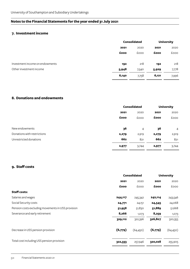### **7. Investment income**

|                                 |       | <b>Consolidated</b> |       | <b>University</b> |  |
|---------------------------------|-------|---------------------|-------|-------------------|--|
|                                 | 2021  | 2020                | 2021  | 2020              |  |
|                                 | £000  | £000                | £000  | £000              |  |
| Investment income on endowments | 192   | 218                 | 192   | 218               |  |
| Other investment income         | 5,948 | 7,540               | 5,929 | 7,778             |  |
|                                 | 6,140 | 7,758               | 6,121 | 7,996             |  |

## **8. Donations and endowments**

|                             |       | <b>Consolidated</b> |       | <b>University</b> |  |
|-----------------------------|-------|---------------------|-------|-------------------|--|
|                             | 2021  | 2020                | 2021  | 2020              |  |
|                             | £000  | £000                | £000  | <b>COOO</b>       |  |
| New endowments              | 36    | 4                   | 36    | $\overline{4}$    |  |
| Donations with restrictions | 2,279 | 2,919               | 2,279 | 2,919             |  |
| Unrestricted donations      | 662   | 821                 | 662   | 821               |  |
|                             | 2,977 | 3,744               | 2,977 | 3,744             |  |

## **9. Staff costs**

|                                                    | <b>Consolidated</b> |              |         | <b>University</b> |  |
|----------------------------------------------------|---------------------|--------------|---------|-------------------|--|
|                                                    | 2021                | 2020<br>2021 |         | 2020              |  |
|                                                    | £000                | £000         | £000    | <b>EOOO</b>       |  |
| <b>Staff costs:</b>                                |                     |              |         |                   |  |
| Salaries and wages                                 | 244,117             | 245,342      | 242,114 | 243,546           |  |
| Social Security costs                              | 24,771              | 24,151       | 24,545  | 24,068            |  |
| Pension costs excluding movements in USS provision | 51,958              | 51,830       | 51,889  | 51,668            |  |
| Severance and early retirement                     | 8,266               | 1,073        | 8,259   | 1,073             |  |
|                                                    | 329,112             | 322,396      | 326,807 | 320,355           |  |
| Decrease in USS pension provision                  | (6,779)             | (64, 450)    | (6,779) | (64, 450)         |  |
| Total cost including USS pension provision         | 322,333             | 257,946      | 320,028 | 255,905           |  |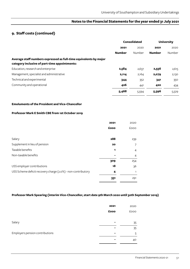## **9. Staff costs (continued)**

|                                                                                                                    | <b>Consolidated</b> |        | <b>University</b> |        |  |      |
|--------------------------------------------------------------------------------------------------------------------|---------------------|--------|-------------------|--------|--|------|
|                                                                                                                    | 2021<br>2020        |        | 2021              |        |  | 2020 |
|                                                                                                                    | <b>Number</b>       | Number | <b>Number</b>     | Number |  |      |
| Average staff numbers expressed as full-time equivalents by major<br>category inclusive of part-time appointments: |                     |        |                   |        |  |      |
| Education, research and enterprise                                                                                 | 2,584               | 2,637  | 2,556             | 2,615  |  |      |
| Management, specialist and administrative                                                                          | 2,114               | 2,164  | 2,079             | 2,130  |  |      |
| Technical and experimental                                                                                         | 344                 | 352    | 341               | 350    |  |      |
| Community and operational                                                                                          | 426                 | 441    | 420               | 434    |  |      |
|                                                                                                                    | 5,468               | 5,594  | 5,396             | 5,529  |  |      |

### **Emoluments of the President and Vice-Chancellor**

### **Professor Mark E Smith CBE from 1st October 2019**

|                                                              | 2021 | 2020           |
|--------------------------------------------------------------|------|----------------|
|                                                              | £000 | £000           |
|                                                              |      |                |
| Salary                                                       | 288  | 239            |
| Supplement in lieu of pension                                | 20   | 7              |
| Taxable benefits                                             | 1    | $\overline{4}$ |
| Non-taxable benefits                                         |      | 4              |
|                                                              | 309  | 254            |
| USS employer contributions                                   | 18   | 36             |
| USS Scheme deficit recovery charge (2.0%) - non-contributory | 4    | 1              |
|                                                              | 331  | 291            |

### **Professor Mark Spearing (interim Vice-Chancellor, start date 9th March 2020 until 30th September 2019)**

|                                 | 2021<br>£000 | 2020<br>£000 |
|---------------------------------|--------------|--------------|
| Salary                          | -            | 35           |
| Employers pension contributions | -            | 35<br>5      |
|                                 |              | 40           |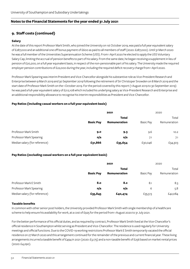## **9. Staff costs (continued)**

### **Salary**

At the date of this report Professor Mark Smith, who joined the University on 1st October 2019, was paid a full year equivalent salary of £287,000 and an additional one off bonus payment of £600 as paid to all members of staff (2020: £287,000). Until 31 March 2020 he was a full member of the Universities Superannuation Scheme (USS). From 1 April 2020 he elected to apply the USS Voluntary Salary Cap, limiting the accrual of pension benefits to part of his salary. From the same date, he began receiving a supplement in lieu of pension of £20,200, on a full year equivalent basis, in respect of the non-pensionable part of his salary. The University made the required employer pension contributions of £22,000 during the year, including the required deficit recovery charge from 1 April 2020.

Professor Mark Spearing was interim President and Vice-Chancellor alongside his substantive role as Vice-President Research and Enterprise between 9 March 2019 and 30 September 2019 following the retirement of Sir Christoper Snowden on 8 March 2019 and the start date of Professor Mark Smith on the 1 October 2019. For the period covered by this report (1 August 2019 to 30 September 2019) he was paid a full-year equivalent salary of £212,108 which included his underlying salary as Vice-President Research and Enterprise and an additional responsibility allowance to recognise his interim responsibilities as President and Vice-Chancellor.

### **Pay Ratios (including casual workers on a full year equivalent basis)**

|                               | 2021             |              |                  | 2020         |  |
|-------------------------------|------------------|--------------|------------------|--------------|--|
|                               |                  | <b>Total</b> |                  |              |  |
|                               | <b>Basic Pay</b> | Remuneration | <b>Basic Pay</b> | Remuneration |  |
| Professor Mark Smith          | 9.0              | 9.3          | 9.6              | 10.2         |  |
| Professor Mark Spearing       | n/a              | n/a          | 7.1              | 7.1          |  |
| Median salary (for reference) | £31,866          | £35,654      | £30,046          | £34,303      |  |

### **Pay Ratios (excluding casual workers on a full year equivalent basis)**

|                               |                  | 2021                         |                  | 2020                  |  |
|-------------------------------|------------------|------------------------------|------------------|-----------------------|--|
|                               | <b>Basic Pay</b> | <b>Total</b><br>Remuneration | <b>Basic Pay</b> | Total<br>Remuneration |  |
| Professor Mark E Smith        | 8.o              | 8.2                          | 8.1              | 8.3                   |  |
| Professor Mark Spearing       | n/a              | n/a                          | 6                | 5.8                   |  |
| Median salary (for reference) | £35,845          | £40,474                      | £35,513          | £42,084               |  |

### **Taxable benefits**

In common with other senior post holders, the University provided Professor Mark Smith with single membership of a healthcare scheme to help ensure his availability for work, at a cost of £925 for the period from 1 August 2020 to 31 July 2021.

For the better performance of his official duties, and as required by contract, Professor Mark Smith lived at the Vice-Chancellor's official residence in Southampton whilst serving as President and Vice-Chancellor. The residence is used regularly for University meetings and official functions. Due to the COVID-19 working restrictions Professor Mark E Smith temporarily vacated the official residence on 27 March 2020 and this arrangement continued for the remainder of the previous and current financial year. These living arrangements incurred a taxable benefit of £494 in 2021 (2020: £3,175) and a non-taxable benefit of £256 based on market rental prices (2020: £4,290).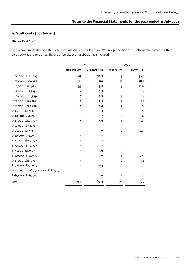# **9. Staff costs (continued)**

### **Higher Paid Staff**

Remuneration of higher paid staff based on basic salary is detailed below. Where a proportion of the salary is reimbursed by a third party, only the proportion paid by the University and its subsidiaries is included.

|                                    | 2021             |                      |                          | 2020          |
|------------------------------------|------------------|----------------------|--------------------------|---------------|
|                                    | <b>Headcount</b> | <b>All Staff FTE</b> | Headcount                | All Staff FTE |
| £100,000 - £104,999                | 45               | 30.7                 | 44                       | 30.5          |
| £105,000 - £109,999                | 18               | 11.1                 | 51                       | 28.5          |
| £110,000 - £114,999                | 37               | 19.8                 | 15                       | 10.6          |
| £115,000 - £119,999                | 8                | 5.5                  | 6                        | 6.0           |
| £120,000 - £124,999                | 5                | 3.8                  | $\mathbf{1}$             | 1.0           |
| £125,000 - £129,999                | 4                | 3.5                  | $\overline{7}$           | 5.5           |
| £130,000 - £134,999                | 4                | 4.0                  | $\overline{4}$           | 4.0           |
| £135,000 - £139,999                | 3                | 1,2                  | 3                        | 1.9           |
| £140,000 - £144,999                | 3                | 3.7                  | $\overline{2}$           | 1.8           |
| £145,000 - £149,999                | 1                | 1.0                  | $\mathbf{1}$             | 1.0           |
| £150,000 - £154,999                |                  |                      | $\overline{\phantom{a}}$ |               |
| £155,000 - £159,999                | 2                | 2.0                  | $\overline{2}$           | 2.0           |
| £160,000 - £164,999                |                  |                      |                          |               |
| £165,000 - £169,999                |                  |                      |                          |               |
| £170,000 - £174,999                |                  |                      |                          |               |
| £175,000 - £179,999                | 1                | 1.0                  |                          |               |
| £180,000 - £184,999                | 1                | 1.0                  | $\mathbf{1}$             | 0.6           |
| £185,000 - £189,999                |                  |                      | $\overline{2}$           | 1.3           |
| £190,000 - £194,999                | 1                | 0.3                  |                          |               |
| none between £195,000 and £284,999 |                  |                      |                          |               |
| £285,000 - £289,999                | 1                | 1.0                  | 1                        | 0.8           |
| Total                              | 134              | 89.4                 | 140                      | 95.5          |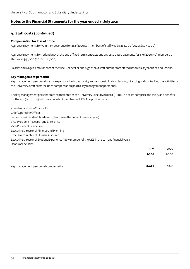## **9. Staff costs (continued)**

### **Compensation for loss of office**

Aggregate payments for voluntary severance for 282 (2020: 45) members of staff was £8,266,000 (2020: £1,073,000).

Aggregate payments for redundancy at the end of fixed term contracts and any associated payments for 139 (2020: 90) members of staff was £348,000 (2020: £218,000).

Salaries and wages, emoluments of the Vice-Chancellor and higher paid staff numbers are stated before salary sacrifice deductions.

### **Key management personnel**

Key management personnel are those persons having authority and responsibility for planning, directing and controlling the activities of the University. Staff costs includes compensation paid to key management personnel.

The key management personnel are represented as the University Executive Board (UEB). The costs comprise the salary and benefits for the 12.2 (2020: 11.4) full time equivalent members of UEB. The positions are:

President and Vice-Chancellor Chief Operating Officer Senior Vice-President Academic (New role in the current financial year) Vice-President Research and Enterprise Vice-President Education Executive Director of Finance and Planning Executive Director of Human Resources Executive Director of Student Experience (New member of the UEB in the current financial year) Deans of Faculties **2021** 2020

| Key management personnel compensation | 2,467 | 2,346 |
|---------------------------------------|-------|-------|

 **£000** £000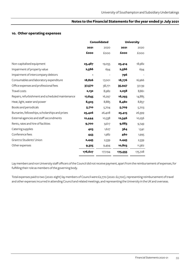### **10. Other operating expenses**

|                                                  | <b>Consolidated</b> |         | <b>University</b> |         |
|--------------------------------------------------|---------------------|---------|-------------------|---------|
|                                                  | 2021                | 2020    | 2021              | 2020    |
|                                                  | £000                | £000    | £000              | £000    |
| Non-capitalised equipment                        | 23,487              | 19,055  | 23,414            | 18,982  |
| Impairment of property value                     | 2,566               | 694     | 2,566             | 694     |
| Impairment of intercompany debtors               |                     |         | 796               |         |
| Consumables and laboratory expenditure           | 18,826              | 17,001  | 18,776            | 16,966  |
| Office expenses and professional fees            | 37,570              | 38,771  | 35,947            | 37,139  |
| <b>Travel costs</b>                              | 2,132               | 8,982   | 2,058             | 8,861   |
| Repairs, refurbishment and scheduled maintenance | 17,645              | 16,297  | 16,293            | 14,885  |
| Heat, light, water and power                     | 8,505               | 8,885   | 8,480             | 8,857   |
| Books and periodicals                            | 5,710               | 5,704   | 5,709             | 5,703   |
| Bursaries, fellowships, scholarships and prizes  | 25,426              | 26,408  | 25,415            | 26,399  |
| External agencies and staff secondments          | 12,444              | 10,338  | 12,346            | 10,256  |
| Rents, rates and hire of facilities              | 9,700               | 9,617   | 9,683             | 9,749   |
| Catering supplies                                | 403                 | 1,627   | 364               | 1,541   |
| Conference fees                                  | 443                 | 1,982   | 460               | 1,995   |
| Grant to Students' Union                         | 2,445               | 2,339   | 2,445             | 2,339   |
| Other expenses                                   | 9,325               | 9,494   | 10,803            | 11,362  |
|                                                  | 176,627             | 177,194 | 175,555           | 175,728 |

Lay members and non University staff officers of the Council did not receive payment, apart from the reimbursement of expenses, for fulfilling their role as members of the governing body.

Total expenses paid to two (2020: eight) lay members of Council were £2,770 (2020: £2,700), representing reimbursement of travel and other expenses incurred in attending Council and related meetings, and representing the University in the UK and overseas.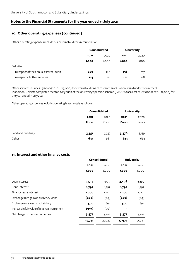## **10. Other operating expenses (continued)**

Other operating expenses include our external auditors remuneration:

|                                         | <b>Consolidated</b> |      | <b>University</b> |      |
|-----------------------------------------|---------------------|------|-------------------|------|
|                                         | 2021                | 2020 | 2021              | 2020 |
|                                         | £000                | £000 | £000              | £000 |
| Deloitte:                               |                     |      |                   |      |
| In respect of the annual external audit | 200                 | 160  | 156               | 117  |
| In respect of other services            | 114                 | 118  | 114               | 118  |

Other services includes £97,000 (2020: £113,000) for external auditing of research grants where it is a funder requirement. In addition, Deloitte completed the statutory audit of the University's pension scheme (PASNAS) at a cost of £12,000 (2020: £12,000) for the year ended 31 July 2021.

Other operating expenses include operating lease rentals as follows:

|                    | <b>Consolidated</b> |       | <b>University</b> |       |
|--------------------|---------------------|-------|-------------------|-------|
|                    | 2021                | 2020  | 2021              | 2020  |
|                    | £000                | £000  | £000              | £000  |
|                    |                     |       |                   |       |
| Land and buildings | 3,551               | 3,337 | 3,376             | 3,139 |
| Other              | 633                 | 663   | 633               | 663   |

### **11. Interest and other finance costs**

|                                                | <b>Consolidated</b> |        | <b>University</b> |        |
|------------------------------------------------|---------------------|--------|-------------------|--------|
|                                                | 2021                | 2020   | 2021              | 2020   |
|                                                | £000                | £000   | £000              | £000   |
|                                                |                     |        |                   |        |
| Loan interest                                  | 3,524               | 3,519  | 3,408             | 3,360  |
| Bond interest                                  | 6,792               | 6,792  | 6,792             | 6,792  |
| Finance lease interest                         | 4,100               | 4,051  | 4,100             | 4,051  |
| Exchange rate gain on currency loans           | (205)               | (64)   | (205)             | (64)   |
| Exchange rate loss on subsidiary               | 500                 | 892    | 500               | 892    |
| Increase in fair value of financial instrument | (357)               | (70)   |                   |        |
| Net charge on pension schemes                  | 3,377               | 5,102  | 3,377             | 5,102  |
|                                                | 17,731              | 20,222 | 17,972            | 20,133 |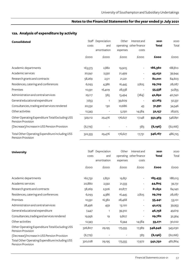# **12a. Analysis of expenditure by activity**

| <b>Consolidated</b>                                                  | costs   | Staff Depreciation<br>and<br>amortisation | Other<br>expenses | Interest and<br>operating other finance<br>costs | 2021<br>Total | 2020<br>Total |
|----------------------------------------------------------------------|---------|-------------------------------------------|-------------------|--------------------------------------------------|---------------|---------------|
|                                                                      | £000    | £000                                      | £000              | £000                                             | £000          | £000          |
| Academic departments                                                 | 163,573 | 2,882                                     | 19,905            | $\overline{\phantom{a}}$                         | 186,360       | 188,810       |
| Academic services                                                    | 20,941  | 2,592                                     | 21,499            |                                                  | 45,032        | 39,944        |
| Research grants and contracts                                        | 58,269  | 2,511                                     | 21,221            |                                                  | 82,001        | 84,603        |
| Residences, catering and conferences                                 | 6,093   | 4,386                                     | 16,445            | 2,805                                            | 29,729        | 28,087        |
| Premises                                                             | 10,591  | 16,409                                    | 28,538            |                                                  | 55,538        | 52,855        |
| Administration and central services                                  | 29,117  | 565                                       | 13,494            | (284)                                            | 42,892        | 40,740        |
| General educational expenditure                                      | 7,653   | $\mathbf{1}$                              | 39,609            |                                                  | 47,263        | 50,331        |
| Consultancies, trading and services rendered                         | 20,532  | 130                                       | 10,686            | 43                                               | 31,391        | 34,546        |
| <b>Other activities</b>                                              | 12,343  |                                           | 5,230             | 14,584                                           | 32,157        | 28,975        |
| Other Operating Expenditure Total Excluding USS<br>Pension Provision | 329,112 | 29,476                                    | 176,627           | 17,148                                           | 552,363       | 548,891       |
| (Decrease)/Increase in USS Pension Provision                         | (6,779) |                                           |                   | 583                                              | (6, 196)      | (62,166)      |
| Total Other Operating Expenditure including USS<br>Pension Provision | 322,333 | 29,476                                    | 176,627           | 17,731                                           | 546,167       | 486,725       |

| <b>University</b>                                                    |         | Staff Depreciation | Other    | Interest and            | 2021         | 2020     |
|----------------------------------------------------------------------|---------|--------------------|----------|-------------------------|--------------|----------|
|                                                                      | costs   | and                |          | operating other finance | <b>Total</b> | Total    |
|                                                                      |         | amortisation       | expenses | costs                   |              |          |
|                                                                      | £000    | £000               | £000     | £000                    | £000         | £000     |
| Academic departments                                                 | 162,732 | 2,850              | 19,851   |                         | 185,433      | 188,013  |
| Academic services                                                    | 20,880  | 2,592              | 21,333   |                         | 44,805       | 39,731   |
| Research grants and contracts                                        | 58,269  | 2,506              | 20,877   |                         | 81,652       | 84,140   |
| Residences, catering and conferences                                 | 6,093   | 4,386              | 16,445   | 2,805                   | 29,729       | 28,087   |
| Premises                                                             | 10,591  | 16,382             | 28,468   |                         | 55,441       | 53,101   |
| Administration and central services                                  | 28,496  | 459                | 13,120   |                         | 42,075       | 39,953   |
| General educational expenditure                                      | 7,447   |                    | 39,310   |                         | 46,758       | 49,619   |
| Consultancies, trading and services rendered                         | 19,956  | 19                 | 9,807    |                         | 29,782       | 32,364   |
| Other activities                                                     | 12,343  | -                  | 6,344    | 14,584                  | 33,271       | 30,022   |
| Other Operating Expenditure Total Excluding USS<br>Pension Provision | 326,807 | 29,195             | 175,555  | 17,389                  | 548,946      | 545,030  |
| (Decrease)/Increase in USS Pension Provision                         | (6,779) |                    |          | 583                     | (6, 196)     | (62,166) |
| Total Other Operating Expenditure including USS<br>Pension Provision | 320,028 | 29,195             | 175,555  | 17,972                  | 542,750      | 482,864  |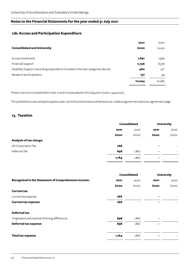## **12b. Access and Participation Expenditure**

|                                                                                 | 2021   | 2020        |
|---------------------------------------------------------------------------------|--------|-------------|
| <b>Consolidated and University</b>                                              | £000   | <b>EOOO</b> |
|                                                                                 |        |             |
| Access Investment                                                               | 1,691  | 1,589       |
| <b>Financial Support</b>                                                        | 7,756  | 8,376       |
| Disability Support (excluding expenditure included in the two categories above) | 460    | 471         |
| Research and Evaluation                                                         | 137    | 49          |
|                                                                                 | 10,044 | 10,485      |

These costs are included within note 12 and include salaries of £1,639,000 (2020: 1,424,000).

The published access and participation plan can be found at www.southampton.ac.uk/about/governance/access-agreement.page

### **13. Taxation**

|                         |       | <b>Consolidated</b>      | <b>University</b> |                          |
|-------------------------|-------|--------------------------|-------------------|--------------------------|
|                         | 2021  | 2020                     | 2021              | 2020                     |
|                         | £000  | £000                     | £000              | <b>COOO</b>              |
| Analysis of tax charge: |       |                          |                   |                          |
| UK Corporation Tax      | 266   | $\overline{\phantom{a}}$ | $\blacksquare$    | $\overline{\phantom{a}}$ |
| Deferred Tax            | 898   | 1,867                    | $\blacksquare$    | $\overline{\phantom{a}}$ |
|                         | 1,164 | 1,867                    |                   | $\overline{\phantom{a}}$ |

| Consolidated |                          | <b>University</b> |             |
|--------------|--------------------------|-------------------|-------------|
| 2021         | 2020                     | 2021              | 2020        |
| £000         | £000                     | £000              | <b>EOOO</b> |
|              |                          |                   |             |
| 266          | $\overline{\phantom{a}}$ |                   |             |
| 266          |                          | ۰                 |             |
|              |                          |                   |             |
| 898          | 1,867                    |                   |             |
| 898          | 1,867                    | Ξ.                |             |
| 1,164        | 1,867                    | ۰                 |             |
|              |                          |                   |             |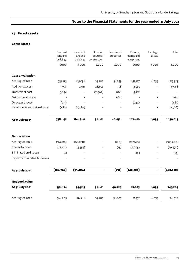## **14. Fixed assets**

### **Consolidated**

|                             | Freehold<br>land and<br>buildings | Leasehold<br>land and<br>buildings | Assets in<br>course of<br>construction | Investment<br>properties | Fixtures,<br>fittings and<br>equipment | Heritage<br>assets | Total      |
|-----------------------------|-----------------------------------|------------------------------------|----------------------------------------|--------------------------|----------------------------------------|--------------------|------------|
|                             | £000                              | £000                               | £000                                   | £000                     | £000                                   | £000               | £000       |
| <b>Cost or valuation</b>    |                                   |                                    |                                        |                          |                                        |                    |            |
| At 1 August 2020            | 731,923                           | 165,038                            | 14,907                                 | 38,243                   | 159,177                                | 6,035              | 1,115,323  |
| Additions at cost           | 1,978                             | 2,011                              | 28,456                                 | 58                       | 3,565                                  |                    | 36,068     |
| Transfers at cost           | 5,644                             |                                    | (11, 562)                              | 1,006                    | 4,912                                  |                    |            |
| Gain on revaluation         |                                   |                                    |                                        | 1,651                    |                                        |                    | 1,651      |
| Disposals at cost           | (217)                             |                                    |                                        |                          | (244)                                  |                    | (461)      |
| Impairments and write-downs | (486)                             | (2,080)                            |                                        |                          |                                        |                    | (2,566)    |
| At 31 July 2021             | 738,842                           | 164,969                            | 31,801                                 | 40,958                   | 167,410                                | 6,035              | 1,150,015  |
| <b>Depreciation</b>         |                                   |                                    |                                        |                          |                                        |                    |            |
| At 1 August 2020            | (167,718)                         | (68,050)                           |                                        | (216)                    | (137, 625)                             |                    | (373, 609) |
| Charge for year             | (17,102)                          | (3,354)                            |                                        | (15)                     | (9,005)                                | $\overline{a}$     | (29, 476)  |
| Eliminated on disposal      | 92                                |                                    |                                        |                          | 243                                    |                    | 335        |
| Impairments and write-downs |                                   |                                    |                                        |                          |                                        |                    |            |
| At 31 July 2021             | (184, 728)                        | (71, 404)                          |                                        | (231)                    | (146, 387)                             |                    | (402,750)  |
| Net book value              |                                   |                                    |                                        |                          |                                        |                    |            |
| At 31 July 2021             | 554,114                           | 93,565                             | 31,801                                 | 40,727                   | 21,023                                 | 6,035              | 747,265    |
| At 1 August 2020            | 564,205                           | 96,988                             | 14,907                                 | 38,027                   | 21,552                                 | 6,035              | 741,714    |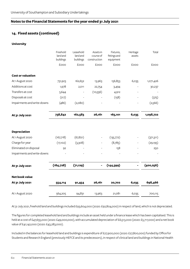## **14. Fixed assets (continued)**

### **University**

|                             | Freehold<br>land and<br>buildings | Leasehold<br>land and<br>buildings | Assets in<br>course of<br>construction | Fixtures,<br>fittings and<br>equipment | Heritage<br>assets | Total      |
|-----------------------------|-----------------------------------|------------------------------------|----------------------------------------|----------------------------------------|--------------------|------------|
|                             | £000                              | £000                               | <b>EOOO</b>                            | £000                                   | £000               | £000       |
| <b>Cost or valuation</b>    |                                   |                                    |                                        |                                        |                    |            |
| At 1 August 2020            | 731,923                           | 162,652                            | 13,963                                 | 156,853                                | 6,035              | 1,071,426  |
| Additions at cost           | 1,978                             | 2,011                              | 22,754                                 | 3,494                                  |                    | 30,237     |
| Transfers at cost           | 5,644                             |                                    | (10,556)                               | 4,912                                  |                    |            |
| Disposals at cost           | (217)                             |                                    |                                        | (158)                                  |                    | (375)      |
| Impairments and write-downs | (486)                             | (2,080)                            |                                        |                                        |                    | (2,566)    |
| At 31 July 2021             | 738,842                           | 162,583                            | 26,161                                 | 165,101                                | 6,035              | 1,098,722  |
| <b>Depreciation</b>         |                                   |                                    |                                        |                                        |                    |            |
| At 1 August 2020            | (167,718)                         | (67, 821)                          |                                        | (135,772)                              |                    | (371,311)  |
| Charge for year             | (17,102)                          | (3,308)                            |                                        | (8,785)                                |                    | (29, 195)  |
| Eliminated on disposal      | 92                                |                                    |                                        | 158                                    |                    | 250        |
| Impairments and write-downs |                                   |                                    |                                        |                                        |                    |            |
| At 31 July 2021             | (184, 728)                        | (71, 129)                          |                                        | (144, 399)                             |                    | (400, 256) |
| <b>Net book value</b>       |                                   |                                    |                                        |                                        |                    |            |
| At 31 July 2021             | 554,114                           | 91,454                             | 26,161                                 | 20,702                                 | 6,035              | 698,466    |
| At 1 August 2020            | 564,205                           | 94,831                             | 13,963                                 | 21,081                                 | 6,035              | 700,115    |

At 31 July 2021, freehold land and buildings included £93,604,000 (2020: £92,804,000) in respect of land, which is not depreciated.

The figures for completed leasehold land and buildings include an asset held under a finance lease which has been capitalised. This is held at a cost of £47,655,000 (2020: £49,000,000), with accumulated depreciation of £6,513,000 (2020: £5,717,000) and a net book value of £41,142,000 (2020: £43,283,000).

Included in the balances for leasehold land and buildings is expenditure of £27,900,000 (2020: £27,800,000) funded by Office for Students and Research England (previously HEFCE and its predecessors), in respect of clinical land and buildings in National Health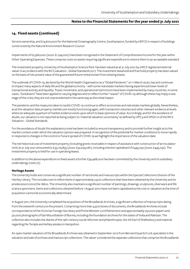## **14. Fixed assets (continued)**

Service ownership, and £14,600,000 for the National Oceanography Centre, Southampton, funded by HEFCE in respect of buildings constructed by the Natural Environment Research Council.

Impairments of £2,566,000 (2020: £1,194,000) have been recognised in the Statement of Comprehensive Income for the year within Other Operating Expenses. These comprise costs on assets requiring significant expenditure to restore them to an acceptable standard

The investment property, University of Southampton Science Park, has been valued as at 31 July 2021 by a RICS registered external valuer in accordance with the RICS valuation - Global Standards 2017. The investment leasehold and free hold property has been valued on the basis of net present value of the guaranteed future rental stream from existing leases.

The outbreak of COVID-19, declared by the World Health Organisation as a "Global Pandemic" on 11 March 2020, has and continues to impact many aspects of daily life and the global economy – with some real estate markets having experienced lower levels of transactional activity and liquidity. Travel, movement, and operational restrictions have been implemented by many countries. In some cases, "lockdowns" have been applied to varying degrees and to reflect further "waves" of COVID-19; although these may imply a new stage of the crisis, they are not unprecedented in the same way as the initial impact.

The pandemic and the measures taken to tackle COVID-19 continue to affect economies and real estate markets globally. Nevertheless, as at the valuation date property markets are mostly functioning again, with transaction volumes and other relevant evidence at levels where an adequate quantum of market evidence exists upon which to base opinions of value. Accordingly, and for the avoidance of doubt, our valuation is not reported as being subject to 'material valuation uncertainty' as defined by VPS 3 and VPGA 10 of the RICS Valuation – Global Standards.

For the avoidance of doubt this explanatory note has been included to ensure transparency and to provide further insight as to the market context under which the valuation opinion was prepared. In recognition of the potential for market conditions to move rapidly in response to changes in the control or future spread of COVID-19 we highlight the importance of the valuation date.

The net historical cost of investment property (including grants receivable in respect of assistance with construction of an Incubator Unit) at 31 July 2021 amounted to £33,179,833 (2020: £32,093,081), including interest capitalised of £445,032 (2020: £445,032). The investment property is held for use in operating leases.

In addition to the above expenditure on fixed assets a further £39,468,000 has been committed by the University and its subsidiary undertakings (note 27).

### **Heritage Assets**

The University holds and conserves a significant number of rare books and manuscripts within the Special Collections Division of the Hartley Library. This includes over 6 million items in approximately 2,500 collections that have been obtained by the University and its predecessors since the 1860s. The University also maintains a significant number of paintings, drawings, sculptures, silverware and life science specimens. Items and collections obtained before 1 August 2010 have not been capitalised as the cost or valuation at the time of acquisition cannot be economically determined.

In August 2011, the University completed the acquisition of the Broadlands Archives, a significant collection of manuscripts dating from the sixteenth century to the present. Comprising more than 4,500 boxes of documents, the Broadlands Archives include correspondence of the Victorian Foreign Secretary and Prime Minister Lord Palmerston and approximately 250,000 papers and 50,000 photographs of Earl Mountbatten of Burma, including the foundation archives for the states of India and Pakistan. The collection also includes the diaries of the 19th-century social reformer and philanthropist, the 7th Earl of Shaftesbury and material regarding the Temple and Ashley estates in Hampshire.

An open market valuation of the Broadlands Archives was obtained in September 2012 from Bernard Quaritch Ltd, specialists in the valuation and sale of archives and manuscript collections. The valuer considered the separate collections that comprise the Broadlands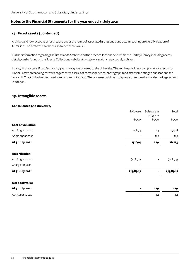## **14. Fixed assets (continued)**

Archives and took account of restrictions under the terms of associated grants and contracts in reaching an overall valuation of £6 million. The Archives have been capitalised at this value.

Further information regarding the Broadlands Archives and the other collections held within the Hartley Library, including access details, can be found on the Special Collections website at http://www.southampton.ac.uk/archives.

In 2017/18, the Honor Frost Archive (1940s to 2010) was donated to the University. The archive provides a comprehensive record of Honor Frost's archaeological work, together with series of correspondence, photographs and material relating to publications and research. The archive has been attributed a value of £35,000. There were no additions, disposals or revaluations of the heritage assets in 2020/21.

### **15. Intangible assets**

### **Consolidated and University**

|                          | Software  | Software in<br>progress  | Total     |
|--------------------------|-----------|--------------------------|-----------|
|                          | £000      | £000                     | £000      |
| <b>Cost or valuation</b> |           |                          |           |
| At 1 August 2020         | 15,894    | 44                       | 15,938    |
| Additions at cost        |           | 185                      | 185       |
| At 31 July 2021          | 15,894    | 229                      | 16,123    |
| <b>Amortisation</b>      |           |                          |           |
| At 1 August 2020         | (15, 894) | $\overline{\phantom{a}}$ | (15, 894) |
| Charge for year          |           |                          |           |
| At 31 July 2021          | (15, 894) | -                        | (15, 894) |
| Net book value           |           |                          |           |
| At 31 July 2021          |           | 229                      | 229       |
| At 1 August 2020         |           | 44                       | 44        |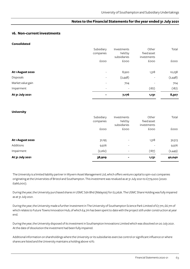### **16. Non-current investments**

**Consolidated**

|                   | Subsidiary<br>companies<br>£000 | Investments<br>held by<br>subsidiaries<br>£000 | Other<br>fixed asset<br>investments<br>£000 | Total<br>£000 |
|-------------------|---------------------------------|------------------------------------------------|---------------------------------------------|---------------|
| At 1 August 2020  | $\overline{\phantom{a}}$        | 8,920                                          | 1,318                                       | 10,238        |
| Disposals         | $\overline{\phantom{a}}$        | (2,448)                                        | $\overline{\phantom{0}}$                    | (2,448)       |
| Market value gain | $\overline{\phantom{a}}$        | 704                                            |                                             | 704           |
| Impairment        | $\overline{\phantom{a}}$        | $\overline{\phantom{a}}$                       | (187)                                       | (187)         |
| At 31 July 2021   | $\overline{\phantom{0}}$        | 7,176                                          | 1,131                                       | 8,307         |

#### **University**

| Additions<br>Impairment | 9,976<br>(2,262)        | $\overline{\phantom{a}}$<br>$\overline{\phantom{a}}$ | $\overline{\phantom{0}}$<br>(187)   | 9,976<br>(2,449) |
|-------------------------|-------------------------|------------------------------------------------------|-------------------------------------|------------------|
| At 1 August 2020        | 31,195                  | $\overline{\phantom{a}}$                             | 1,318                               | 32,513           |
|                         | £000                    | £000                                                 | <b>EOOO</b>                         | <b>EOOO</b>      |
|                         | Subsidiary<br>companies | Investments<br>held by<br>subsidiaries               | Other<br>fixed asset<br>investments | Total            |

The University is a limited liability partner in Wyvern Asset Management Ltd, which offers venture capital to spin-out companies originating at the Universities of Bristol and Southampton. This investment was revalued as at 31 July 2021 to £779,000 (2020: £966,000).

During the year, the University purchased shares in USMC Sdn Bhd (Malaysia) for £2,262k. The USMC Share Holding was fully impaired as at 31 July 2021.

During the year, the University made a further investment in The University of Southampton Science Park Limited of £7.7m, £6.7m of which relates to Future Towns Innovation Hub, of which £4.7m has been spent to date with the project still under construction at year end.

During the year, the University disposed of its investment in Southampton Innovations Limited which was dissolved on 20 July 2021. At the date of dissolution the investment had been fully impaired.

Additional information on shareholdings where the University or its subsidiaries exercise control or significant influence or where shares are listed and the University maintains a holding above 10%: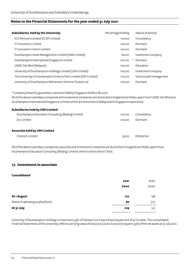| Subsidiaries held by the University                              | Percentage holding | Nature of activity      |
|------------------------------------------------------------------|--------------------|-------------------------|
| ECS Partners Limited (ECSP Limited)                              | 100.00             | Consultancy             |
| <b>IT Innovation Limited</b>                                     | 100.00             | <b>Dormant</b>          |
| <b>IT Innovation Centre Limited</b>                              | 100.00             | <b>Dormant</b>          |
| Southampton Asset Management Limited (SAM Limited)               | 80.00              | Investment company      |
| Southampton International Singapore Limited                      | 100.00             | <b>Dormant</b><br>∗     |
| USMC Sdn Bhd (Malaysia)                                          | 100.00             | Education               |
| University of Southampton Holdings Limited (USH Limited)         | 100.00             | Investment company      |
| The University of Southampton Science Park Limited (SSP Limited) | 100.00             | Science park management |
| University of Southampton Retirement Scheme Trustee Ltd          | 100.00             | <b>Dormant</b>          |

\* Company limited by guarantee, maximum liability Singapore Dollars S\$1,000

All of the above subsidiary companies and investment companies are domiciled in England and Wales, apart from USMC Sdn Bhd and Southampton International Singapore Limited, which are domiciled in Malaysia and Singapore respectively.

### **Subsidiaries held by USH Limited**

| Southampton Education Consulting (Beijing) Limited | 100.00 | Consultancy |
|----------------------------------------------------|--------|-------------|
| Z <sub>21</sub> Limited                            | 100.00 | Dormant     |
| Associate held by USH Limited                      |        |             |
| Clantect Limited                                   | 33.00  | Enterprise  |

All of the above subsidiary companies, associate and investment companies are domiciled in England and Wales, apart from Southampton Education Consulting (Beijing) Limited, which is domiciled in China.

## **17. Investment in associate**

### **Consolidated**

| 2021 | 2020 |
|------|------|
| £000 | £000 |
| 127  | 138  |
| 92   | (11) |
| 219  | 127  |
|      |      |

University of Southampton Holdings Limited owns 33% of Clantect Ltd. It has a financial year end of 31 October. The consolidated Financial Statements of the University reflect a carrying value of £219,000 (2020: £127,000) equal to 33% of the net assets at 31 July 2021.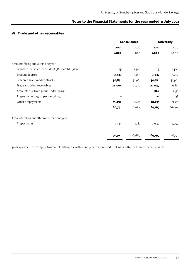## **18. Trade and other receivables**

|                                                  | <b>Consolidated</b> |        |        | <b>University</b> |
|--------------------------------------------------|---------------------|--------|--------|-------------------|
|                                                  | 2021                | 2020   | 2021   | 2020              |
|                                                  | £000                | £000   | £000   | £000              |
| Amounts falling due within one year:             |                     |        |        |                   |
| Grants from Office for Students/Research England | 19                  | 1,408  | 19     | 1,408             |
| Student debtors                                  | 2,437               | 1,057  | 2,437  | 1,057             |
| Research grants and contracts                    | 30,871              | 32,961 | 30,871 | 32,961            |
| Trade and other receivables                      | 24,005              | 21,770 | 22,047 | 19,813            |
| Amounts due from group undertakings              | $\blacksquare$      |        | 926    | 1,156             |
| Prepayments to group undertakings                |                     |        | 112    | 138               |
| Other prepayments                                | 11,439              | 10,459 | 10,755 | 9,561             |
|                                                  | 68,771              | 67,655 | 67,167 | 66,094            |
| Amounts falling due after more than one year:    |                     |        |        |                   |
| Prepayments                                      | 2,141               | 2,182  | 2,030  | 2,097             |
|                                                  | 70,912              | 69,837 | 69,197 | 68,191            |

30 day payment terms apply to amounts falling due within one year to group undertakings and to trade and other receivables.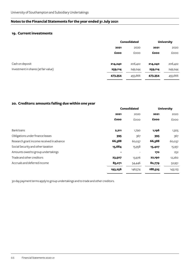## **19. Current investments**

|                                      | <b>Consolidated</b> |             | <b>University</b> |             |
|--------------------------------------|---------------------|-------------|-------------------|-------------|
|                                      | 2021                | 2020        | 2021              | 2020        |
|                                      | £000                | <b>EOOO</b> | £000              | <b>COOO</b> |
| Cash on deposit                      | 214,240             | 206,422     | 214,240           | 206,422     |
| Investment in shares (at fair value) | 259,114             | 249,244     | 259,114           | 249,244     |
|                                      | 473,354             | 455,666     | 473,354           | 455,666     |

## **20. Creditors: amounts falling due within one year**

|                                           | <b>Consolidated</b> |             | <b>University</b> |             |
|-------------------------------------------|---------------------|-------------|-------------------|-------------|
|                                           | 2021                | 2020        | 2021              | 2020        |
|                                           | £000                | <b>EOOO</b> | £000              | <b>COOO</b> |
| Bank loans                                | 2,211               | 1,790       | 1,196             | 1,305       |
| Obligations under finance leases          | 395                 | 367         | 395               | 367         |
| Research grant income received in advance | 66,388              | 60,037      | 66,388            | 60,037      |
| Social Security and other taxation        | 15,684              | 15,958      | 15,407            | 15,951      |
| Amounts owed to group undertakings        |                     |             | 170               | 252         |
| Trade and other creditors                 | 23,507              | 13,976      | 22,190            | 12,260      |
| Accruals and deferred income              | 85,071              | 54,446      | 82,779            | 52,951      |
|                                           | 193,256             | 146,574     | 188,525           | 143,123     |

30 day payment terms apply to group undertakings and to trade and other creditors.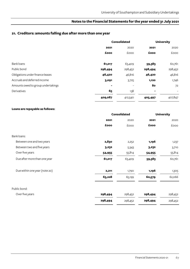## **21. Creditors: amounts falling due after more than one year**

|                                    | <b>Consolidated</b>      |                          |         | <b>University</b>        |
|------------------------------------|--------------------------|--------------------------|---------|--------------------------|
|                                    | 2021                     | 2020                     | 2021    | 2020                     |
|                                    | £000                     | £000                     | £000    | £000                     |
| Bank loans                         | 61,017                   | 63,409                   | 59,383  | 60,761                   |
| Public bond                        | 298,494                  | 298,452                  | 298,494 | 298,452                  |
| Obligations under finance leases   | 46,420                   | 46,816                   | 46,420  | 46,816                   |
| Accruals and deferred income       | 3,091                    | 3,725                    | 1,120   | 1,746                    |
| Amounts owed to group undertakings | $\overline{\phantom{0}}$ | $\overline{\phantom{a}}$ | 80      | 72                       |
| Derivatives                        | 65                       | 138                      | ۰       | $\overline{\phantom{a}}$ |
|                                    | 409,087                  | 412,540                  | 405,497 | 407,847                  |

### **Loans are repayable as follows:**

|                               | <b>Consolidated</b> |         |         | <b>University</b> |
|-------------------------------|---------------------|---------|---------|-------------------|
|                               | 2021                | 2020    | 2021    | 2020              |
|                               | £000                | £000    | £000    | <b>COOO</b>       |
| Bank loans:                   |                     |         |         |                   |
| Between one and two years     | 2,830               | 2,252   | 1,196   | 1,237             |
| Between two and five years    | 3,232               | 5,343   | 3,232   | 3,710             |
| Over five years               | 54,955              | 55,814  | 54,955  | 55,814            |
| Due after more than one year  | 61,017              | 63,409  | 59,383  | 60,761            |
| Due within one year (note 20) | 2,211               | 1,790   | 1,196   | 1,305             |
|                               | 63,228              | 65,199  | 60,579  | 62,066            |
| Public bond:                  |                     |         |         |                   |
| Over five years               | 298,494             | 298,452 | 298,494 | 298,452           |
|                               | 298,494             | 298,452 | 298,494 | 298,452           |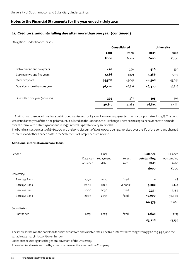## **21. Creditors: amounts falling due after more than one year (continued)**

Obligations under finance leases:

|                               | <b>Consolidated</b> |        |        | <b>University</b> |
|-------------------------------|---------------------|--------|--------|-------------------|
|                               | 2021                | 2020   | 2021   | 2020              |
|                               | £000                | £000   | £000   | <b>EOOO</b>       |
| Between one and two years     | 426                 | 396    | 426    | 396               |
| Between two and five years    | 1,486               | 1,379  | 1,486  | 1,379             |
| Over five years               | 44,508              | 45,041 | 44,508 | 45,041            |
| Due after more than one year  | 46,420              | 46,816 | 46,420 | 46,816            |
| Due within one year (note 20) | 395                 | 367    | 395    | 367               |
|                               | 46,815              | 47,183 | 46,815 | 47,183            |

In April 2017 an unsecured fixed rate public bond was issued for £300 million over a 40 year term with a coupon rate of 2.25%. The bond was issued at 99.76% of the principal amount. It is listed on the London Stock Exchange. There are no capital repayments to be made over the term, with full repayment due in 2057. Interest is payable every six months.

The bond transaction costs of £980,000 and the bond discount of £708,000 are being amortised over the life of the bond and charged to interest and other finance costs in the Statement of Comprehensive Income.

### **Additional information on bank loans:**

| Lender               | Date loan<br>obtained | Final<br>repayment<br>date | Interest<br>rate | <b>Balance</b><br>outstanding<br>2021<br>£000 | Balance<br>outstanding<br>2020<br>£000 |
|----------------------|-----------------------|----------------------------|------------------|-----------------------------------------------|----------------------------------------|
| University:          |                       |                            |                  |                                               |                                        |
| Barclays Bank        | 1999                  | 2020                       | fixed            |                                               | 68                                     |
| <b>Barclays Bank</b> | 2006                  | 2026                       | variable         | 3,208                                         | 4,144                                  |
| Barclays Bank        | 2006                  | 2036                       | fixed            | 7,371                                         | 7,854                                  |
| <b>Barclays Bank</b> | 2007                  | 2037                       | fixed            | 50,000                                        | 50,000                                 |
|                      |                       |                            |                  | 60,579                                        | 62,066                                 |
| Subsidiaries:        |                       |                            |                  |                                               |                                        |
| Santander            | 2015                  | 2023                       | fixed            | 2,649                                         | 3,133                                  |
|                      |                       |                            |                  | 63,228                                        | 65,199                                 |

The interest rates on the bank loan facilities are at fixed and variable rates. The fixed interest rates range from 5.57% to 5.95%, and the variable rate margin is 0.75% over Euribor.

Loans are secured against the general covenant of the University.

The subsidiary loan is secured by a fixed charge over the assets of the Company.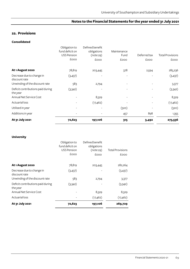## **22. Provisions**

### **Consolidated**

|                                               |                                                        |                                             | 315                      | 3,492        |                         |
|-----------------------------------------------|--------------------------------------------------------|---------------------------------------------|--------------------------|--------------|-------------------------|
| At 31 July 2021                               | 72,623                                                 | 197,106                                     |                          |              | 273,536                 |
| Additions in year                             |                                                        |                                             | 457                      | 898          | 1,355                   |
| Utilised in year                              |                                                        |                                             | (520)                    |              | (520)                   |
| <b>Actuarial loss</b>                         |                                                        | (17, 462)                                   |                          |              | (17, 462)               |
| Annual Net Service Cost                       |                                                        | 8,329                                       |                          |              | 8,329                   |
| Deficit contributions paid during<br>the year | (3,342)                                                |                                             |                          |              | (3,342)                 |
| Unwinding of the discount rate                | 583                                                    | 2,794                                       |                          |              | 3,377                   |
| Decrease due to change in<br>discount rate    | (3, 437)                                               |                                             | $\overline{\phantom{a}}$ |              | (3, 437)                |
| At 1 August 2020                              | 78,819                                                 | 203,445                                     | 378                      | 2,594        | 285,236                 |
|                                               | £000                                                   | £000                                        | <b>COOO</b>              | £000         | <b>EOOO</b>             |
|                                               | Obligation to<br>fund deficit on<br><b>USS Pension</b> | Defined benefit<br>obligations<br>(note 29) | Maintenance<br>Fund      | Deferred tax | <b>Total Provisions</b> |

### **University**

| At 31 July 2021                                 | 72,623             | 197,106         | 269,729                 |
|-------------------------------------------------|--------------------|-----------------|-------------------------|
| Actuarial loss                                  |                    | (17, 462)       | (17, 462)               |
| the year<br>Annual Net Service Cost             |                    | 8,329           | 8,329                   |
| Deficit contributions paid during               | (3,342)            |                 | (3,342)                 |
| discount rate<br>Unwinding of the discount rate | 583                | 2,794           | 3,377                   |
| Decrease due to change in                       | (3,437)            |                 | (3,437)                 |
| At 1 August 2020                                | 78,819             | 203,445         | 282,264                 |
|                                                 | £000               | £000            | £000                    |
|                                                 | <b>USS Pension</b> | (note 29)       | <b>Total Provisions</b> |
|                                                 | fund deficit on    | obligations     |                         |
|                                                 | Obligation to      | Defined benefit |                         |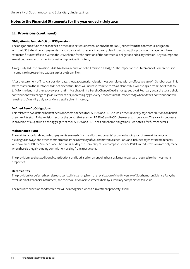## **22. Provisions (continued)**

### **Obligation to fund deficit on USS pension**

The obligation to fund the past deficit on the Universities Superannuation Scheme (USS) arises from the contractual obligation with the USS to fund deficit payments in accordance with the deficit recovery plan. In calculating this provision, management have estimated future staff levels within the USS scheme for the duration of the contractual obligation and salary inflation. Key assumptions are set out below and further information is provided in note 29.

As at 31 July 2021 the provision is £72.6 million a reduction of £6.2 million on 2019/20. The impact on the Statement of Comprehensive Income is to increase the 2020/21 surplus by £6.2 million.

After the statement of financial position date, the 2020 actuarial valuation was completed with an effective date of 1 October 2021. This states that from the 1 October 2021 deficit contributions will increase from 2% to 6% as planned but will rise again from 1 April 2022 to 6.3% for the length of the recovery plan until 31 March 2038. If a Benefit Change Deed is not agreed by 28 February 2022, the total deficit contributions will change to 3% in October 2022, increasing by 3% every 6 months until October 2025 where deficit contributions will remain at 20% until 31 July 2032. More detail is given in note 29.

### **Defined Benefit Obligations**

This relates to two defined benefit pension scheme deficits for PASNAS and HCC, to which the University pays contributions on behalf of some of its staff. This provision records the deficit that exists on PASNAS and HCC schemes as at 31 July 2021. The 2020/21 decrease in provision of £6.3 million is the aggregate of the PASNAS and HCC pension scheme obligations. See note 29 for further details.

### **Maintenance Fund**

The maintenance fund (into which payments are made from landlord and tenants) provides funding for future maintenance of buildings, roadways and other common areas at the University of Southampton Science Park, and includes payments from tenants who have since left the Science Park. The fund is held by the University of Southampton Science Park Limited. Provisions are only made when there is a legally binding commitment arising from a past event.

The provision receives additional contributions and is utilised on an ongoing basis as larger repairs are required to the investment properties.

### **Deferred Tax**

The provision for deferred tax relates to tax liabilities arising from the revaluation of the University of Southampton Science Park, the revaluation of a financial instrument, and the revaluation of investments held by subsidiary companies at fair value.

The requisite provision for deferred tax will be recognised when an investment property is sold.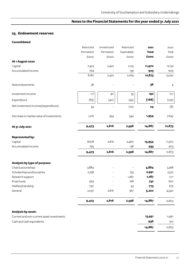## **23. Endowment reserves**

#### **Consolidated**

|                                           | Restricted | Unrestricted | Restricted | 2021         | 2020           |
|-------------------------------------------|------------|--------------|------------|--------------|----------------|
|                                           | Permanent  | Permanent    | Expendable | <b>Total</b> | Total          |
|                                           | £000       | £000         | £000       | £000         | £000           |
| At 1 August 2020                          |            |              |            |              |                |
| Capital                                   | 7,423      | 2,422        | 2,125      | 11,970       | 12,132         |
| Accumulated income                        | 764        |              | 139        | 903          | 909            |
|                                           | 8,187      | 2,422        | 2,264      | 12,873       | 13,041         |
| New endowments                            | 36         |              |            | 36           | $\overline{4}$ |
| Investment income                         | 117        | 40           | 35         | 192          | 217            |
| Expenditure                               | (83)       | (40)         | (45)       | (168)        | (225)          |
| Net investment income/(expenditure)       | 34         |              | (10)       | 24           | (8)            |
| Decrease in market value of investments   | 1,216      | 394          | 344        | 1,954        | (164)          |
| At 31 July 2021                           | 9,473      | 2,816        | 2,598      | 14,887       | 12,873         |
| <b>Represented by:</b>                    |            |              |            |              |                |
| Capital                                   | 8,678      | 2,816        | 2,460      | 13,954       | 11,970         |
| Accumulated income                        | 795        |              | 138        | 933          | 903            |
|                                           | 9,473      | 2,816        | 2,598      | 14,887       | 12,873         |
| Analysis by type of purpose:              |            |              |            |              |                |
| Chair/Lectureships                        | 3,884      |              |            | 3,884        | 3,368          |
| Scholarships and bursaries                | 2,258      |              | 733        | 2,991        | 2,572          |
| Research support                          |            |              | 1,287      | 1,287        | 1,111          |
| Prize funds                               | 564        |              | 168        | 732          | 607            |
| Welfare/Hardship                          | 730        |              | 43         | 773          | 675            |
| General                                   | 2,037      | 2,816        | 367        | 5,220        | 4,540          |
|                                           | 9,473      | 2,816        | 2,598      | 14,887       | 12,873         |
| <b>Analysis by asset:</b>                 |            |              |            |              |                |
| Current and non-current asset investments |            |              |            | 13,951       | 11,961         |
| Cash and cash equivalents                 |            |              |            | 936          | 912            |
|                                           |            |              |            | 14,887       | 12,873         |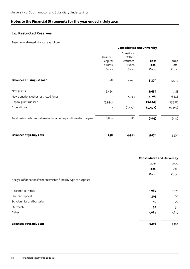### **24. Restricted Reserves**

Reserves with restrictions are as follows:

|                                                                  |                              | <b>Consolidated and University</b>         |                      |               |
|------------------------------------------------------------------|------------------------------|--------------------------------------------|----------------------|---------------|
|                                                                  | Unspent<br>Capital<br>Grants | Donations<br>/Other<br>Restricted<br>Funds | 2021<br><b>Total</b> | 2020<br>Total |
|                                                                  | £000                         | £000                                       | £000                 | <b>EOOO</b>   |
| <b>Balances at 1 August 2020</b>                                 | 738                          | 4,632                                      | 5,370                | 5,509         |
| New grants                                                       | 5,454                        |                                            | 5,454                | 1,833         |
| New donations/other restricted funds                             |                              | 5,763                                      | 5,763                | 6,848         |
| Capital grants utilised                                          | (5,934)                      |                                            | (5, 934)             | (3,371)       |
| Expenditure                                                      |                              | (5, 477)                                   | (5, 477)             | (5,449)       |
| Total restricted comprehensive income/(expenditure) for the year | (480)                        | 286                                        | (194)                | (139)         |
| Balances at 31 July 2021                                         | 258                          | 4,918                                      | 5,176                | 5,370         |

|                                                                  | <b>Consolidated and University</b> |             |
|------------------------------------------------------------------|------------------------------------|-------------|
|                                                                  | 2020<br>2021                       |             |
|                                                                  | <b>Total</b>                       | Total       |
|                                                                  | £000                               | <b>EOOO</b> |
| Analysis of donations/other restricted funds by type of purpose: |                                    |             |
| Research activities                                              | 3,087                              | 3,375       |
| Student support                                                  | 305                                | 260         |
| Scholarships and bursaries                                       | 50                                 | 70          |
| Outreach                                                         | 50                                 | 36          |
| Other                                                            | 1,684                              | 1,629       |
| Balances at 31 July 2021                                         | 5,176                              | 5,370       |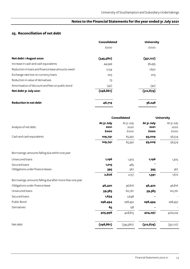# **25. Reconciliation of net debt**

| <b>Consolidated</b> | <b>University</b> |
|---------------------|-------------------|
| <b>EOOO</b>         | <b>EOOO</b>       |
| (345,580)           | (351, 127)        |
| 44,349              | 36,435            |
| 2,134               | 1,650             |
| 205                 | 205               |
| 73                  |                   |
| (42)                | (42)              |
| (298, 861)          | (312, 879)        |
| 46,719              | 38,248            |
|                     |                   |

| <b>Consolidated</b>        |                            | <b>University</b>          |                            |
|----------------------------|----------------------------|----------------------------|----------------------------|
| At 31 July<br>2021<br>£000 | At 31 July<br>2020<br>£000 | At 31 July<br>2021<br>£000 | At 31 July<br>2020<br>£000 |
| 109,741                    | 65,392                     | 93,009                     | 56,574                     |
| 109,741                    | 65,392                     | 93,009                     | 56,574                     |
|                            |                            |                            |                            |
| 1,196                      | 1,305                      | 1,196                      | 1,305                      |
| 1,015                      | 485                        |                            |                            |
| 395                        | 367                        | 395                        | 367                        |
| 2,606                      | 2,157                      | 1,591                      | 1,672                      |
|                            |                            |                            |                            |
| 46,420                     | 46,816                     | 46,420                     | 46,816                     |
| 59,383                     | 60,761                     | 59,383                     | 60,761                     |
| 1,634                      | 2,648                      |                            |                            |
| 298,494                    | 298,452                    | 298,494                    | 298,452                    |
| 65                         | 138                        |                            |                            |
| 405,996                    | 408,815                    | 404,297                    | 406,029                    |
| (298, 861)                 | (345,580)                  | (312, 879)                 | (351, 127)                 |
|                            |                            |                            |                            |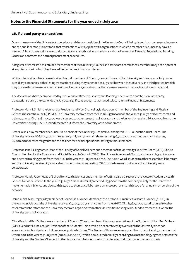#### **26. Related party transactions**

Due to the nature of the University's operations and the composition of the University Council, being drawn from commerce, industry and the public sector, it is inevitable that transactions will take place with organisations in which a member of Council may have an interest. All such transactions are conducted at arm's length and in accordance with the University's Financial Regulations, Standing Orders on contracts and normal procurement procedures.

A Register of Interests is maintained for members of the University Council and associated committees. Members may not be present at any discussion in which they have a direct or indirect financial interest.

Written declarations have been obtained from all members of Council, senior officers of the University and directors of fully owned subsidiary companies, either listing transactions during the year ended 31 July 2021 between the University and third parties in which they or close family members held a position of influence, or stating that there were no relevant transactions during the period.

The declarations have been reviewed by the Executive Director, Finance and Planning. There were a number of related party transactions during the year ended 31 July 2021 significant enough to warrant disclosure in the Financial Statements.

Professor Mark E. Smith, the University President and Vice-Chancellor, is also a council member of the Engineering and Physical Sciences Research Council (EPSRC). The University received from the EPSRC £37,100,000 in the year to 31 July 2021 for research and training grants. Of this, £3,300,000 was disbursed to other research collaborators and the University received £6,200,000 from other Universities hosting EPSRC funded research but where the University was a collaborator.

Peter Hollins, a lay member of Council, is also chair of the University Hospital Southampton NHS Foundation Trust Board. The University received £18,600,000 in the year to 31 July 2021, the main elements being £7,100,000 contribution to joint salaries, £6,400,000 for research grants and the balance for normal operational activity reimbursements.

Professor Jane Falkingham, is Dean of the Faculty of Social Sciences and a member of the University Executive Board (UEB). She is a Council Member for the Economic and Social Research Council (ESRC). The University received £8,400,000 research grant income and doctoral training grants from the ESRC in the year to 31 July 2021. Of this, £900,000 was disbursed to other research collaborators and the University received £500,000 from other Universities hosting ESRC funded research but where the University was a collaborator.

Professor Mandy Fader, Head of School for Health Sciences and a member of UEB, is also a Director of the Wessex Academic Health Science Network Limited. In the year to 31 July 2021 the University received £175,000 from the company mainly for the Centre for Implementation Science and also paid £64,000 to them as collaborators on a research grant and £13,000 for annual membership of the network.

Dame Judith MacGregor, a lay member of Council, is a Council Member of the Arts and Humanities Research Council (AHRC). In the year to 31 July 2021 the University received £2,000,000 grant income from the AHRC. Of this, £250,000 was disbursed to other research collaborators and the University received £250,000 from other Universities hosting AHRC funded research but where the University was a collaborator.

Olivia Reed and Ben Dolbear were members of Council (Class 5 membership) as representatives of the Students' Union. Ben Dolbear (Olivia Reed until June 2021) is President of the Students' Union which is a separate entity over which the University does not exercise control or significant influence over policy decisions. The Students' Union receives a grant from the University, an amount of £2,320,000 in the year to 31 July 2021 (2020: £2,210,000), which is calculated annually according to a methodology agreed between the University and the Students' Union. All other transactions between the two parties are conducted on a commercial basis.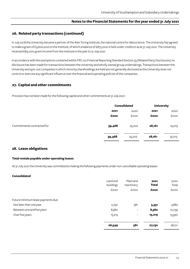#### **26. Related party transactions (continued)**

In July 2018 the University became a partner of the Alan Turing Institute, the national centre for data science. The University has agreed to make a grant of £3,600,000 to the Institute, of which a balance of £875,000 is held under creditors as at 31 July 2021. The University received £831,000 grant income from the Institute in the year to 31 July 2021.

In accordance with the exemptions contained within FRS 102 Financial Reporting Standard Section 33 (Related Party Disclosures) no disclosure has been made for transactions between the University and wholly owned group undertakings. Transactions between the University and spin-out companies in which minority shareholdings are held are not generally disclosed as the University does not control or exercise any significant influence over the financial and operating policies of the companies.

#### **27. Capital and other commitments**

Provision has not been made for the following capital and other commitments at 31 July 2021:

|                            |        | <b>Consolidated</b> |        | <b>University</b> |
|----------------------------|--------|---------------------|--------|-------------------|
|                            | 2021   | 2020                | 2021   | 2020              |
|                            | £000   | £000                | £000   | £000              |
| Commitments contracted for | 39,468 | 25,202              | 28,161 | 25,015            |
|                            | 39,468 | 25,202              | 28,161 | 25,015            |

#### **28. Lease obligations**

#### **Total rentals payable under operating leases**

At 31 July 2021 the University was committed to making the following payments under non-cancellable operating leases:

#### **Consolidated**

|                                    | Land and<br>buildings | Plant and<br>machinery   | 2021<br>Total | 2020<br>Total |
|------------------------------------|-----------------------|--------------------------|---------------|---------------|
|                                    | £000                  | £000                     | £000          | <b>EOOO</b>   |
| Future minimum lease payments due: |                       |                          |               |               |
| Not later than one year            | 2,750                 | 581                      | 3,331         | 3,882         |
| Between one and five years         | 8,580                 | $\overline{\phantom{a}}$ | 8,580         | 10,739        |
| Over five years                    | 15,219                | $\overline{\phantom{a}}$ | 15,219        | 13,590        |
|                                    | 26,549                | 581                      | 27,130        | 28,211        |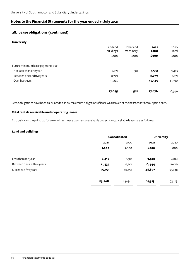## **28. Lease obligations (continued)**

#### **University**

|                                    | Land and<br>buildings | Plant and<br>machinery   | 2021<br><b>Total</b> | 2020<br>Total |
|------------------------------------|-----------------------|--------------------------|----------------------|---------------|
|                                    | £000                  | £000                     | £000                 | £000          |
| Future minimum lease payments due: |                       |                          |                      |               |
| Not later than one year            | 2,971                 | 581                      | 3,552                | 3,485         |
| Between one and five years         | 8,779                 | $\overline{\phantom{a}}$ | 8,779                | 9,871         |
| Over five years                    | 15,345                | $\overline{\phantom{a}}$ | 15,345               | 13,590        |
|                                    | 27,095                | 581                      | 27,676               | 26,946        |

Lease obligations have been calculated to show maximum obligations if lease was broken at the next tenant break option date.

#### **Total rentals receivable under operating leases**

At 31 July 2021 the principal future minimum lease payments receivable under non-cancellable leases are as follows:

#### **Land and buildings:**

|                            | <b>Consolidated</b> |        | <b>University</b> |        |
|----------------------------|---------------------|--------|-------------------|--------|
|                            | 2021                | 2020   | 2021              | 2020   |
|                            | £000                | £000   | £000              | £000   |
| Less than one year         | 6,416               | 6,582  | 3,972             | 4,061  |
| Between one and five years | 21,437              | 22,201 | 16,444            | 16,016 |
| More than five years       | 55,355              | 60,658 | 48,897            | 53,048 |
|                            | 83,208              | 89,441 | 69,313            | 73,125 |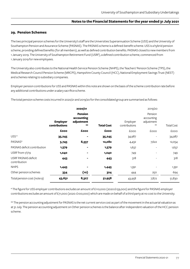#### **29. Pension Schemes**

The two principal pension schemes for the University's staff are the Universities Superannuation Scheme (USS) and the University of Southampton Pension and Assurance Scheme (PASNAS). The PASNAS scheme is a defined-benefit scheme. USS is a hybrid pension scheme, providing defined benefits (for all members), as well as defined contribution benefits. PASNAS closed to new members from 1 January 2019. The University of Southampton Retirement Fund (USRF), a defined contribution scheme, commenced from 1 January 2019 for new employees.

The University also contributes to the National Health Service Pension Scheme (NHPS), the Teachers' Pension Scheme (TPS), the Medical Research Council Pension Scheme (MRCPS), Hampshire County Council (HCC), National Employment Savings Trust (NEST) and schemes relating to subsidiary companies.

Employer pension contributions for USS and PASNAS within this note are shown on the basis of the scheme contribution rate before any additional contributions under a salary sacrifice scheme.

The total pension scheme costs incurred in 2020/21 and 2019/20 for the consolidated group are summarised as follows:

|                                     |                                  | 2020/21                                     |                   |                           | 2019/20                                     |                   |
|-------------------------------------|----------------------------------|---------------------------------------------|-------------------|---------------------------|---------------------------------------------|-------------------|
|                                     | <b>Employer</b><br>contributions | Pension<br>accounting<br>adjustment<br>$**$ | <b>Total Cost</b> | Employer<br>contributions | Pension<br>accounting<br>adjustment<br>$**$ | <b>Total Cost</b> |
|                                     | £000                             | £000                                        | £000              | £000                      | £000                                        | £000              |
| $USS*$                              | 35,245                           |                                             | 35,245            | 34,987                    |                                             | 34,987            |
| PASNAS*                             | 3,745                            | 8,337                                       | 12,082            | 4,432                     | 7,622                                       | 12,054            |
| PASNAS deficit contribution         | 1,379                            | -                                           | 1,379             | 1,637                     | $\overline{\phantom{a}}$                    | 1,637             |
| USRF from 1/1/19                    | 1,040                            |                                             | 1,040             | 749                       |                                             | 749               |
| USRF PASNAS deficit<br>contribution | 443                              |                                             | 443               | 318                       |                                             | 318               |
| <b>NHPS</b>                         | 1,445                            |                                             | 1,445             | 1,391                     |                                             | 1,391             |
| Other pension schemes               | 334                              | (10)                                        | 324               | 444                       | 250                                         | 694               |
| Total pension cost (note 9)         | 43,631                           | 8,327                                       | 51,958            | 43,958                    | 7,872                                       | 51,830            |

\* The figure for USS employer contributions excludes an amount of £110,000 (2020:£159,000) and the figure for PASNAS employer contributions excludes an amount of £71,000 (2020: £100,000) which are made on behalf of a third party at no cost to the University.

\*\* The pension accounting adjustment for PASNAS is the net current service cost as part of the movement in the actuarial valuation as at 31 July. The pension accounting adjustment on Other pension schemes is the balance after independent valuation of the HCC pension scheme.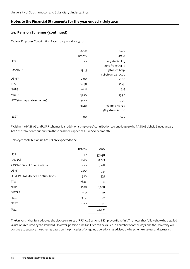## **29. Pension Schemes (continued)**

Table of Employer Contribution Rates 2020/21 and 2019/20:

|                            | 20/21 | 19/20                                                          |
|----------------------------|-------|----------------------------------------------------------------|
|                            | Rate% | Rate%                                                          |
| <b>USS</b>                 | 21.10 | 19.50 to Sept 19                                               |
| PASNAS*                    | 13.85 | 21.10 from Oct 19<br>12.15 to Dec 2019,<br>13.85 from Jan 2020 |
| USRF*                      | 10.00 | 10.00                                                          |
| <b>TPS</b>                 | 16.48 | 16.48                                                          |
| <b>NHPS</b>                | 16.18 | 16.18                                                          |
| <b>MRCPS</b>               | 15.90 | 15.90                                                          |
| HCC (two separate schemes) | 31.70 | 31.70                                                          |
|                            | 38.40 | 36.90 to Mar 20                                                |
|                            |       | 38.40 from Apr 20                                              |
| <b>NEST</b>                | 3.00  | 3.00                                                           |

\* Within the PASNAS and USRF schemes is an additional employers' contribution to contribute to the PASNAS deficit. Since January 2020 the total contribution from these has been capped at £160,000 per month

Employer contributions in 2021/22 are expected to be:

|                                     | Rate% | £000   |
|-------------------------------------|-------|--------|
| <b>USS</b>                          | 21.40 | 37,038 |
| <b>PASNAS</b>                       | 13.85 | 2,793  |
| <b>PASNAS Deficit Contributions</b> | 5.10  | 1,028  |
| <b>USRF</b>                         | 10.00 | 931    |
| USRF PASNAS Deficit Contributions   | 5.10  | 475    |
| <b>TPS</b>                          | 16.48 | 8      |
| <b>NHPS</b>                         | 16.18 | 1,648  |
| <b>MRCPS</b>                        | 15.9  | 49     |
| <b>HCC</b>                          | 38.4  | 42     |
| <b>NEST</b>                         | 3.00  | 144    |
| Total                               |       | 44,156 |

The University has fully adopted the disclosure rules of FRS 102 Section 28 'Employee Benefits'. The notes that follow show the detailed valuations required by the standard. However, pension fund liabilities can be valued in a number of other ways, and the University will continue to support the schemes based on the principles of on-going operations, as advised by the scheme trustees and actuaries.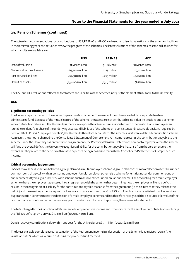### **29. Pension Schemes (continued)**

The actuaries' recommendations for contributions to USS, PASNAS and HCC are based on triennial valuations of the schemes' liabilities. In the intervening years, the actuaries review the progress of the schemes. The latest valuations of the schemes' assets and liabilities for which results are available are:

|                            | <b>USS</b>         | <b>PASNAS</b>   | <b>HCC</b>      |
|----------------------------|--------------------|-----------------|-----------------|
| Date of valuation          | 31 March 2018      | 31 July 2018    | 31 March 2019   |
| Market valuation of assets | £63,700 million    | £225 million    | £7,182 million  |
| Past service liabilities   | £67,300 million    | £263 $m$ illion | £7,260 million  |
| Deficit of assets          | $(E3,600)$ million | $(E38)$ million | $(E78)$ million |

The USS and HCC valuations reflect the total assets and liabilities of the schemes, not just the element attributable to the University.

#### **USS**

#### **Significant accounting policies**

The University participates in Universities Superannuation Scheme. The assets of the scheme are held in a separate trusteeadministered fund. Because of the mutual nature of the scheme, the assets are not attributed to individual institutions and a schemewide contribution rate is set. The University is therefore exposed to actuarial risks associated with other institutions' employees and is unable to identify its share of the underlying assets and liabilities of the scheme on a consistent and reasonable basis. As required by Section 28 of FRS 102 "Employee benefits", the University therefore accounts for the scheme as if it were a defined contribution scheme. As a result, the amount charged to the Consolidated Statement of Comprehensive Income represents the contributions payable to the scheme. Since the University has entered into an agreement (the Recovery Plan) that determines how each employer within the scheme will fund the overall deficit, the University recognises a liability for the contributions payable that arise from the agreement (to the extent that they relate to the deficit) with related expenses being recognised through the Consolidated Statement of Comprehensive Income.

#### **Critical accounting judgements**

FRS 102 makes the distinction between a group plan and a multi-employer scheme. A group plan consists of a collection of entities under common control typically with a sponsoring employer. A multi-employer scheme is a scheme for entities not under common control and represents (typically) an industry-wide scheme such as Universities Superannuation Scheme. The accounting for a multi-employer scheme where the employer has entered into an agreement with the scheme that determines how the employer will fund a deficit results in the recognition of a liability for the contributions payable that arise from the agreement (to the extent that they relate to the deficit) and the resulting expense in profit or loss in accordance with section 28 of FRS 102. The directors are satisfied that Universities Superannuation Scheme meets the definition of a multi-employer scheme and has therefore recognised the discounted fair value of the contractual contributions under the recovery plan in existence at the date of approving these financial statements.

The total charged to the Consolidated Statement of Comprehensive Income and Expenditure for the employers contributions excluding the FRS 102 deficit provision was £35.2 million (2020: £35.0 million).

Deficit recovery contributions due within one year for the University are £3.3 million (2020: £2.8 million).

The latest available complete actuarial valuation of the Retirement Income Builder section of the Scheme is at 31 March 2018 ("the valuation date"), which was carried out using the projected unit method.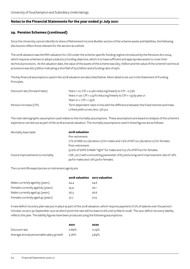## **29. Pension Schemes (continued)**

Since the University cannot identify its share of Retirement Income Builder section of the scheme assets and liabilities, the following disclosures reflect those relevant for the section as a whole.

The 2018 valuation was the fifth valuation for USS under the scheme-specific funding regime introduced by the Pensions Act 2004, which requires schemes to adopt a statutory funding objective, which is to have sufficient and appropriate assets to cover their technical provisions. At the valuation date, the value of the assets of the scheme was £63.7 billion and the value of the scheme's technical provisions was £67.3 billion indicating a shortfall of £3.6 billion and a funding ratio of 95%.

The key financial assumptions used in the 2018 valuation are described below. More detail is set out in the Statement of Funding Principles.

| Discount rate (forward rates) | Years 1-10: $\text{CPI}$ + 0.14% reducing linearly to $\text{CPI}$ – 0.73%            |
|-------------------------------|---------------------------------------------------------------------------------------|
|                               | Years 11-20: CPI + 2.52% reducing linearly to CPI + 1.55 by year 21                   |
|                               | Years $21 + CPI + 1.55\%$                                                             |
| Pension increase (CPI)        | Term dependent rates in line with the difference between the Fixed Interest and Index |
|                               | Linked yield curves, less 1.3% p.a.                                                   |

The main demographic assumption used relates to the mortality assumptions. These assumptions are based on analysis of the scheme's experience carried out as part of the 2018 actuarial valuation. The mortality assumptions used in these figures are as follows:

|                                  | 2018 valuation                                                                      |
|----------------------------------|-------------------------------------------------------------------------------------|
| Mortality base table             |                                                                                     |
|                                  | Pre-retirement:                                                                     |
|                                  | 71% of AMCoo (duration o) for males and 112% of AFCoo (duration o) for females.     |
|                                  | Post-retirement:                                                                    |
|                                  | 97.6% of SAPS S1NMA "light" for males and 102.7% of RFV oo for females.             |
| Future improvements to mortality | CMI_2017 with a smoothing parameter of 8.5 and a long-term improvement rate of 1.8% |
|                                  | pa for males and 1.6% pa for females.                                               |

The current life expectancies on retirement age 65 are:

|                                   | 2018 valuation 2017 valuation |      |
|-----------------------------------|-------------------------------|------|
| Males currently aged 65 (years)   | 24.4                          | 24.6 |
| Females currently aged 65 (years) | 25.9                          | 26.1 |
| Males currently aged 45 (years)   | 26.3                          | 26.6 |
| Females currently aged 45 (years) | 27.7                          | 27.9 |

A new deficit recovery plan was put in place as part of the 2018 valuation, which requires payment of 2% of salaries over the period 1 October 2019 to 30 September 2021 at which point the rate will increase to 6% until 31 March 2028. The 2021 deficit recovery liability reflects this plan. The liability figures have been produced using the following assumptions:

|                                          | 2021     | 2020  |
|------------------------------------------|----------|-------|
| Discount rate                            | $0.89\%$ | 0.74% |
| Average annual pensionable salary growth | 3.76%    | 3.84% |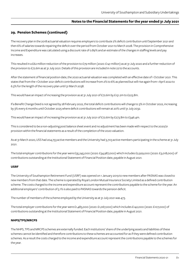#### **29. Pension Schemes (continued)**

The recovery plan in the 2018 actuarial valuation requires employers to contribute 2% deficit contribution until September 2021 and then 6% of salaries towards repairing the deficit over the period from October 2021 to March 2028. The provision in Comprehensive Income and Expenditure was calculated using a discount rate of 0.89% and an estimate of the changes in staffing levels and pay increases.

This resulted in a £62 million reduction of the provision to £79 million (2020: £141 million) as at 31 July 2020 and a further reduction of the provision to £72.6m as at 31 July 2021. Details of this provision are included in note 22 to the accounts.

After the statement of financial position date, the 2020 actuarial valuation was completed with an effective date of 1 October 2021. This states that from the 1 October 2021 deficit contributions will increase from 2% to 6% as planned but will rise again from 1 April 2022 to 6.3% for the length of the recovery plan until 31 March 2038.

This would have an impact of increasing the provision as at 31 July 2021 of £72.6m by £151.2m to £223.8m.

If a Benefit Change Deed is not agreed by 28 February 2022, the total deficit contributions will change to 3% in October 2022, increasing by 3% every 6 months until October 2025 where deficit contributions will remain at 20% until 31 July 2032.

This would have an impact of increasing the provision as at 31 July 2021 of £72.6m by £273.8m to £346.4m.

This is considered to be a non-adjusting post balance sheet event and no adjustment has been made with respect to the 2020/21 provision within the financial statements as a result of the completion of the 2020 valuation.

As at 31 March 2020, USS had 204,753 active members and the University had 3,703 active members participating in the scheme at 31 July 2021.

The total employer contributions for the year were £35,245,000 (2020: £34,987,000) which includes £2,929,000 (2020: £3,018,000) of contributions outstanding at the Institutional Statement of Financial Position date, payable in August 2021.

#### **USRF**

The University of Southampton Retirement Fund (USRF) was opened on 1 January 2019 to new members after PASNAS was closed to new members from that date. The scheme is operated by Royal London Mutual Insurance Society Limited as a defined contribution scheme. The costs charged to the income and expenditure account represent the contributions payable to the scheme for the year. An additional employers' contribution of 5.1% is also paid to PASNAS towards the pension deficit.

The number of members of the scheme employed by the University as at 31 July 2021 was 473.

The total employer contributions for the year were £1,483,000 (2020: £1,067,000) which includes £142,000 (2020: £107,000) of contributions outstanding at the Institutional Statement of Financial Position date, payable in August 2021.

#### **NHPS/TPS/MRCPS**

The NHPS, TPS and MRCPS schemes are externally funded. Each institutions' share of the underlying assets and liabilities of these schemes cannot be identified and therefore contributions to these schemes are accounted for as if they were defined contribution schemes. As a result the costs charged to the income and expenditure account represent the contributions payable to the schemes for the year.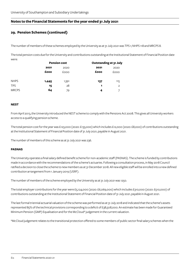### **29. Pension Schemes (continued)**

The number of members of these schemes employed by the University as at 31 July 2021 was TPS 1; NHPS 118 and MRCPS 8.

The total pension costs due for the University and contributions outstanding at the Institutional Statement of Financial Position date were:

|              | <b>Pension cost</b> |       | <b>Outstanding at 31 July</b> |                |
|--------------|---------------------|-------|-------------------------------|----------------|
|              | 2021                | 2020  | 2021                          | 2020           |
|              | £000                | £000  | £000                          | <b>EOOO</b>    |
| <b>NHPS</b>  | 1,445               | 1,391 | 137                           | 115            |
| <b>TPS</b>   | 15                  | 28    | 1                             | $\overline{2}$ |
| <b>MRCPS</b> | 64                  | 79    | 4                             |                |

#### **NEST**

From April 2013, the University introduced the NEST scheme to comply with the Pensions Act 2008. This gives all University workers access to a qualifying pension scheme.

The total pension cost for the year was £123,000 (2020: £133,000) which includes £12,000 (2020: £8,000) of contributions outstanding at the Institutional Statement of Financial Position date of 31 July 2021, payable in August 2021.

The number of members of this scheme as at 31 July 2021 was 236.

#### **PASNAS**

The University operates a final salary defined benefit scheme for non-academic staff (PASNAS). The scheme is funded by contributions made in accordance with the recommendations of the scheme's actuaries. Following a consultation process, in May 2018 Council ratified a decision to close the scheme to new members as at 31 December 2018. All new eligible staff will be enrolled into a new defined contribution arrangement from 1 January 2019 (USRF).

The number of members of the scheme employed by the University as at 31 July 2021 was 1250.

The total employer contributions for the year were £5,124,000 (2020: £6,069,000) which includes £310,000 (2020: £510,000) of contributions outstanding at the Institutional Statement of Financial Position date of 31 July 2021, payable in August 2021.

The last formal triennial actuarial valuation of the scheme was performed as at 31 July 2018 and indicated that the scheme's assets represented 85% of the technical provisions corresponding to a deficit of £38,508,000. An estimate has been made for Guaranteed Minimum Pension (GMP) Equalisation and for the McCloud\* judgement in the current valuation.

\*McCloud judgement relates to the transitional protection offered to some members of public sector final salary schemes when the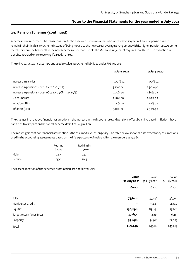### **29. Pension Schemes (continued)**

schemes were reformed. The transitional protection allowed those members who were within 10 years of normal pension age to remain in their final salary scheme instead of being moved to the new career average arrangement with its higher pension age. As some members would be better off in the new scheme rather than the old the McCloud judgement requires that there is no reduction in benefits accrued or are receiving if already retired.

The principal actuarial assumptions used to calculate scheme liabilities under FRS 102 are:

|                                                       | 31 July 2021 | 31 July 2020 |
|-------------------------------------------------------|--------------|--------------|
| Increase in salaries                                  | $3.00\%$ pa  | $3.00\%$ pa  |
| Increase in pensions - pre 1 Oct 2010 (CPI)           | 3.10% pa     | $2.30\%$ pa  |
| Increase in pensions - post 1 Oct 2010 (CPI max 2.5%) | 2.20% pa     | $1.80\%$ pa  |
| Discount rate                                         | $1.60\%$ pa  | 1.40% pa     |
| Inflation (RPI)                                       | 3.50% pa     | $3.10\%$ pa  |
| Inflation (CPI)                                       | 3.10% pa     | 2.30% pa     |

The changes in the above financial assumptions – the increase in the discount rate and pensions offset by an increase in inflation - have had a positive impact on the overall scheme deficit of £6.3 million.

The most significant non-financial assumption is the assumed level of longevity. The table below shows the life expectancy assumptions used in the accounting assessments based on the life expectancy of male and female members at age 65.

|        | Retiring | Retiring in |
|--------|----------|-------------|
|        | today    | 20 years    |
| Male   | 22.7     | 24.1        |
| Female | 25.O     | 26.4        |

The asset allocation of the scheme's assets calculated at fair value is:

|                            | <b>Value</b><br>31 July 2021 | Value<br>31 July 2020 | Value<br>31 July 2019 |
|----------------------------|------------------------------|-----------------------|-----------------------|
|                            | £000                         | £000                  | £000                  |
|                            |                              |                       |                       |
| Gilts                      | 73,644                       | 39,346                | 36,792                |
| Multi Asset Credit         | $\blacksquare$               | 35,643                | 34,340                |
| Equities                   | 130,294                      | 83,848                | 95,661                |
| Target return funds & cash | 39,654                       | 51,361                | 56,415                |
| Property                   | 39,654                       | 34,916                | 22,075                |
| Total                      | 283,246                      | 245,114               | 245,283               |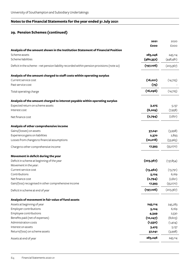# **29. Pension Schemes (continued)**

|                                                                                            | 2021       | 2020       |
|--------------------------------------------------------------------------------------------|------------|------------|
|                                                                                            | £000       | £000       |
| Analysis of the amount shown in the Institution Statement of Financial Position            |            |            |
| Scheme assets                                                                              | 283,246    | 245,114    |
| Scheme liabilities                                                                         | (480,352)  | (448, 481) |
| Deficit in the scheme - net pension liability recorded within pension provisions (note 22) | (197, 106) | (203,367)  |
| Analysis of the amount charged to staff costs within operating surplus                     |            |            |
| Current service cost                                                                       | (16, 021)  | (14, 725)  |
| Past service cost                                                                          | (75)       |            |
| Total operating charge                                                                     | (16,096)   | (14, 725)  |
| Analysis of the amount charged to interest payable within operating surplus                |            |            |
| Expected return on scheme assets                                                           | 3,415      | 5,137      |
| Interest cost                                                                              | (6, 209)   | (7,958)    |
| Net finance cost                                                                           | (2,794)    | (2,821)    |
| Analysis of other comprehensive income                                                     |            |            |
| Gains/(losses) on assets                                                                   | 37,041     | (3,998)    |
| Experience gains on liabilities                                                            | 2,370      | 2,893      |
| Losses from changes to financial assumptions                                               | (22,018)   | (53,965)   |
| Charge to other comprehensive income                                                       | 17,393     | (55,070)   |
| Movement in deficit during the year                                                        |            |            |
| Deficit in scheme at beginning of the year                                                 | (203, 367) | (137, 854) |
| Movement in the year:                                                                      |            |            |
| Current service cost                                                                       | (13, 462)  | (13,791)   |
| Contributions                                                                              | 5,124      | 6,169      |
| Net finance cost                                                                           | (2,794)    | (2,821)    |
| Gain/(loss) recognised in other comprehensive income                                       | 17,393     | (55,070)   |
| Deficit in scheme at end of year                                                           | (197, 106) | (203, 367) |
| Analysis of movement in fair value of fund assets                                          |            |            |
| Assets at beginning of year                                                                | 245,114    | 245,283    |
| Employer contributions                                                                     | 5,124      | 6,169      |
| Employee contributions                                                                     | 4,349      | 2,530      |
| Benefits paid (net of expenses)                                                            | (10, 247)  | (8,603)    |
| Administration costs                                                                       | (1,550)    | (1,404)    |
| Interest on assets                                                                         | 3,415      | 5,137      |
| Return/(loss) on scheme assets                                                             | 37,041     | (3,998)    |
| Assets at end of year                                                                      | 283,246    | 245,114    |
|                                                                                            |            |            |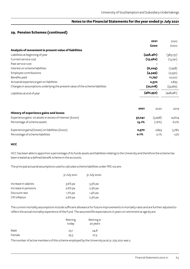#### **29. Pension Schemes (continued)**

|                                                                               | 2021       | 2020        |
|-------------------------------------------------------------------------------|------------|-------------|
|                                                                               | £000       | <b>EOOO</b> |
| Analysis of movement in present value of liabilities                          |            |             |
| Liabilities at beginning of year                                              | (448, 481) | (383, 137)  |
| Current service cost                                                          | (13, 462)  | (13,791)    |
| Past service cost                                                             |            |             |
| Interest on scheme liabilities                                                | (6, 209)   | (7,958)     |
| Employee contributions                                                        | (4,349)    | (2,530)     |
| Benefits paid                                                                 | 11,797     | 10,007      |
| Actuarial experience gain on liabilities                                      | 2,370      | 2,893       |
| Changes in assumptions underlying the present value of the scheme liabilities | (22,018)   | (53,965)    |
| Liabilities at end of year                                                    | (480,352)  | (448, 481)  |

|                                                         | 2021   | 2020      | 2019   |
|---------------------------------------------------------|--------|-----------|--------|
| History of experience gains and losses                  |        |           |        |
| Experience gains on assets in excess of interest (£000) | 37,041 | (3,998)   | 14,604 |
| Percentage of scheme assets                             | 13.1%  | $(1.6\%)$ | 6.0%   |
| Experience gains/(losses) on liabilities (£000)         | 2,370  | 2,893     | 5,780  |
| Percentage of scheme liabilities                        | 0.1%   | $0.1\%$   | 1.5%   |

#### **HCC**

HCC has been able to apportion a percentage of its funds assets and liabilities relating to the University and therefore the scheme has been treated as a defined benefit scheme in the accounts.

The principal actuarial assumptions used to calculate scheme liabilities under FRS 102 are:

|                      | 31 July 2021 | 31 July 2020 |
|----------------------|--------------|--------------|
| Increase in salaries | $3.6\%$ pa   | $3.3\%$ pa   |
| Increase in pensions | $2.6\%$ pa   | $2.3\%$ pa   |
| Discount rate        | 1.7% pa      | 1.4% pa      |
| <b>CPI</b> inflation | 2.6% pa      | $2.3\%$ pa   |

The current mortality assumptions include sufficient allowance for future improvements in mortality rates and are further adjusted to reflect the actual mortality experience of the Fund. The assumed life expectations in years on retirement at age 65 are:

|        | Retiring<br>today | Retiring in<br>20 years |
|--------|-------------------|-------------------------|
| Male   | 23.1              | 24.8                    |
| Female | 25.5              | 27.3                    |

The number of active members of this scheme employed by the University as at 31 July 2021 was 2.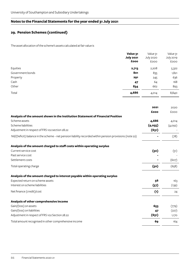# **29. Pension Schemes (continued)**

The asset allocation of the scheme's assets calculated at fair value is

|                  | Value 31         | Value 31         | Value 31  |
|------------------|------------------|------------------|-----------|
|                  | <b>July 2021</b> | <b>July 2020</b> | July 2019 |
|                  | £000             | <b>EOOO</b>      | £000      |
| Equities         | 2,713            | 2,208            | 5,322     |
| Government bonds | 801              | 835              | 1,821     |
| Property         | 291              | 245              | 636       |
| Cash             | 47               | 64               | 168       |
| Other            | 834              | 662              | 893       |
| Total            | 4,686            | 4,014            | 8,840     |

|                                                                                                          | 2021    | 2020        |
|----------------------------------------------------------------------------------------------------------|---------|-------------|
|                                                                                                          | £000    | <b>EOOO</b> |
| Analysis of the amount shown in the Institution Statement of Financial Position                          |         |             |
| Scheme assets                                                                                            | 4,686   | 4,014       |
| Scheme liabilities                                                                                       | (4,055) | (4,092)     |
| Adjustment in respect of FRS 102 section 28.22                                                           | (631)   |             |
| Nil/(Deficit) balance in the scheme - net pension liability recorded within pension provisions (note 22) |         | (78)        |
| Analysis of the amount charged to staff costs within operating surplus                                   |         |             |
| Current service cost                                                                                     | (50)    | (51)        |
| Past service cost                                                                                        |         |             |
| Settlement costs                                                                                         |         | (607)       |
| Total operating charge                                                                                   | (50)    | (658)       |
| Analysis of the amount charged to interest payable within operating surplus                              |         |             |
| Expected return on scheme assets                                                                         | 56      | 163         |
| Interest on scheme liabilities                                                                           | (57)    | (139)       |
| Net finance (credit)/cost                                                                                | (1)     | 24          |
| Analysis of other comprehensive income                                                                   |         |             |
| Gain/(loss) on assets                                                                                    | 653     | (779)       |
| Gain/(loss) on liabilities                                                                               | 47      | (227)       |
| Adjustment in respect of FRS 102 Section 28.22                                                           | (631)   | 1,170       |
| Total amount recognised in other comprehensive income                                                    | 69      | 164         |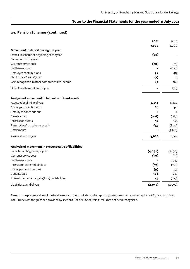#### **29. Pension Schemes (continued)**

|                                                      | 2021    | 2020    |
|------------------------------------------------------|---------|---------|
|                                                      | £000    | £000    |
| Movement in deficit during the year                  |         |         |
| Deficit in scheme at beginning of the year           | (78)    |         |
| Movement in the year:                                |         |         |
| Current service cost                                 | (50)    | (51)    |
| Settlement cost                                      |         | (607)   |
| Employer contributions                               | 60      | 413     |
| Net finance (credit)/cost                            | (1)     | 3       |
| Gain recognised in other comprehensive income        | 69      | 164     |
| Deficit in scheme at end of year                     |         | (78)    |
| Analysis of movement in fair value of fund assets    |         |         |
| Assets at beginning of year                          | 4,014   | 8,840   |
| Employer contributions                               | 60      | 413     |
| Employee contributions                               | 9       | 9       |
| Benefits paid                                        | (106)   | (267)   |
| Interest on assets                                   | 56      | 163     |
| Return/(loss) on scheme assets                       | 653     | (800)   |
| Settlements                                          |         | (4,344) |
| Assets at end of year                                | 4,686   | 4,014   |
| Analysis of movement in present value of liabilities |         |         |
| Liabilities at beginning of year                     | (4,092) | (7,670) |
| Current service cost                                 | (50)    | (51)    |
| Settlement costs                                     |         | 3,737   |
| Interest on scheme liabilities                       | (57)    | (139)   |
| Employee contributions                               | (9)     | (9)     |
| Benefits paid                                        | 106     | 267     |
| Actuarial experience gain/(loss) on liabilities      | 47      | (227)   |
| Liabilities at end of year                           | (4,055) | (4,092) |

Based on the present values of the fund assets and fund liabilities at the reporting date, the scheme had a surplus of £631,000 at 31 July 2021. In line with the guidance provided by section 28.22 of FRS 102, this surplus has not been recognised.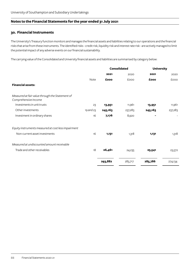#### **30. Financial Instruments**

The University's Treasury function monitors and manages the financial assets and liabilities relating to our operations and the financial risks that arise from these instruments. The identified risks - credit risk, liquidity risk and interest rate risk - are actively managed to limit the potential impact of any adverse events on our financial sustainability.

The carrying value of the Consolidated and University financial assets and liabilities are summarised by category below:

|                                                                         |           |         | <b>Consolidated</b> | <b>University</b> |         |
|-------------------------------------------------------------------------|-----------|---------|---------------------|-------------------|---------|
|                                                                         |           | 2021    | 2020                | 2021              | 2020    |
|                                                                         | Note      | £000    | £000                | £000              | £000    |
| <b>Financial assets:</b>                                                |           |         |                     |                   |         |
| Measured at fair value through the Statement of<br>Comprehensive Income |           |         |                     |                   |         |
| Investments in unit trusts                                              | 23        | 13,951  | 11,961              | 13,951            | 11,961  |
| Other investments                                                       | 19 and 23 | 245,163 | 237,283             | 245,163           | 237,283 |
| Investment in ordinary shares                                           | 16        | 7,176   | 8,920               | $\blacksquare$    |         |
| Equity instruments measured at cost less impairment                     |           |         |                     |                   |         |
| Non-current asset investments                                           | 16        | 1,131   | 1,318               | 1,131             | 1,318   |
| Measured at undiscounted amount receivable                              |           |         |                     |                   |         |
| Trade and other receivables                                             | 18        | 26,461  | 24,235              | 25,541            | 23,572  |
|                                                                         |           | 293,882 | 283,717             | 285,786           | 274,134 |
|                                                                         |           |         |                     |                   |         |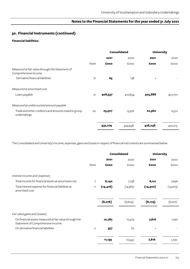## **30. Financial Instruments (continued)**

#### **Financial liabilities:**

|                                                                         |      | <b>Consolidated</b> |         |         |         | <b>University</b> |  |
|-------------------------------------------------------------------------|------|---------------------|---------|---------|---------|-------------------|--|
|                                                                         |      | 2021                | 2020    | 2021    | 2020    |                   |  |
|                                                                         | Note | £000                | £000    | £000    | £000    |                   |  |
| Measured at fair value through the Statement of<br>Comprehensive Income |      |                     |         |         |         |                   |  |
| Derivative financial liabilities                                        | 21   | 65                  | 138     |         |         |                   |  |
| Measured at amortised cost                                              |      |                     |         |         |         |                   |  |
| Loans payable                                                           | 21   | 408,537             | 410,834 | 405,888 | 407,701 |                   |  |
| Measured at undiscounted amount payable                                 |      |                     |         |         |         |                   |  |
| Trade and other creditors and amounts owed to group<br>undertakings     | 20   | 23,507              | 13,976  | 22,360  | 12,512  |                   |  |
|                                                                         |      | 432,109             | 424,948 | 428,248 | 420,213 |                   |  |

The Consolidated and University's income, expenses, gains and losses in respect of financial instruments are summarised below:

|                                                                                             |      | <b>Consolidated</b><br><b>University</b> |          |           |             |  |  |
|---------------------------------------------------------------------------------------------|------|------------------------------------------|----------|-----------|-------------|--|--|
|                                                                                             |      | 2021                                     | 2020     | 2021      | 2020        |  |  |
|                                                                                             | Note | £000                                     | £000     | £000      | <b>EOOO</b> |  |  |
| Interest income and (expense)                                                               |      |                                          |          |           |             |  |  |
| Total income for financial assets at amortised cost                                         | 7    | 6,140                                    | 7,758    | 6,121     | 7,996       |  |  |
| Total interest expense for financial liabilities at<br>amortised cost                       | 11   | (14, 416)                                | (14,362) | (14, 300) | (14, 203)   |  |  |
|                                                                                             |      | (8,276)                                  | (6, 604) | (8, 179)  | (6,207)     |  |  |
| Fair value gains and (losses)                                                               |      |                                          |          |           |             |  |  |
| On financial assets measured at fair value through the<br>Statement of Comprehensive Income |      | 10,782                                   | 10,473   | 7,816     | 1,790       |  |  |
| On derivative financial liabilities                                                         | 11   | 357                                      | 70       |           |             |  |  |
|                                                                                             |      | 11,139                                   | 10,543   | 7,816     | 1,790       |  |  |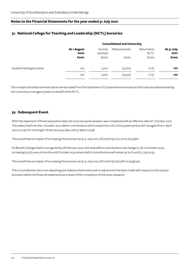## **31. National College for Teaching and Leadership (NCTL) bursaries**

|                            |                     | <b>Consolidated and University</b> |                      |                            |                    |  |
|----------------------------|---------------------|------------------------------------|----------------------|----------------------------|--------------------|--|
|                            | At 1 August<br>2020 | Income<br>received                 | <b>Disbursements</b> | Returned to<br><b>NCTL</b> | At 31 July<br>2021 |  |
|                            | £000                | <b>£000</b>                        | <b>EOOO</b>          | <b>EOOO</b>                | £000               |  |
| Student training bursaries | 102                 | 2,707                              | (2,570)              | (117)                      | 122                |  |
|                            | 102                 | 2,707                              | (2,570)              | (117)                      | 122                |  |

The receipts and disbursements above are excluded from the Statement of Comprehensive Income as the funds are administered by the University on an agency basis on behalf of the NCTL.

#### **32. Subsequent Event**

After the statement of financial position date, the 2020 actuarial valuation was completed with an effective date of 1 October 2021. This states that from the 1 October 2021 deficit contributions will increase from 2% to 6% as planned but will rise again from 1 April 2022 to 6.3% for the length of the recovery plan until 31 March 2038.

This would have an impact of increasing the provision as at 31 July 2021 of £72.6m by £151.2m to £223.8m.

If a Benefit Change Deed is not agreed by 28 February 2022, the total deficit contributions will change to 3% in October 2022, increasing by 3% every 6 months until October 2025 where deficit contributions will remain at 20% until 31 July 2032.

This would have an impact of increasing the provision as at 31 July 2021 of £72.6m by £273.8m to £346.4m.

This is considered to be a non-adjusting post balance sheet event and no adjustment has been made with respect to the 2020/21 provision within the financial statements as a result of the completion of the 2020 valuation.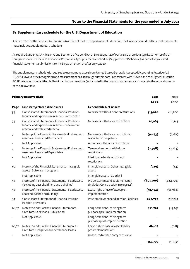#### **S1 Supplementary schedule for the U.S. Department of Education**

As instructed by the Federal Student Aid - An Office of the U.S. Department of Education, the University's audited financial statements must include a supplementary schedule.

As required under 34 CFR §668.172 and Section 2 of Appendix A or B to Subpart L of Part 668, a proprietary, private non-profit, or foreign school must include a Financial Responsibility Supplemental Schedule (Supplemental Schedule) as part of any audited financial statements submissions to the Department on or after July 1, 2020.

The supplementary schedule is required to use nomenclature from United States Generally Accepted Accounting Practice (US GAAP). However, the recognition and measurement basis throughout this note is consistent with FRS102 and the Higher Education SORP. We have included the UK GAAP naming conventions (as included in the financial statements and notes) in the second column of the below table.

|                          | <b>Primary Reserve Ratio</b>                                                                                                   |                                                                           | 2021      | 2020       |
|--------------------------|--------------------------------------------------------------------------------------------------------------------------------|---------------------------------------------------------------------------|-----------|------------|
|                          |                                                                                                                                |                                                                           | £000      | £000       |
| Page                     | Line item/related disclosures                                                                                                  | <b>Expendable Net Assets</b>                                              |           |            |
| 34                       | Consolidated Statement of Financial Position -<br>Income and expenditure reserve - unrestricted                                | Net assets without donor restrictions                                     | 515,020   | 481,200    |
| 34                       | Consolidated Statement of Financial Position -<br>Income and expenditure reserve - endowment<br>reserve and restricted reserve | Net assets with donor restrictions                                        | 20,063    | 18,243     |
| 71                       | Note 23 of the Financial Statements - Endowment<br>reserves - Restricted Permanent                                             | Net assets with donor restrictions:<br>restricted in perpetuity           | (9, 473)  | (8,187)    |
|                          | Not Applicable                                                                                                                 | Annuities with donor restrictions                                         |           |            |
| 71                       | Note 23 of the Financial Statements - Endowment<br>reserves - Restricted Expendable                                            | Term endowments with donor<br>restrictions                                | (2,598)   | (2,264)    |
| $\overline{\phantom{a}}$ | Not Applicable                                                                                                                 | Life income funds with donor<br>restrictions                              |           |            |
| 62                       | Note 15 of the Financial Statements - Intangible<br>assets - Software in progress                                              | Intangible assets - Other intangible<br>assets                            | (229)     | (44)       |
|                          | Not Applicable                                                                                                                 | Intangible assets - Goodwill                                              |           |            |
| 59                       | Note 14 of the Financial Statements - Fixed assets<br>(excluding Leasehold, land and buildings)                                | Property, Plant and equipment, net<br>(includes Construction in progress) | (653,700) | (644, 726) |
| 59                       | Note 14 of the Financial Statements - Fixed assets -<br>Leasehold, land and buildings                                          | Lease right-of-use of asset pre-<br>implementation                        | (91, 554) | (96,988)   |
| 34                       | Consolidated Statement of Financial Position -<br>Pension provisions                                                           | Post-employment and pension liabilities                                   | 269,729   | 282,264    |
| 66,67                    | Notes 20 and 21 of the Financial Statements -<br>Creditors: Bank loans, Public bond                                            | Long-term debt - for long term<br>purposes pre-implementation             | 361,722   | 363,651    |
|                          | Not Applicable                                                                                                                 | Long-term debt - for long term<br>purposes post-implementation            |           |            |
| 66,67                    | Notes 20 and 21 of the Financial Statements -<br>Creditors: Obligations under finance leases                                   | Lease right-of-use of asset liability<br>pre-implementation"              | 46,815    | 47,183     |
|                          | Not Applicable                                                                                                                 | Unsecured related party receivable                                        |           |            |
|                          |                                                                                                                                |                                                                           | 455,795   | 440,332    |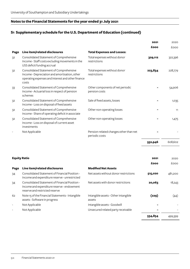## **S1 Supplementary schedule for the U.S. Department of Education (continued)**

|                     |                                                                                                                                                        |                                                          | 2021    | 2020        |
|---------------------|--------------------------------------------------------------------------------------------------------------------------------------------------------|----------------------------------------------------------|---------|-------------|
|                     |                                                                                                                                                        |                                                          | £000    | <b>EOOO</b> |
| Page                | Line item/related disclosures                                                                                                                          | <b>Total Expenses and Losses:</b>                        |         |             |
| 32                  | Consolidated Statement of Comprehensive<br>Income - Staff costs excluding movements in the<br>USS deficit funding accrual                              | Total expenses without donor<br>restrictions             | 329,112 | 322,396     |
| 32                  | Consolidated Statement of Comprehensive<br>Income - Depreciation and amortisation, other<br>operating expenses and Interest and other finance<br>costs | Total expenses without donor<br>restrictions             | 223,834 | 228,779     |
| 33                  | Consolidated Statement of Comprehensive<br>Income - Actuarial loss in respect of pension<br>schemes                                                    | Other components of net periodic<br>pension costs        |         | 54,906      |
| 32                  | Consolidated Statement of Comprehensive<br>Income - Loss on disposal of fixed assets                                                                   | Sale of fixed assets, losses                             |         | 1,035       |
| 32                  | Consolidated Statement of Comprehensive<br>Income - Share of operating deficit in associate                                                            | Other non-operating losses                               |         | 11          |
| 32                  | Consolidated Statement of Comprehensive<br>Income - Loss on disposal of current asset<br>investments                                                   | Other non-operating losses                               |         | 1,475       |
|                     | Not Applicable                                                                                                                                         | Pension-related changes other than net<br>periodic costs |         |             |
|                     |                                                                                                                                                        |                                                          | 552,946 | 608,602     |
| <b>Equity Ratio</b> |                                                                                                                                                        |                                                          | 2021    | 2020        |
|                     |                                                                                                                                                        |                                                          | £000    | £000        |

| Page                     | Line item/related disclosures                                                                                                  | <b>Modified Net Assets</b>                     |         |         |
|--------------------------|--------------------------------------------------------------------------------------------------------------------------------|------------------------------------------------|---------|---------|
| 34                       | Consolidated Statement of Financial Position -<br>Income and expenditure reserve - unrestricted                                | Net assets without donor restrictions          | 515,020 | 481,200 |
| 34                       | Consolidated Statement of Financial Position -<br>Income and expenditure reserve - endowment<br>reserve and restricted reserve | Net assets with donor restrictions             | 20,063  | 18,243  |
| 62                       | Note 15 of the Financial Statements - Intangible<br>assets - Software in progress                                              | Intangible assets - Other intangible<br>assets | (229)   | (44)    |
|                          | Not Applicable                                                                                                                 | Intangible assets - Goodwill                   |         |         |
| $\overline{\phantom{a}}$ | Not Applicable                                                                                                                 | Unsecured related party receivable             |         |         |
|                          |                                                                                                                                |                                                | 534,854 | 499,399 |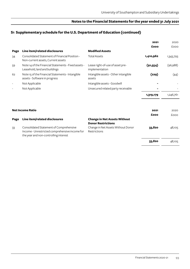# **S1 Supplementary schedule for the U.S. Department of Education (continued)**

|      |                                                                                                                                    |                                                                  | 2021      | 2020      |
|------|------------------------------------------------------------------------------------------------------------------------------------|------------------------------------------------------------------|-----------|-----------|
|      |                                                                                                                                    |                                                                  | £000      | £000      |
| Page | Line item/related disclosures                                                                                                      | <b>Modified Assets</b>                                           |           |           |
| 34   | Consolidated Statement of Financial Position -<br>Non-current assets, Current assets                                               | <b>Total Assets</b>                                              | 1,410,962 | 1,343,793 |
| 59   | Note 14 of the Financial Statements - Fixed assets -<br>Leasehold, land and buildings                                              | Lease right-of-use of asset pre-<br>implementation               | (91, 554) | (96,988)  |
| 62   | Note 15 of the Financial Statements - Intangible<br>assets - Software in progress                                                  | Intangible assets - Other intangible<br>assets                   | (229)     | (44)      |
|      | Not Applicable                                                                                                                     | Intangible assets - Goodwill                                     |           |           |
|      | Not Applicable                                                                                                                     | Unsecured related party receivable                               |           |           |
|      |                                                                                                                                    |                                                                  | 1,319,179 | 1,246,761 |
|      |                                                                                                                                    |                                                                  |           |           |
|      | <b>Net Income Ratio</b>                                                                                                            |                                                                  | 2021      | 2020      |
|      |                                                                                                                                    |                                                                  | £000      | £000      |
| Page | Line item/related disclosures                                                                                                      | <b>Change in Net Assets Without</b><br><b>Donor Restrictions</b> |           |           |
| 33   | Consolidated Statement of Comprehensive<br>Income - Unrestricted comprehensive income for<br>the year and non-controlling interest | Change in Net Assets Without Donor<br>Restrictions               | 33,820    | 48,105    |
|      |                                                                                                                                    |                                                                  | 33,820    | 48,105    |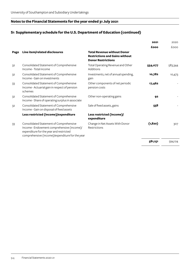# **S1 Supplementary schedule for the U.S. Department of Education (continued)**

|      |                                                                                                                                                                                     |                                                                                                          | 2021     | 2020    |
|------|-------------------------------------------------------------------------------------------------------------------------------------------------------------------------------------|----------------------------------------------------------------------------------------------------------|----------|---------|
|      |                                                                                                                                                                                     |                                                                                                          | £000     | £000    |
| Page | Line item/related disclosures                                                                                                                                                       | <b>Total Revenue without Donor</b><br><b>Restrictions and Gains without</b><br><b>Donor Restrictions</b> |          |         |
| 32   | Consolidated Statement of Comprehensive<br>Income - Total income                                                                                                                    | Total Operating Revenue and Other<br>Additions                                                           | 554,077  | 583,344 |
| 32   | Consolidated Statement of Comprehensive<br>Income - Gain on investments                                                                                                             | Investments, net of annual spending,<br>gain                                                             | 10,782   | 10,473  |
| 33   | Consolidated Statement of Comprehensive<br>Income - Actuarial gain in respect of pension<br>schemes                                                                                 | Other components of net periodic<br>pension costs                                                        | 17,462   |         |
| 32   | Consolidated Statement of Comprehensive<br>Income - Share of operating surplus in associate                                                                                         | Other non-operating gains                                                                                | 92       |         |
| 32   | Consolidated Statement of Comprehensive<br>Income - Gain on disposal of fixed assets                                                                                                | Sale of fixed assets, gains                                                                              | 558      |         |
|      | Less restricted (income)/expenditure                                                                                                                                                | Less restricted (income)/<br>expenditure                                                                 |          |         |
| 33   | Consolidated Statement of Comprehensive<br>Income - Endowment comprehensive (income)/<br>expenditure for the year and restricted<br>comprehensive (income)/expenditure for the year | Change in Net Assets With Donor<br>Restrictions                                                          | (1, 820) | 307     |
|      |                                                                                                                                                                                     |                                                                                                          | 581,151  | 594,124 |